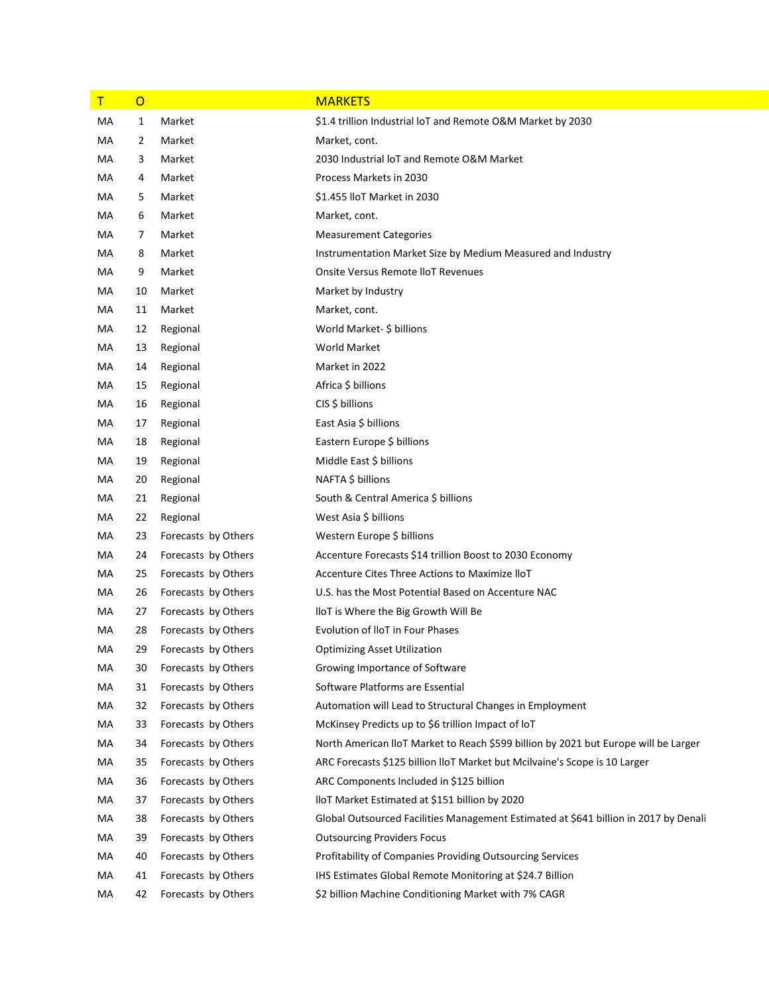| $\mathsf T$ | $\overline{0}$ |                     | <b>MARKETS</b>                                                                       |
|-------------|----------------|---------------------|--------------------------------------------------------------------------------------|
| МA          | 1              | Market              | \$1.4 trillion Industrial loT and Remote O&M Market by 2030                          |
| МA          | 2              | Market              | Market, cont.                                                                        |
| МA          | 3              | Market              | 2030 Industrial IoT and Remote O&M Market                                            |
| МA          | 4              | Market              | Process Markets in 2030                                                              |
| МA          | 5              | Market              | \$1.455 IloT Market in 2030                                                          |
| МA          | 6              | Market              | Market, cont.                                                                        |
| МA          | 7              | Market              | <b>Measurement Categories</b>                                                        |
| МA          | 8              | Market              | Instrumentation Market Size by Medium Measured and Industry                          |
| МA          | 9              | Market              | Onsite Versus Remote IloT Revenues                                                   |
| МA          | 10             | Market              | Market by Industry                                                                   |
| МA          | 11             | Market              | Market, cont.                                                                        |
| МA          | 12             | Regional            | World Market- \$ billions                                                            |
| МA          | 13             | Regional            | <b>World Market</b>                                                                  |
| МA          | 14             | Regional            | Market in 2022                                                                       |
| МA          | 15             | Regional            | Africa \$ billions                                                                   |
| МA          | 16             | Regional            | CIS \$ billions                                                                      |
| МA          | 17             | Regional            | East Asia \$ billions                                                                |
| МA          | 18             | Regional            | Eastern Europe \$ billions                                                           |
| МA          | 19             | Regional            | Middle East \$ billions                                                              |
| МA          | 20             | Regional            | NAFTA \$ billions                                                                    |
| МA          | 21             | Regional            | South & Central America \$ billions                                                  |
| МA          | 22             | Regional            | West Asia \$ billions                                                                |
| МA          | 23             | Forecasts by Others | Western Europe \$ billions                                                           |
| МA          | 24             | Forecasts by Others | Accenture Forecasts \$14 trillion Boost to 2030 Economy                              |
| МA          | 25             | Forecasts by Others | Accenture Cites Three Actions to Maximize IloT                                       |
| МA          | 26             | Forecasts by Others | U.S. has the Most Potential Based on Accenture NAC                                   |
| МA          | 27             | Forecasts by Others | lloT is Where the Big Growth Will Be                                                 |
| МA          | 28             | Forecasts by Others | Evolution of IloT in Four Phases                                                     |
| МA          | 29             | Forecasts by Others | <b>Optimizing Asset Utilization</b>                                                  |
| МA          | 30             | Forecasts by Others | Growing Importance of Software                                                       |
| MA          | 31             | Forecasts by Others | Software Platforms are Essential                                                     |
| МA          | 32             | Forecasts by Others | Automation will Lead to Structural Changes in Employment                             |
| MA          | 33             | Forecasts by Others | McKinsey Predicts up to \$6 trillion Impact of loT                                   |
| МA          | 34             | Forecasts by Others | North American IIoT Market to Reach \$599 billion by 2021 but Europe will be Larger  |
| MA          | 35             | Forecasts by Others | ARC Forecasts \$125 billion IIoT Market but Mcilvaine's Scope is 10 Larger           |
| МA          | 36             | Forecasts by Others | ARC Components Included in \$125 billion                                             |
| MA          | 37             | Forecasts by Others | IloT Market Estimated at \$151 billion by 2020                                       |
| МA          | 38             | Forecasts by Others | Global Outsourced Facilities Management Estimated at \$641 billion in 2017 by Denali |
| MA          | 39             | Forecasts by Others | <b>Outsourcing Providers Focus</b>                                                   |
| МA          | 40             | Forecasts by Others | <b>Profitability of Companies Providing Outsourcing Services</b>                     |
| МA          | 41             | Forecasts by Others | IHS Estimates Global Remote Monitoring at \$24.7 Billion                             |
| МA          | 42             | Forecasts by Others | \$2 billion Machine Conditioning Market with 7% CAGR                                 |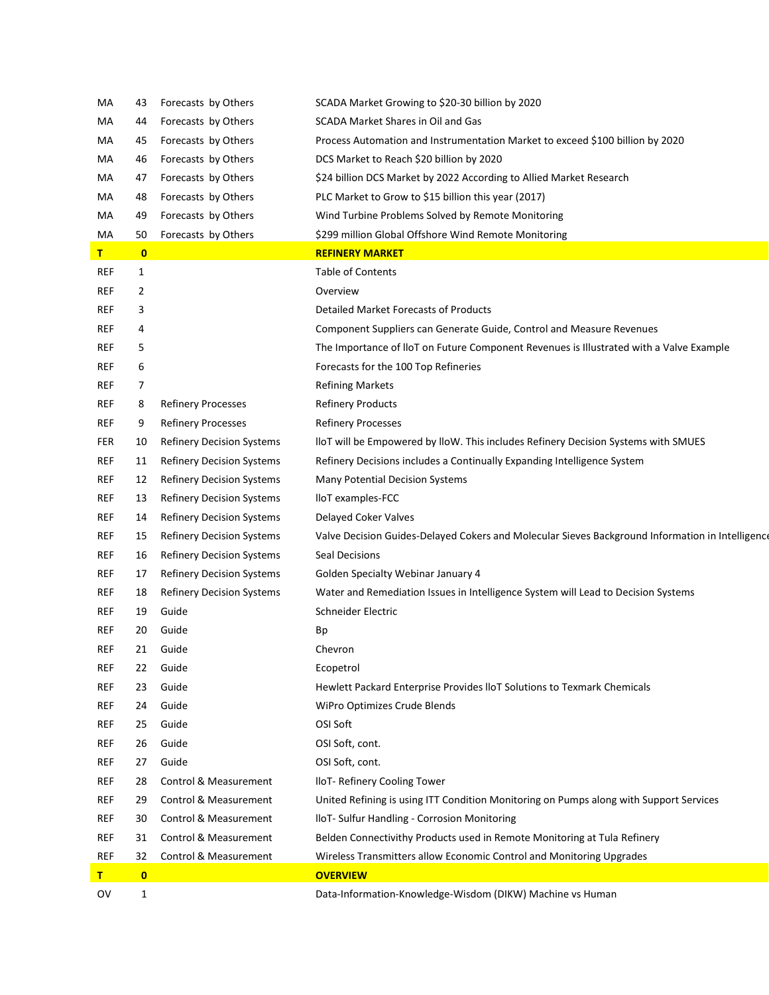| МA           | 43           | Forecasts by Others              | SCADA Market Growing to \$20-30 billion by 2020                                                  |
|--------------|--------------|----------------------------------|--------------------------------------------------------------------------------------------------|
| МA           | 44           | Forecasts by Others              | SCADA Market Shares in Oil and Gas                                                               |
| МA           | 45           | Forecasts by Others              | Process Automation and Instrumentation Market to exceed \$100 billion by 2020                    |
| МA           | 46           | Forecasts by Others              | DCS Market to Reach \$20 billion by 2020                                                         |
| МA           | 47           | Forecasts by Others              | \$24 billion DCS Market by 2022 According to Allied Market Research                              |
| МA           | 48           | Forecasts by Others              | PLC Market to Grow to \$15 billion this year (2017)                                              |
| МA           | 49           | Forecasts by Others              | Wind Turbine Problems Solved by Remote Monitoring                                                |
| MA           | 50           | Forecasts by Others              | \$299 million Global Offshore Wind Remote Monitoring                                             |
| $\mathbf{T}$ | $\mathbf{0}$ |                                  | <b>REFINERY MARKET</b>                                                                           |
| REF          | $\mathbf{1}$ |                                  | <b>Table of Contents</b>                                                                         |
| ref          | 2            |                                  | Overview                                                                                         |
| REF          | 3            |                                  | Detailed Market Forecasts of Products                                                            |
| REF          | 4            |                                  | Component Suppliers can Generate Guide, Control and Measure Revenues                             |
| REF          | 5            |                                  | The Importance of IIoT on Future Component Revenues is IIIustrated with a Valve Example          |
| REF          | 6            |                                  | Forecasts for the 100 Top Refineries                                                             |
| REF          | 7            |                                  | <b>Refining Markets</b>                                                                          |
| REF          | 8            | <b>Refinery Processes</b>        | <b>Refinery Products</b>                                                                         |
| <b>REF</b>   | 9            | <b>Refinery Processes</b>        | <b>Refinery Processes</b>                                                                        |
| FER          | 10           | <b>Refinery Decision Systems</b> | lloT will be Empowered by lloW. This includes Refinery Decision Systems with SMUES               |
| ref          | 11           | <b>Refinery Decision Systems</b> | Refinery Decisions includes a Continually Expanding Intelligence System                          |
| <b>REF</b>   | 12           | <b>Refinery Decision Systems</b> | Many Potential Decision Systems                                                                  |
| <b>REF</b>   | 13           | <b>Refinery Decision Systems</b> | lloT examples-FCC                                                                                |
| ref          | 14           | <b>Refinery Decision Systems</b> | Delayed Coker Valves                                                                             |
| <b>REF</b>   | 15           | <b>Refinery Decision Systems</b> | Valve Decision Guides-Delayed Cokers and Molecular Sieves Background Information in Intelligence |
| ref          | 16           | <b>Refinery Decision Systems</b> | Seal Decisions                                                                                   |
| <b>REF</b>   | 17           | <b>Refinery Decision Systems</b> | Golden Specialty Webinar January 4                                                               |
| ref          | 18           | <b>Refinery Decision Systems</b> | Water and Remediation Issues in Intelligence System will Lead to Decision Systems                |
| ref          | 19           | Guide                            | Schneider Electric                                                                               |
| REF          | 20           | Guide                            | Bp                                                                                               |
| ref          | 21           | Guide                            | Chevron                                                                                          |
| ref          | 22           | Guide                            | Ecopetrol                                                                                        |
| <b>REF</b>   | 23           | Guide                            | Hewlett Packard Enterprise Provides IIoT Solutions to Texmark Chemicals                          |
| <b>REF</b>   | 24           | Guide                            | WiPro Optimizes Crude Blends                                                                     |
| ref          | 25           | Guide                            | OSI Soft                                                                                         |
| REF          | 26           | Guide                            | OSI Soft, cont.                                                                                  |
| <b>REF</b>   | 27           | Guide                            | OSI Soft, cont.                                                                                  |
| REF          | 28           | Control & Measurement            | IloT- Refinery Cooling Tower                                                                     |
| REF          | 29           | Control & Measurement            | United Refining is using ITT Condition Monitoring on Pumps along with Support Services           |
| REF          | 30           | Control & Measurement            | IloT- Sulfur Handling - Corrosion Monitoring                                                     |
| <b>REF</b>   | 31           | Control & Measurement            | Belden Connectivithy Products used in Remote Monitoring at Tula Refinery                         |
| <b>REF</b>   | 32           | Control & Measurement            | Wireless Transmitters allow Economic Control and Monitoring Upgrades                             |
| T            | $\mathbf{0}$ |                                  | <b>OVERVIEW</b>                                                                                  |
| OV           | $\mathbf{1}$ |                                  | Data-Information-Knowledge-Wisdom (DIKW) Machine vs Human                                        |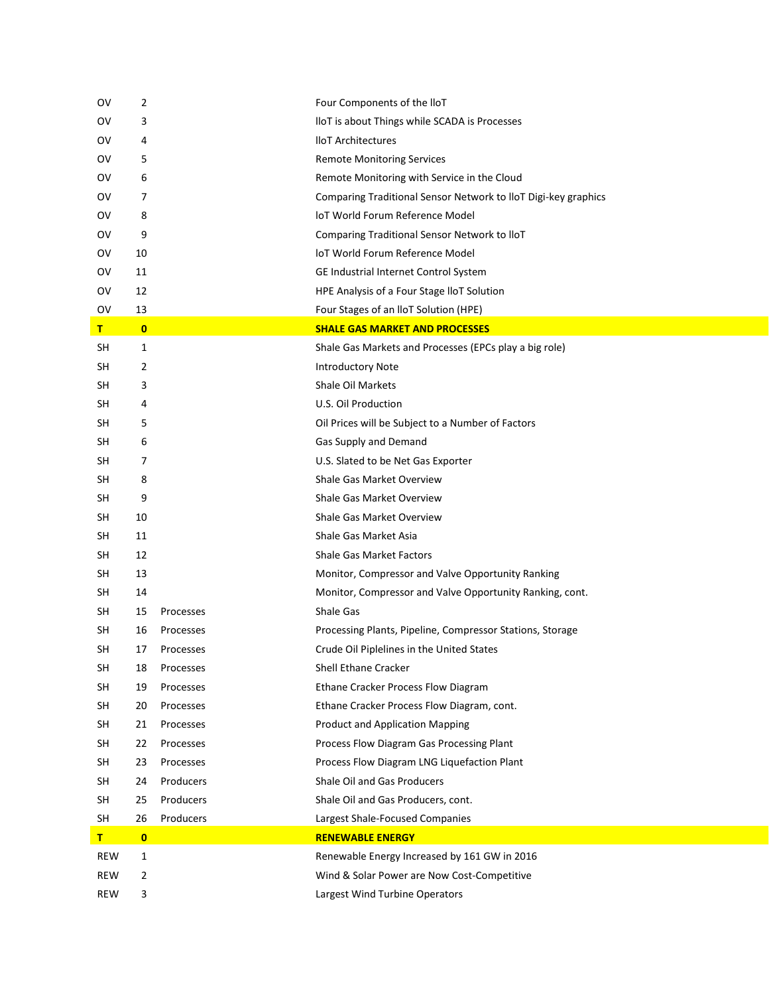| ov         | 2         |           | Four Components of the IIoT                                    |
|------------|-----------|-----------|----------------------------------------------------------------|
| ov         | 3         |           | IloT is about Things while SCADA is Processes                  |
| OV         | 4         |           | <b>IloT</b> Architectures                                      |
| OV         | 5         |           | <b>Remote Monitoring Services</b>                              |
| ov         | 6         |           | Remote Monitoring with Service in the Cloud                    |
| ov         | 7         |           | Comparing Traditional Sensor Network to IloT Digi-key graphics |
| ov         | 8         |           | loT World Forum Reference Model                                |
| OV         | 9         |           | Comparing Traditional Sensor Network to IloT                   |
| ov         | 10        |           | loT World Forum Reference Model                                |
| ov         | 11        |           | GE Industrial Internet Control System                          |
| ov         | 12        |           | HPE Analysis of a Four Stage IloT Solution                     |
| OV         | 13        |           | Four Stages of an IloT Solution (HPE)                          |
| T.         | $\bullet$ |           | <b>SHALE GAS MARKET AND PROCESSES</b>                          |
| <b>SH</b>  | 1         |           | Shale Gas Markets and Processes (EPCs play a big role)         |
| <b>SH</b>  | 2         |           | <b>Introductory Note</b>                                       |
| SH         | 3         |           | Shale Oil Markets                                              |
| SH         | 4         |           | U.S. Oil Production                                            |
| SH         | 5         |           | Oil Prices will be Subject to a Number of Factors              |
| <b>SH</b>  | 6         |           | Gas Supply and Demand                                          |
| <b>SH</b>  | 7         |           | U.S. Slated to be Net Gas Exporter                             |
| <b>SH</b>  | 8         |           | Shale Gas Market Overview                                      |
| SH         | 9         |           | Shale Gas Market Overview                                      |
| <b>SH</b>  | 10        |           | Shale Gas Market Overview                                      |
| SH         | 11        |           | Shale Gas Market Asia                                          |
| SH         | 12        |           | <b>Shale Gas Market Factors</b>                                |
| SH         | 13        |           | Monitor, Compressor and Valve Opportunity Ranking              |
| <b>SH</b>  | 14        |           | Monitor, Compressor and Valve Opportunity Ranking, cont.       |
| SH         | 15        | Processes | Shale Gas                                                      |
| SH         | 16        | Processes | Processing Plants, Pipeline, Compressor Stations, Storage      |
| SH         | 17        | Processes | Crude Oil Piplelines in the United States                      |
| <b>SH</b>  | 18        | Processes | Shell Ethane Cracker                                           |
| <b>SH</b>  | 19        | Processes | Ethane Cracker Process Flow Diagram                            |
| <b>SH</b>  | 20        | Processes | Ethane Cracker Process Flow Diagram, cont.                     |
| <b>SH</b>  | 21        | Processes | <b>Product and Application Mapping</b>                         |
| <b>SH</b>  | 22        | Processes | Process Flow Diagram Gas Processing Plant                      |
| <b>SH</b>  | 23        | Processes | Process Flow Diagram LNG Liquefaction Plant                    |
| <b>SH</b>  | 24        | Producers | Shale Oil and Gas Producers                                    |
| <b>SH</b>  | 25        | Producers | Shale Oil and Gas Producers, cont.                             |
| <b>SH</b>  | 26        | Producers | Largest Shale-Focused Companies                                |
| T.         | $\bullet$ |           | <b>RENEWABLE ENERGY</b>                                        |
| <b>REW</b> | 1         |           | Renewable Energy Increased by 161 GW in 2016                   |
| <b>REW</b> | 2         |           | Wind & Solar Power are Now Cost-Competitive                    |
| <b>REW</b> | 3         |           | Largest Wind Turbine Operators                                 |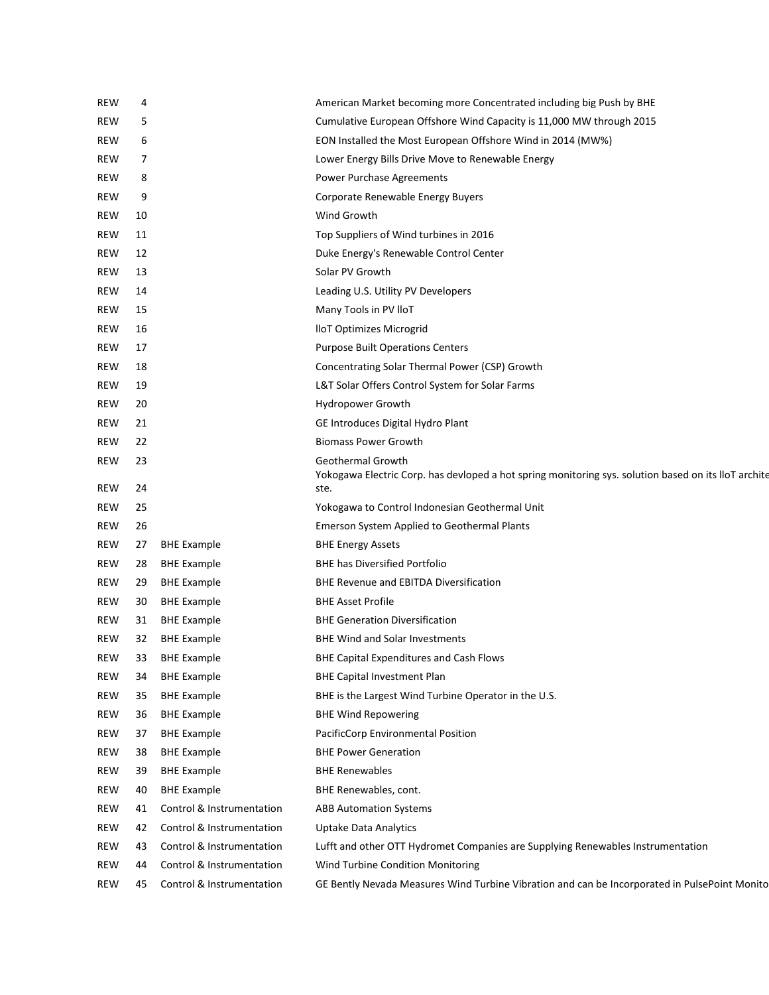| <b>REW</b> | 4  |                           | American Market becoming more Concentrated including big Push by BHE                                                      |
|------------|----|---------------------------|---------------------------------------------------------------------------------------------------------------------------|
| <b>REW</b> | 5  |                           | Cumulative European Offshore Wind Capacity is 11,000 MW through 2015                                                      |
| <b>REW</b> | 6  |                           | EON Installed the Most European Offshore Wind in 2014 (MW%)                                                               |
| <b>REW</b> | 7  |                           | Lower Energy Bills Drive Move to Renewable Energy                                                                         |
| <b>REW</b> | 8  |                           | Power Purchase Agreements                                                                                                 |
| <b>REW</b> | 9  |                           | Corporate Renewable Energy Buyers                                                                                         |
| <b>REW</b> | 10 |                           | Wind Growth                                                                                                               |
| <b>REW</b> | 11 |                           | Top Suppliers of Wind turbines in 2016                                                                                    |
| <b>REW</b> | 12 |                           | Duke Energy's Renewable Control Center                                                                                    |
| <b>REW</b> | 13 |                           | Solar PV Growth                                                                                                           |
| <b>REW</b> | 14 |                           | Leading U.S. Utility PV Developers                                                                                        |
| <b>REW</b> | 15 |                           | Many Tools in PV IloT                                                                                                     |
| <b>REW</b> | 16 |                           | lloT Optimizes Microgrid                                                                                                  |
| <b>REW</b> | 17 |                           | <b>Purpose Built Operations Centers</b>                                                                                   |
| <b>REW</b> | 18 |                           | Concentrating Solar Thermal Power (CSP) Growth                                                                            |
| <b>REW</b> | 19 |                           | L&T Solar Offers Control System for Solar Farms                                                                           |
| <b>REW</b> | 20 |                           | Hydropower Growth                                                                                                         |
| <b>REW</b> | 21 |                           | GE Introduces Digital Hydro Plant                                                                                         |
| <b>REW</b> | 22 |                           | <b>Biomass Power Growth</b>                                                                                               |
| <b>REW</b> | 23 |                           | Geothermal Growth<br>Yokogawa Electric Corp. has devloped a hot spring monitoring sys. solution based on its lloT archite |
| <b>REW</b> | 24 |                           | ste.                                                                                                                      |
| <b>REW</b> | 25 |                           | Yokogawa to Control Indonesian Geothermal Unit                                                                            |
| <b>REW</b> | 26 |                           | Emerson System Applied to Geothermal Plants                                                                               |
| REW        | 27 | <b>BHE Example</b>        | <b>BHE Energy Assets</b>                                                                                                  |
| <b>REW</b> | 28 | <b>BHE Example</b>        | <b>BHE has Diversified Portfolio</b>                                                                                      |
| <b>REW</b> | 29 | <b>BHE Example</b>        | <b>BHE Revenue and EBITDA Diversification</b>                                                                             |
| <b>REW</b> | 30 | <b>BHE Example</b>        | <b>BHE Asset Profile</b>                                                                                                  |
| <b>REW</b> | 31 | <b>BHE Example</b>        | <b>BHE Generation Diversification</b>                                                                                     |
| REW        | 32 | <b>BHE Example</b>        | <b>BHE Wind and Solar Investments</b>                                                                                     |
| REW        | 33 | <b>BHE Example</b>        | BHE Capital Expenditures and Cash Flows                                                                                   |
| <b>REW</b> | 34 | <b>BHE Example</b>        | <b>BHE Capital Investment Plan</b>                                                                                        |
| REW        | 35 | <b>BHE Example</b>        | BHE is the Largest Wind Turbine Operator in the U.S.                                                                      |
| <b>REW</b> | 36 | <b>BHE Example</b>        | <b>BHE Wind Repowering</b>                                                                                                |
| <b>REW</b> | 37 | <b>BHE Example</b>        | PacificCorp Environmental Position                                                                                        |
| <b>REW</b> | 38 | <b>BHE Example</b>        | <b>BHE Power Generation</b>                                                                                               |
| REW        | 39 | <b>BHE Example</b>        | <b>BHE Renewables</b>                                                                                                     |
| REW        | 40 | <b>BHE Example</b>        | BHE Renewables, cont.                                                                                                     |
| REW        | 41 | Control & Instrumentation | <b>ABB Automation Systems</b>                                                                                             |
| REW        | 42 | Control & Instrumentation | Uptake Data Analytics                                                                                                     |
| REW        | 43 | Control & Instrumentation | Lufft and other OTT Hydromet Companies are Supplying Renewables Instrumentation                                           |
| REW        | 44 | Control & Instrumentation | Wind Turbine Condition Monitoring                                                                                         |
| REW        | 45 | Control & Instrumentation | GE Bently Nevada Measures Wind Turbine Vibration and can be Incorporated in PulsePoint Monito                             |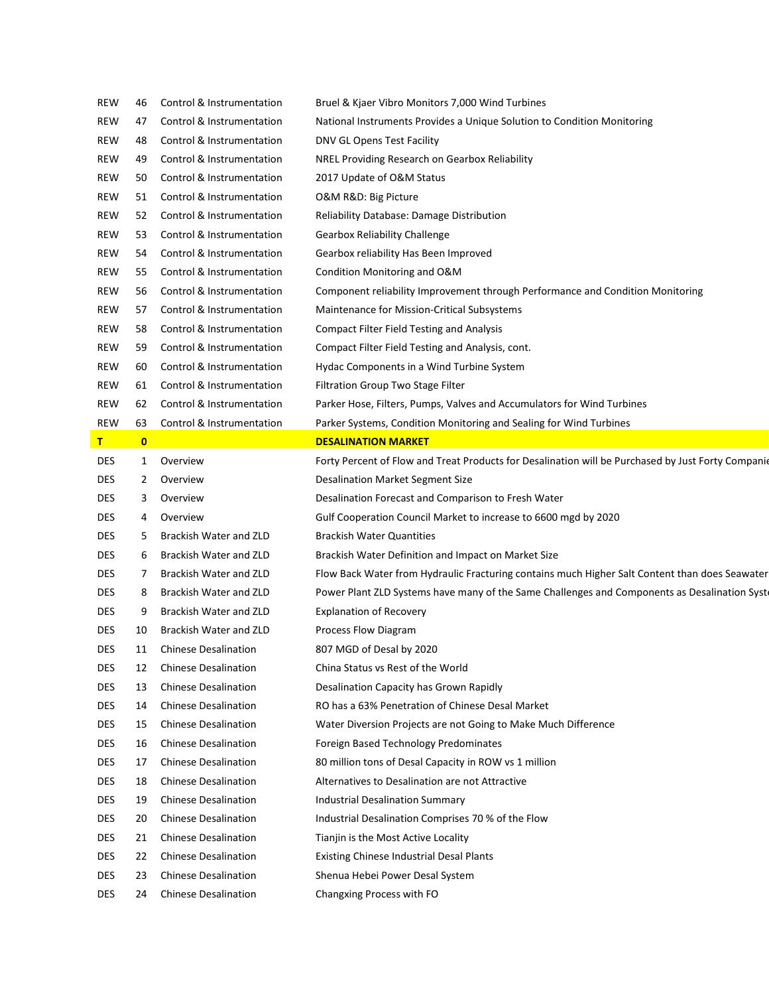| REW        | 46           | Control & Instrumentation   | Bruel & Kjaer Vibro Monitors 7,000 Wind Turbines                                                   |
|------------|--------------|-----------------------------|----------------------------------------------------------------------------------------------------|
| REW        | 47           | Control & Instrumentation   | National Instruments Provides a Unique Solution to Condition Monitoring                            |
| REW        | 48           | Control & Instrumentation   | DNV GL Opens Test Facility                                                                         |
| <b>REW</b> | 49           | Control & Instrumentation   | NREL Providing Research on Gearbox Reliability                                                     |
| REW        | 50           | Control & Instrumentation   | 2017 Update of O&M Status                                                                          |
| REW        | 51           | Control & Instrumentation   | O&M R&D: Big Picture                                                                               |
| REW        | 52           | Control & Instrumentation   | Reliability Database: Damage Distribution                                                          |
| <b>REW</b> | 53           | Control & Instrumentation   | <b>Gearbox Reliability Challenge</b>                                                               |
| REW        | 54           | Control & Instrumentation   | Gearbox reliability Has Been Improved                                                              |
| REW        | 55           | Control & Instrumentation   | Condition Monitoring and O&M                                                                       |
| REW        | 56           | Control & Instrumentation   | Component reliability Improvement through Performance and Condition Monitoring                     |
| <b>REW</b> | 57           | Control & Instrumentation   | Maintenance for Mission-Critical Subsystems                                                        |
| REW        | 58           | Control & Instrumentation   | <b>Compact Filter Field Testing and Analysis</b>                                                   |
| <b>REW</b> | 59           | Control & Instrumentation   | Compact Filter Field Testing and Analysis, cont.                                                   |
| REW        | 60           | Control & Instrumentation   | Hydac Components in a Wind Turbine System                                                          |
| <b>REW</b> | 61           | Control & Instrumentation   | Filtration Group Two Stage Filter                                                                  |
| <b>REW</b> | 62           | Control & Instrumentation   | Parker Hose, Filters, Pumps, Valves and Accumulators for Wind Turbines                             |
| <b>REW</b> | 63           | Control & Instrumentation   | Parker Systems, Condition Monitoring and Sealing for Wind Turbines                                 |
| T          | $\mathbf{0}$ |                             | <b>DESALINATION MARKET</b>                                                                         |
| <b>DES</b> | 1            | Overview                    | Forty Percent of Flow and Treat Products for Desalination will be Purchased by Just Forty Companio |
| <b>DES</b> | 2            | Overview                    | <b>Desalination Market Segment Size</b>                                                            |
| <b>DES</b> | 3            | Overview                    | Desalination Forecast and Comparison to Fresh Water                                                |
| DES        | 4            | Overview                    | Gulf Cooperation Council Market to increase to 6600 mgd by 2020                                    |
| <b>DES</b> | 5            | Brackish Water and ZLD      | <b>Brackish Water Quantities</b>                                                                   |
| DES        | 6            | Brackish Water and ZLD      | Brackish Water Definition and Impact on Market Size                                                |
| <b>DES</b> | 7            | Brackish Water and ZLD      | Flow Back Water from Hydraulic Fracturing contains much Higher Salt Content than does Seawater     |
| <b>DES</b> | 8            | Brackish Water and ZLD      | Power Plant ZLD Systems have many of the Same Challenges and Components as Desalination Syst       |
| DES        | 9            |                             |                                                                                                    |
| DES        |              | Brackish Water and ZLD      | <b>Explanation of Recovery</b>                                                                     |
|            | 10           | Brackish Water and ZLD      | Process Flow Diagram                                                                               |
| DES        | 11           | <b>Chinese Desalination</b> | 807 MGD of Desal by 2020                                                                           |
| <b>DES</b> | 12           | <b>Chinese Desalination</b> | China Status vs Rest of the World                                                                  |
| DES        | 13           | <b>Chinese Desalination</b> | Desalination Capacity has Grown Rapidly                                                            |
| DES        | 14           | <b>Chinese Desalination</b> | RO has a 63% Penetration of Chinese Desal Market                                                   |
| <b>DES</b> | 15           | <b>Chinese Desalination</b> | Water Diversion Projects are not Going to Make Much Difference                                     |
| DES        | 16           | <b>Chinese Desalination</b> | Foreign Based Technology Predominates                                                              |
| DES        | 17           | <b>Chinese Desalination</b> | 80 million tons of Desal Capacity in ROW vs 1 million                                              |
| <b>DES</b> | 18           | <b>Chinese Desalination</b> | Alternatives to Desalination are not Attractive                                                    |
| <b>DES</b> | 19           | <b>Chinese Desalination</b> | <b>Industrial Desalination Summary</b>                                                             |
| DES        | 20           | <b>Chinese Desalination</b> | Industrial Desalination Comprises 70 % of the Flow                                                 |
| <b>DES</b> | 21           | <b>Chinese Desalination</b> | Tianjin is the Most Active Locality                                                                |
| <b>DES</b> | 22           | <b>Chinese Desalination</b> | <b>Existing Chinese Industrial Desal Plants</b>                                                    |
| <b>DES</b> | 23           | <b>Chinese Desalination</b> | Shenua Hebei Power Desal System                                                                    |
|            |              |                             |                                                                                                    |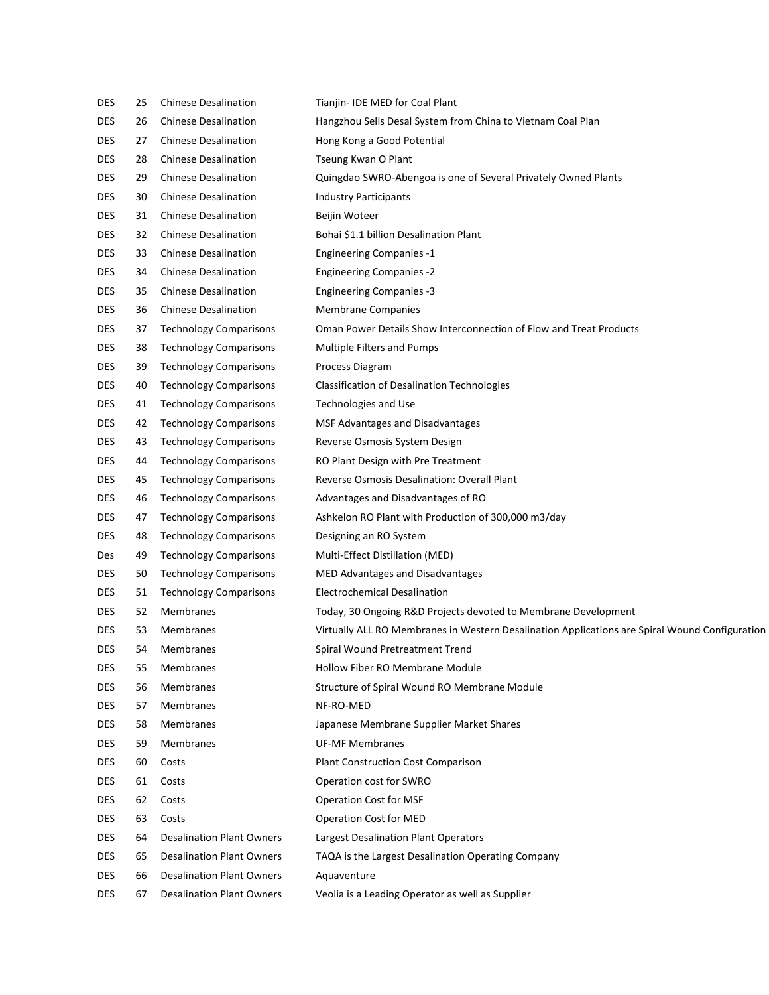| <b>DES</b> | 25 | <b>Chinese Desalination</b>      | Tianjin-IDE MED for Coal Plant                                                                 |
|------------|----|----------------------------------|------------------------------------------------------------------------------------------------|
| <b>DES</b> | 26 | <b>Chinese Desalination</b>      | Hangzhou Sells Desal System from China to Vietnam Coal Plan                                    |
| DES        | 27 | <b>Chinese Desalination</b>      | Hong Kong a Good Potential                                                                     |
| <b>DES</b> | 28 | <b>Chinese Desalination</b>      | Tseung Kwan O Plant                                                                            |
| <b>DES</b> | 29 | <b>Chinese Desalination</b>      | Quingdao SWRO-Abengoa is one of Several Privately Owned Plants                                 |
| <b>DES</b> | 30 | <b>Chinese Desalination</b>      | <b>Industry Participants</b>                                                                   |
| DES        | 31 | <b>Chinese Desalination</b>      | Beijin Woteer                                                                                  |
| <b>DES</b> | 32 | <b>Chinese Desalination</b>      | Bohai \$1.1 billion Desalination Plant                                                         |
| DES        | 33 | <b>Chinese Desalination</b>      | <b>Engineering Companies -1</b>                                                                |
| <b>DES</b> | 34 | <b>Chinese Desalination</b>      | <b>Engineering Companies -2</b>                                                                |
| DES        | 35 | <b>Chinese Desalination</b>      | <b>Engineering Companies -3</b>                                                                |
| <b>DES</b> | 36 | <b>Chinese Desalination</b>      | <b>Membrane Companies</b>                                                                      |
| DES        | 37 | <b>Technology Comparisons</b>    | Oman Power Details Show Interconnection of Flow and Treat Products                             |
| <b>DES</b> | 38 | <b>Technology Comparisons</b>    | Multiple Filters and Pumps                                                                     |
| DES        | 39 | <b>Technology Comparisons</b>    | Process Diagram                                                                                |
| <b>DES</b> | 40 | <b>Technology Comparisons</b>    | <b>Classification of Desalination Technologies</b>                                             |
| <b>DES</b> | 41 | <b>Technology Comparisons</b>    | <b>Technologies and Use</b>                                                                    |
| <b>DES</b> | 42 | <b>Technology Comparisons</b>    | MSF Advantages and Disadvantages                                                               |
| DES        | 43 | <b>Technology Comparisons</b>    | Reverse Osmosis System Design                                                                  |
| <b>DES</b> | 44 | <b>Technology Comparisons</b>    | RO Plant Design with Pre Treatment                                                             |
| <b>DES</b> | 45 | <b>Technology Comparisons</b>    | Reverse Osmosis Desalination: Overall Plant                                                    |
| <b>DES</b> | 46 | <b>Technology Comparisons</b>    | Advantages and Disadvantages of RO                                                             |
| DES        | 47 | <b>Technology Comparisons</b>    | Ashkelon RO Plant with Production of 300,000 m3/day                                            |
| <b>DES</b> | 48 | <b>Technology Comparisons</b>    | Designing an RO System                                                                         |
| Des        | 49 | <b>Technology Comparisons</b>    | Multi-Effect Distillation (MED)                                                                |
| DES        | 50 | <b>Technology Comparisons</b>    | MED Advantages and Disadvantages                                                               |
| DES        | 51 | <b>Technology Comparisons</b>    | <b>Electrochemical Desalination</b>                                                            |
| <b>DES</b> | 52 | Membranes                        | Today, 30 Ongoing R&D Projects devoted to Membrane Development                                 |
| <b>DES</b> | 53 | <b>Membranes</b>                 | Virtually ALL RO Membranes in Western Desalination Applications are Spiral Wound Configuration |
| <b>DES</b> | 54 | Membranes                        | Spiral Wound Pretreatment Trend                                                                |
| DES        | 55 | Membranes                        | <b>Hollow Fiber RO Membrane Module</b>                                                         |
| DES        | 56 | Membranes                        | Structure of Spiral Wound RO Membrane Module                                                   |
| DES        | 57 | Membranes                        | NF-RO-MED                                                                                      |
| DES        | 58 | Membranes                        | Japanese Membrane Supplier Market Shares                                                       |
| DES        | 59 | Membranes                        | <b>UF-MF Membranes</b>                                                                         |
| DES        | 60 | Costs                            | <b>Plant Construction Cost Comparison</b>                                                      |
| DES        | 61 | Costs                            | Operation cost for SWRO                                                                        |
| DES        | 62 | Costs                            | <b>Operation Cost for MSF</b>                                                                  |
| DES        | 63 | Costs                            | Operation Cost for MED                                                                         |
| DES        | 64 | <b>Desalination Plant Owners</b> | Largest Desalination Plant Operators                                                           |
| DES        | 65 | <b>Desalination Plant Owners</b> | TAQA is the Largest Desalination Operating Company                                             |
| DES        | 66 | <b>Desalination Plant Owners</b> | Aquaventure                                                                                    |
| DES        | 67 | <b>Desalination Plant Owners</b> | Veolia is a Leading Operator as well as Supplier                                               |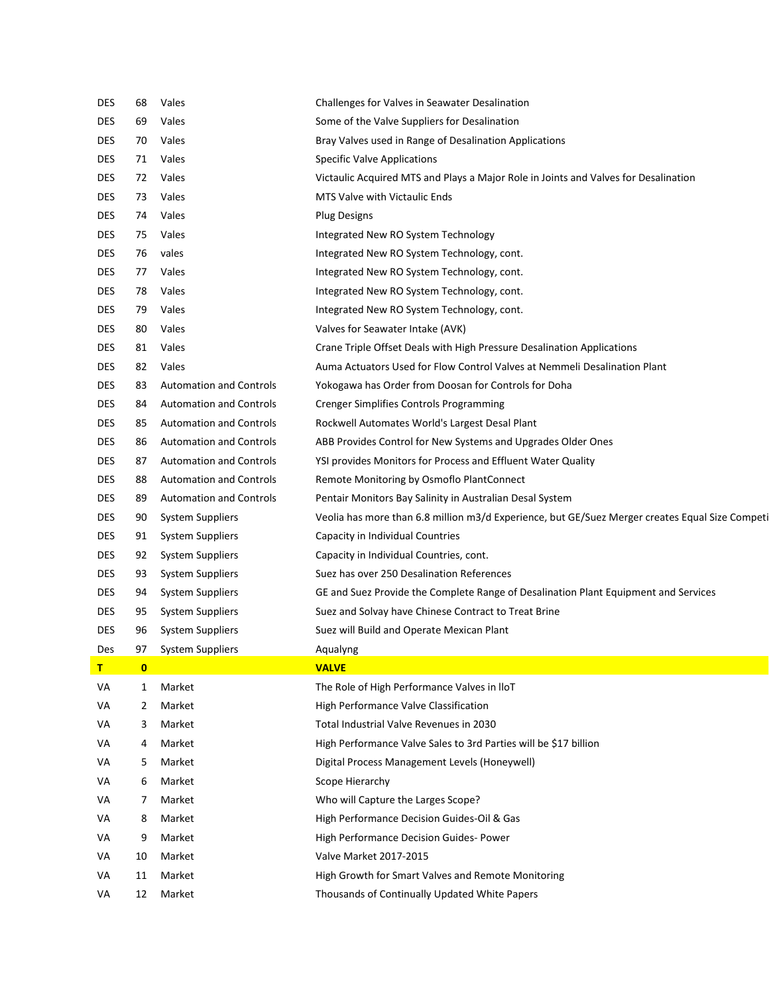| <b>DES</b>   | 68       | Vales                          | Challenges for Valves in Seawater Desalination                                                  |
|--------------|----------|--------------------------------|-------------------------------------------------------------------------------------------------|
| <b>DES</b>   | 69       | Vales                          | Some of the Valve Suppliers for Desalination                                                    |
| <b>DES</b>   | 70       | Vales                          | Bray Valves used in Range of Desalination Applications                                          |
| <b>DES</b>   | 71       | Vales                          | <b>Specific Valve Applications</b>                                                              |
| <b>DES</b>   | 72       | Vales                          | Victaulic Acquired MTS and Plays a Major Role in Joints and Valves for Desalination             |
| <b>DES</b>   | 73       | Vales                          | MTS Valve with Victaulic Ends                                                                   |
| <b>DES</b>   | 74       | Vales                          | <b>Plug Designs</b>                                                                             |
| <b>DES</b>   | 75       | Vales                          | Integrated New RO System Technology                                                             |
| <b>DES</b>   | 76       | vales                          | Integrated New RO System Technology, cont.                                                      |
| <b>DES</b>   | 77       | Vales                          | Integrated New RO System Technology, cont.                                                      |
| <b>DES</b>   | 78       | Vales                          | Integrated New RO System Technology, cont.                                                      |
| <b>DES</b>   | 79       | Vales                          | Integrated New RO System Technology, cont.                                                      |
| <b>DES</b>   | 80       | Vales                          | Valves for Seawater Intake (AVK)                                                                |
| <b>DES</b>   | 81       | Vales                          | Crane Triple Offset Deals with High Pressure Desalination Applications                          |
| DES          | 82       | Vales                          | Auma Actuators Used for Flow Control Valves at Nemmeli Desalination Plant                       |
| <b>DES</b>   | 83       | <b>Automation and Controls</b> | Yokogawa has Order from Doosan for Controls for Doha                                            |
| <b>DES</b>   | 84       | <b>Automation and Controls</b> | <b>Crenger Simplifies Controls Programming</b>                                                  |
| <b>DES</b>   | 85       | <b>Automation and Controls</b> | Rockwell Automates World's Largest Desal Plant                                                  |
| <b>DES</b>   | 86       | <b>Automation and Controls</b> | ABB Provides Control for New Systems and Upgrades Older Ones                                    |
| <b>DES</b>   | 87       | <b>Automation and Controls</b> | YSI provides Monitors for Process and Effluent Water Quality                                    |
| <b>DES</b>   | 88       | <b>Automation and Controls</b> | Remote Monitoring by Osmoflo PlantConnect                                                       |
| <b>DES</b>   | 89       | <b>Automation and Controls</b> | Pentair Monitors Bay Salinity in Australian Desal System                                        |
| <b>DES</b>   | 90       | <b>System Suppliers</b>        | Veolia has more than 6.8 million m3/d Experience, but GE/Suez Merger creates Equal Size Competi |
| <b>DES</b>   | 91       | <b>System Suppliers</b>        | Capacity in Individual Countries                                                                |
| DES          | 92       | <b>System Suppliers</b>        | Capacity in Individual Countries, cont.                                                         |
| DES          | 93       | <b>System Suppliers</b>        | Suez has over 250 Desalination References                                                       |
| <b>DES</b>   | 94       | <b>System Suppliers</b>        | GE and Suez Provide the Complete Range of Desalination Plant Equipment and Services             |
| <b>DES</b>   | 95       | <b>System Suppliers</b>        | Suez and Solvay have Chinese Contract to Treat Brine                                            |
| <b>DES</b>   | 96       | <b>System Suppliers</b>        | Suez will Build and Operate Mexican Plant                                                       |
| Des          | 97       | <b>System Suppliers</b>        | Aqualyng                                                                                        |
| $\mathsf{T}$ | $\bf{0}$ |                                | <b>VALVE</b>                                                                                    |
| VA           | 1        | Market                         | The Role of High Performance Valves in IloT                                                     |
| VA           | 2        | Market                         | High Performance Valve Classification                                                           |
| VA           | 3        | Market                         | Total Industrial Valve Revenues in 2030                                                         |
| VA           | 4        | Market                         | High Performance Valve Sales to 3rd Parties will be \$17 billion                                |
| VA           | 5        | Market                         | Digital Process Management Levels (Honeywell)                                                   |
| VA           | 6        | Market                         | Scope Hierarchy                                                                                 |
| VA           | 7        | Market                         | Who will Capture the Larges Scope?                                                              |
| VA           | 8        | Market                         | High Performance Decision Guides-Oil & Gas                                                      |
| VA           | 9        | Market                         | High Performance Decision Guides- Power                                                         |
| VA           | 10       | Market                         | Valve Market 2017-2015                                                                          |
| VA           | 11       | Market                         | High Growth for Smart Valves and Remote Monitoring                                              |
| VA           | 12       | Market                         | Thousands of Continually Updated White Papers                                                   |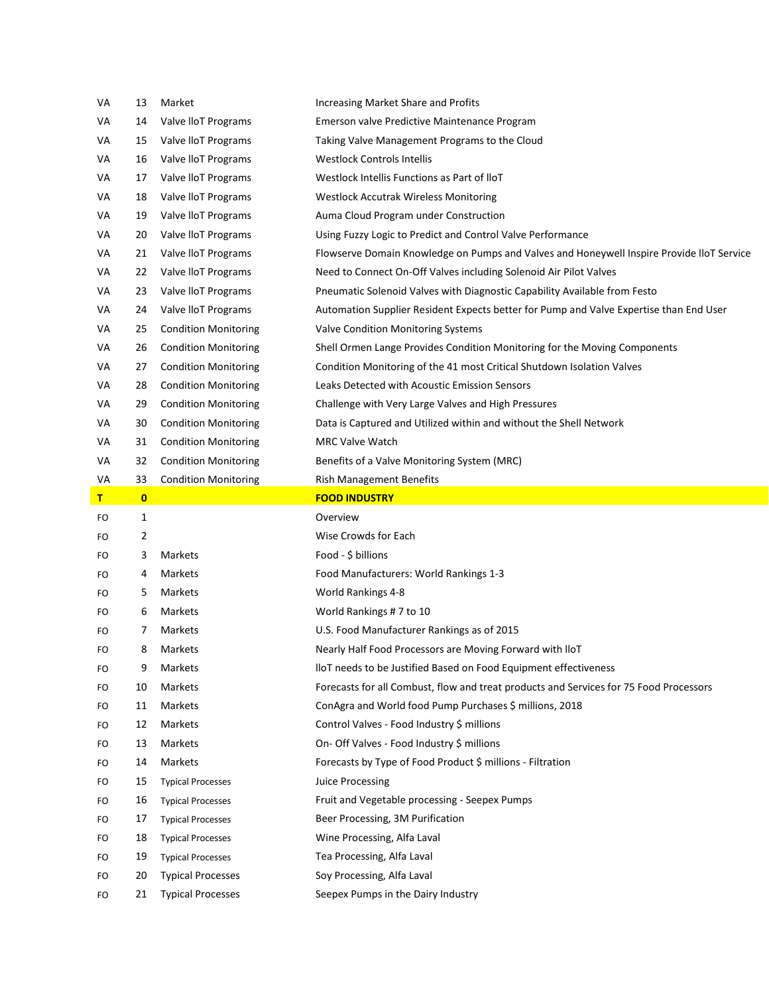| VA | 13           | Market                      | Increasing Market Share and Profits                                                       |
|----|--------------|-----------------------------|-------------------------------------------------------------------------------------------|
| VA | 14           | Valve lloT Programs         | Emerson valve Predictive Maintenance Program                                              |
| VA | 15           | Valve lloT Programs         | Taking Valve Management Programs to the Cloud                                             |
| VA | 16           | Valve lloT Programs         | <b>Westlock Controls Intellis</b>                                                         |
| VA | 17           | Valve lloT Programs         | Westlock Intellis Functions as Part of IloT                                               |
| VA | 18           | Valve lloT Programs         | <b>Westlock Accutrak Wireless Monitoring</b>                                              |
| VA | 19           | Valve lloT Programs         | Auma Cloud Program under Construction                                                     |
| VA | 20           | Valve lloT Programs         | Using Fuzzy Logic to Predict and Control Valve Performance                                |
| VA | 21           | Valve lloT Programs         | Flowserve Domain Knowledge on Pumps and Valves and Honeywell Inspire Provide IIoT Service |
| VA | 22           | Valve lloT Programs         | Need to Connect On-Off Valves including Solenoid Air Pilot Valves                         |
| VA | 23           | Valve lloT Programs         | Pneumatic Solenoid Valves with Diagnostic Capability Available from Festo                 |
| VA | 24           | Valve lloT Programs         | Automation Supplier Resident Expects better for Pump and Valve Expertise than End User    |
| VA | 25           | <b>Condition Monitoring</b> | Valve Condition Monitoring Systems                                                        |
| VA | 26           | <b>Condition Monitoring</b> | Shell Ormen Lange Provides Condition Monitoring for the Moving Components                 |
| VA | 27           | <b>Condition Monitoring</b> | Condition Monitoring of the 41 most Critical Shutdown Isolation Valves                    |
| VA | 28           | <b>Condition Monitoring</b> | Leaks Detected with Acoustic Emission Sensors                                             |
| VA | 29           | <b>Condition Monitoring</b> | Challenge with Very Large Valves and High Pressures                                       |
| VA | 30           | <b>Condition Monitoring</b> | Data is Captured and Utilized within and without the Shell Network                        |
| VA | 31           | <b>Condition Monitoring</b> | <b>MRC Valve Watch</b>                                                                    |
| VA | 32           | <b>Condition Monitoring</b> | Benefits of a Valve Monitoring System (MRC)                                               |
| VA | 33           | <b>Condition Monitoring</b> | Rish Management Benefits                                                                  |
| т  | $\mathbf{0}$ |                             | <b>FOOD INDUSTRY</b>                                                                      |
| FO | 1            |                             | Overview                                                                                  |
| FO | 2            |                             | Wise Crowds for Each                                                                      |
| FO | 3            | Markets                     | Food - \$ billions                                                                        |
| FO | 4            | Markets                     | Food Manufacturers: World Rankings 1-3                                                    |
| FO | 5            | Markets                     | World Rankings 4-8                                                                        |
| FO | 6            | Markets                     | World Rankings #7 to 10                                                                   |
| FO | 7            | Markets                     | U.S. Food Manufacturer Rankings as of 2015                                                |
| FO | 8            | Markets                     | Nearly Half Food Processors are Moving Forward with IloT                                  |
| FO | 9            | Markets                     | lloT needs to be Justified Based on Food Equipment effectiveness                          |
| FO | 10           | Markets                     | Forecasts for all Combust, flow and treat products and Services for 75 Food Processors    |
| FO | 11           | Markets                     | ConAgra and World food Pump Purchases \$ millions, 2018                                   |
| FO | 12           | Markets                     | Control Valves - Food Industry \$ millions                                                |
| FO | 13           | Markets                     | On- Off Valves - Food Industry \$ millions                                                |
| FO | 14           | Markets                     | Forecasts by Type of Food Product \$ millions - Filtration                                |
| FO | 15           | <b>Typical Processes</b>    | Juice Processing                                                                          |
| FO | 16           | <b>Typical Processes</b>    | Fruit and Vegetable processing - Seepex Pumps                                             |
| FO | 17           | <b>Typical Processes</b>    | Beer Processing, 3M Purification                                                          |
|    |              |                             |                                                                                           |
| FO | 18           | <b>Typical Processes</b>    | Wine Processing, Alfa Laval                                                               |
| FO | 19           | <b>Typical Processes</b>    | Tea Processing, Alfa Laval                                                                |
| FO | 20           | <b>Typical Processes</b>    | Soy Processing, Alfa Laval                                                                |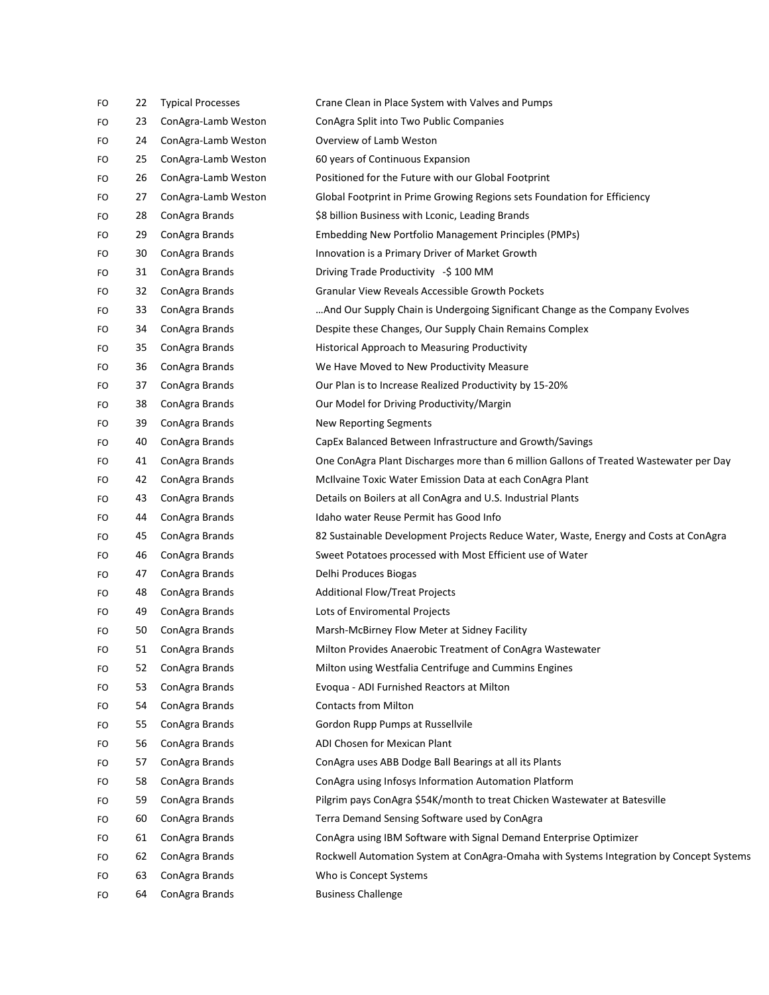| FO | 22 | <b>Typical Processes</b> | Crane Clean in Place System with Valves and Pumps                                       |
|----|----|--------------------------|-----------------------------------------------------------------------------------------|
| FO | 23 | ConAgra-Lamb Weston      | ConAgra Split into Two Public Companies                                                 |
| FO | 24 | ConAgra-Lamb Weston      | Overview of Lamb Weston                                                                 |
| FO | 25 | ConAgra-Lamb Weston      | 60 years of Continuous Expansion                                                        |
| FO | 26 | ConAgra-Lamb Weston      | Positioned for the Future with our Global Footprint                                     |
| FO | 27 | ConAgra-Lamb Weston      | Global Footprint in Prime Growing Regions sets Foundation for Efficiency                |
| FO | 28 | ConAgra Brands           | \$8 billion Business with Lconic, Leading Brands                                        |
| FO | 29 | ConAgra Brands           | Embedding New Portfolio Management Principles (PMPs)                                    |
| FO | 30 | ConAgra Brands           | Innovation is a Primary Driver of Market Growth                                         |
| FO | 31 | ConAgra Brands           | Driving Trade Productivity -\$100 MM                                                    |
| FO | 32 | ConAgra Brands           | Granular View Reveals Accessible Growth Pockets                                         |
| FO | 33 | ConAgra Brands           | And Our Supply Chain is Undergoing Significant Change as the Company Evolves            |
| FO | 34 | ConAgra Brands           | Despite these Changes, Our Supply Chain Remains Complex                                 |
| FO | 35 | ConAgra Brands           | Historical Approach to Measuring Productivity                                           |
| FO | 36 | ConAgra Brands           | We Have Moved to New Productivity Measure                                               |
| FO | 37 | ConAgra Brands           | Our Plan is to Increase Realized Productivity by 15-20%                                 |
| FO | 38 | ConAgra Brands           | Our Model for Driving Productivity/Margin                                               |
| FO | 39 | ConAgra Brands           | <b>New Reporting Segments</b>                                                           |
| FO | 40 | ConAgra Brands           | CapEx Balanced Between Infrastructure and Growth/Savings                                |
| FO | 41 | ConAgra Brands           | One ConAgra Plant Discharges more than 6 million Gallons of Treated Wastewater per Day  |
| FO | 42 | ConAgra Brands           | McIlvaine Toxic Water Emission Data at each ConAgra Plant                               |
| FO | 43 | ConAgra Brands           | Details on Boilers at all ConAgra and U.S. Industrial Plants                            |
| FO | 44 | ConAgra Brands           | Idaho water Reuse Permit has Good Info                                                  |
| FO | 45 | ConAgra Brands           | 82 Sustainable Development Projects Reduce Water, Waste, Energy and Costs at ConAgra    |
| FO | 46 | ConAgra Brands           | Sweet Potatoes processed with Most Efficient use of Water                               |
| FO | 47 | ConAgra Brands           | Delhi Produces Biogas                                                                   |
| FO | 48 | ConAgra Brands           | <b>Additional Flow/Treat Projects</b>                                                   |
| FO | 49 | ConAgra Brands           | Lots of Enviromental Projects                                                           |
| FO | 50 | ConAgra Brands           | Marsh-McBirney Flow Meter at Sidney Facility                                            |
| FO | 51 | ConAgra Brands           | Milton Provides Anaerobic Treatment of ConAgra Wastewater                               |
| FO | 52 | ConAgra Brands           | Milton using Westfalia Centrifuge and Cummins Engines                                   |
| FO | 53 | ConAgra Brands           | Evoqua - ADI Furnished Reactors at Milton                                               |
| FO | 54 | ConAgra Brands           | <b>Contacts from Milton</b>                                                             |
| FO | 55 | ConAgra Brands           | Gordon Rupp Pumps at Russellvile                                                        |
| FO | 56 | ConAgra Brands           | ADI Chosen for Mexican Plant                                                            |
| FO | 57 | ConAgra Brands           | ConAgra uses ABB Dodge Ball Bearings at all its Plants                                  |
| FO | 58 | ConAgra Brands           | ConAgra using Infosys Information Automation Platform                                   |
| FO | 59 | ConAgra Brands           | Pilgrim pays ConAgra \$54K/month to treat Chicken Wastewater at Batesville              |
| FO | 60 | ConAgra Brands           | Terra Demand Sensing Software used by ConAgra                                           |
| FO | 61 | ConAgra Brands           | ConAgra using IBM Software with Signal Demand Enterprise Optimizer                      |
| FO | 62 | ConAgra Brands           | Rockwell Automation System at ConAgra-Omaha with Systems Integration by Concept Systems |
| FO | 63 | ConAgra Brands           | Who is Concept Systems                                                                  |
| FO | 64 | ConAgra Brands           | <b>Business Challenge</b>                                                               |
|    |    |                          |                                                                                         |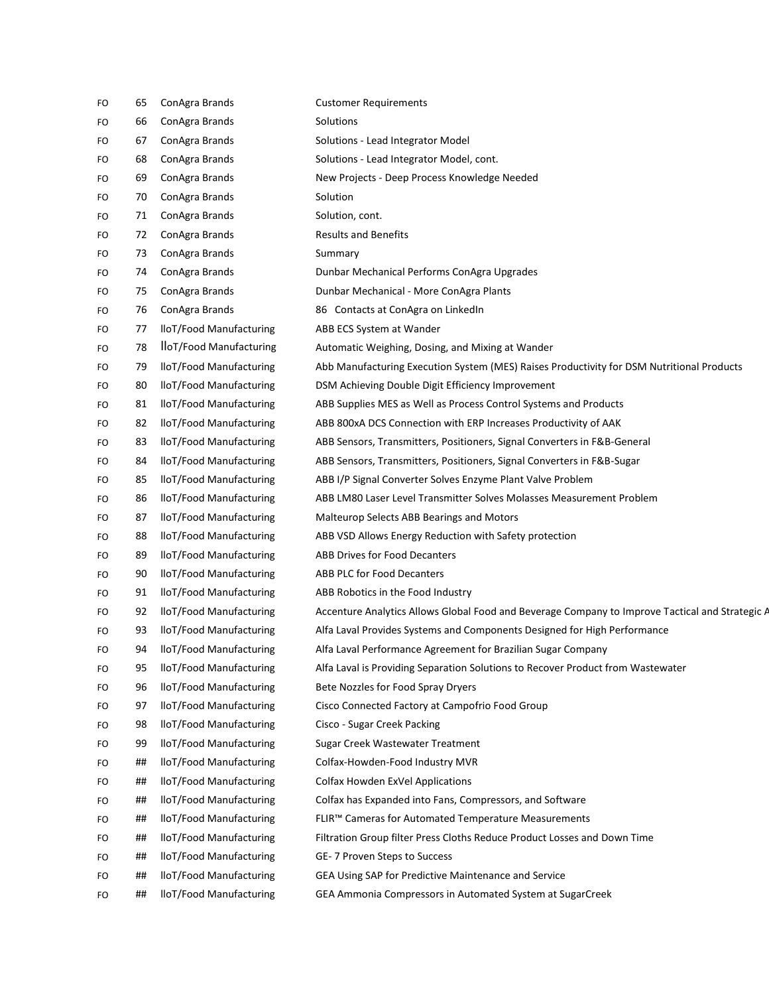| FO | 65 | ConAgra Brands          | <b>Customer Requirements</b>                                                                    |
|----|----|-------------------------|-------------------------------------------------------------------------------------------------|
| FO | 66 | ConAgra Brands          | Solutions                                                                                       |
| FO | 67 | ConAgra Brands          | Solutions - Lead Integrator Model                                                               |
| FO | 68 | ConAgra Brands          | Solutions - Lead Integrator Model, cont.                                                        |
| FO | 69 | ConAgra Brands          | New Projects - Deep Process Knowledge Needed                                                    |
| FO | 70 | ConAgra Brands          | Solution                                                                                        |
| FO | 71 | ConAgra Brands          | Solution, cont.                                                                                 |
| FO | 72 | ConAgra Brands          | <b>Results and Benefits</b>                                                                     |
| FO | 73 | ConAgra Brands          | Summary                                                                                         |
| FO | 74 | ConAgra Brands          | Dunbar Mechanical Performs ConAgra Upgrades                                                     |
| FO | 75 | ConAgra Brands          | Dunbar Mechanical - More ConAgra Plants                                                         |
| FO | 76 | ConAgra Brands          | 86 Contacts at ConAgra on LinkedIn                                                              |
| FO | 77 | lloT/Food Manufacturing | ABB ECS System at Wander                                                                        |
| FO | 78 | lloT/Food Manufacturing | Automatic Weighing, Dosing, and Mixing at Wander                                                |
| FO | 79 | lloT/Food Manufacturing | Abb Manufacturing Execution System (MES) Raises Productivity for DSM Nutritional Products       |
| FO | 80 | lloT/Food Manufacturing | DSM Achieving Double Digit Efficiency Improvement                                               |
| FO | 81 | lloT/Food Manufacturing | ABB Supplies MES as Well as Process Control Systems and Products                                |
| FO | 82 | lloT/Food Manufacturing | ABB 800xA DCS Connection with ERP Increases Productivity of AAK                                 |
| FO | 83 | lloT/Food Manufacturing | ABB Sensors, Transmitters, Positioners, Signal Converters in F&B-General                        |
| FO | 84 | lloT/Food Manufacturing | ABB Sensors, Transmitters, Positioners, Signal Converters in F&B-Sugar                          |
| FO | 85 | lloT/Food Manufacturing | ABB I/P Signal Converter Solves Enzyme Plant Valve Problem                                      |
| FO | 86 | lloT/Food Manufacturing | ABB LM80 Laser Level Transmitter Solves Molasses Measurement Problem                            |
| FO | 87 | lloT/Food Manufacturing | Malteurop Selects ABB Bearings and Motors                                                       |
| FO | 88 | lloT/Food Manufacturing | ABB VSD Allows Energy Reduction with Safety protection                                          |
| FO | 89 | lloT/Food Manufacturing | <b>ABB Drives for Food Decanters</b>                                                            |
| FO | 90 | lloT/Food Manufacturing | <b>ABB PLC for Food Decanters</b>                                                               |
| FO | 91 | lloT/Food Manufacturing | ABB Robotics in the Food Industry                                                               |
| FO | 92 | lloT/Food Manufacturing | Accenture Analytics Allows Global Food and Beverage Company to Improve Tactical and Strategic A |
| FO | 93 | lloT/Food Manufacturing | Alfa Laval Provides Systems and Components Designed for High Performance                        |
| FO | 94 | lloT/Food Manufacturing | Alfa Laval Performance Agreement for Brazilian Sugar Company                                    |
| FO | 95 | lloT/Food Manufacturing | Alfa Laval is Providing Separation Solutions to Recover Product from Wastewater                 |
| FO | 96 | lloT/Food Manufacturing | Bete Nozzles for Food Spray Dryers                                                              |
| FO | 97 | lloT/Food Manufacturing | Cisco Connected Factory at Campofrio Food Group                                                 |
| FO | 98 | lloT/Food Manufacturing | Cisco - Sugar Creek Packing                                                                     |
| FO | 99 | lloT/Food Manufacturing | Sugar Creek Wastewater Treatment                                                                |
| FO | ## | lloT/Food Manufacturing | Colfax-Howden-Food Industry MVR                                                                 |
| FO | ## | lloT/Food Manufacturing | Colfax Howden ExVel Applications                                                                |
| FO | ## | lloT/Food Manufacturing | Colfax has Expanded into Fans, Compressors, and Software                                        |
| FO | ## | lloT/Food Manufacturing | FLIR™ Cameras for Automated Temperature Measurements                                            |
| FO | ## | lloT/Food Manufacturing | Filtration Group filter Press Cloths Reduce Product Losses and Down Time                        |
| FO | ## | lloT/Food Manufacturing | GE-7 Proven Steps to Success                                                                    |
| FO | ## | lloT/Food Manufacturing | GEA Using SAP for Predictive Maintenance and Service                                            |
| FO | ## | lloT/Food Manufacturing | GEA Ammonia Compressors in Automated System at SugarCreek                                       |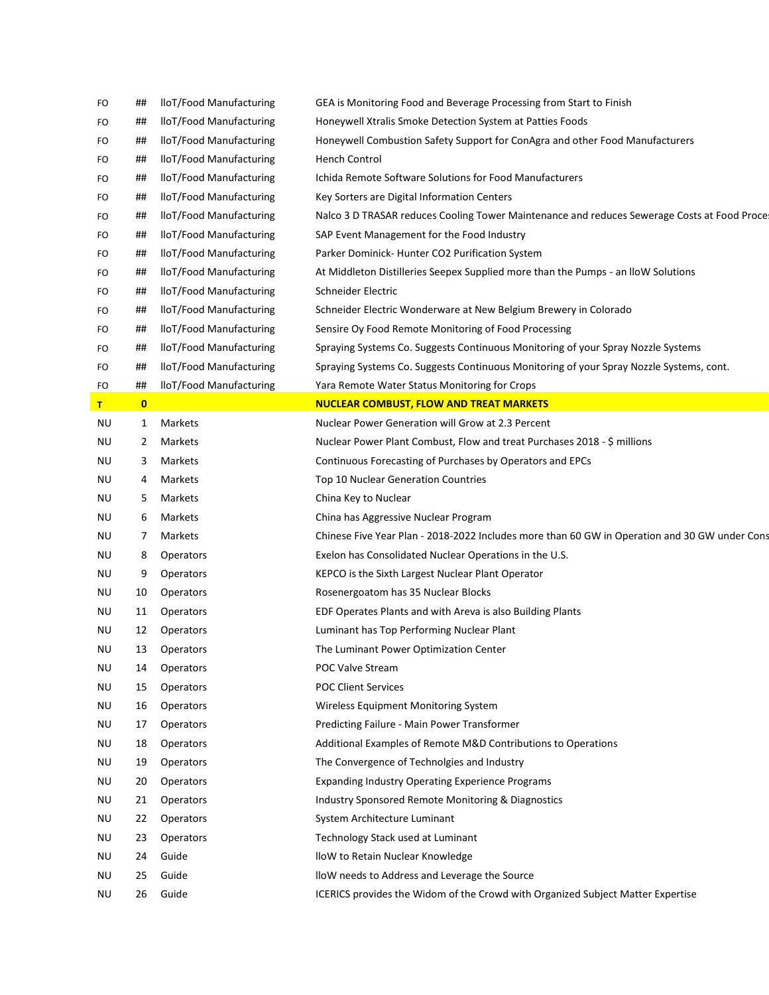| FO  | ##           | lloT/Food Manufacturing | GEA is Monitoring Food and Beverage Processing from Start to Finish                                                              |
|-----|--------------|-------------------------|----------------------------------------------------------------------------------------------------------------------------------|
| FO  | ##           | lloT/Food Manufacturing | Honeywell Xtralis Smoke Detection System at Patties Foods                                                                        |
| FO  | ##           | lloT/Food Manufacturing | Honeywell Combustion Safety Support for ConAgra and other Food Manufacturers                                                     |
| FO  | ##           | lloT/Food Manufacturing | <b>Hench Control</b>                                                                                                             |
| FO  | ##           | lloT/Food Manufacturing | Ichida Remote Software Solutions for Food Manufacturers                                                                          |
| FO  | ##           | lloT/Food Manufacturing | Key Sorters are Digital Information Centers                                                                                      |
| FO  | ##           | lloT/Food Manufacturing | Nalco 3 D TRASAR reduces Cooling Tower Maintenance and reduces Sewerage Costs at Food Proce                                      |
| FO  | ##           | lloT/Food Manufacturing | SAP Event Management for the Food Industry                                                                                       |
| FO  | ##           | lloT/Food Manufacturing | Parker Dominick-Hunter CO2 Purification System                                                                                   |
| FO  | ##           | lloT/Food Manufacturing | At Middleton Distilleries Seepex Supplied more than the Pumps - an IloW Solutions                                                |
| FO  | ##           | lloT/Food Manufacturing | Schneider Electric                                                                                                               |
| FO  | ##           | lloT/Food Manufacturing | Schneider Electric Wonderware at New Belgium Brewery in Colorado                                                                 |
| FO  | ##           | lloT/Food Manufacturing | Sensire Oy Food Remote Monitoring of Food Processing                                                                             |
| FO  | ##           | lloT/Food Manufacturing | Spraying Systems Co. Suggests Continuous Monitoring of your Spray Nozzle Systems                                                 |
| FO  | ##           | lloT/Food Manufacturing | Spraying Systems Co. Suggests Continuous Monitoring of your Spray Nozzle Systems, cont.                                          |
| FO  | ##           | lloT/Food Manufacturing | Yara Remote Water Status Monitoring for Crops                                                                                    |
| T   | $\mathbf{0}$ |                         | <b>NUCLEAR COMBUST, FLOW AND TREAT MARKETS</b>                                                                                   |
| ΝU  | 1            | Markets                 | Nuclear Power Generation will Grow at 2.3 Percent                                                                                |
| ΝU  | 2            | Markets                 | Nuclear Power Plant Combust, Flow and treat Purchases 2018 - \$ millions                                                         |
| ΝU  | 3            | Markets                 | Continuous Forecasting of Purchases by Operators and EPCs                                                                        |
| ΝU  | 4            | Markets                 | Top 10 Nuclear Generation Countries                                                                                              |
| ΝU  | 5            | Markets                 | China Key to Nuclear                                                                                                             |
| ΝU  | 6            | Markets                 | China has Aggressive Nuclear Program                                                                                             |
| ΝU  | 7            | Markets                 | Chinese Five Year Plan - 2018-2022 Includes more than 60 GW in Operation and 30 GW under Cons                                    |
| ΝU  | 8            | Operators               | Exelon has Consolidated Nuclear Operations in the U.S.                                                                           |
| ΝU  | 9            | <b>Operators</b>        | KEPCO is the Sixth Largest Nuclear Plant Operator                                                                                |
| ΝU  | 10           | <b>Operators</b>        | Rosenergoatom has 35 Nuclear Blocks                                                                                              |
| ΝU  | 11           | Operators               | EDF Operates Plants and with Areva is also Building Plants                                                                       |
| ΝU  | 12           | <b>Operators</b>        | Luminant has Top Performing Nuclear Plant                                                                                        |
| ΝU  | 13           | Operators               | The Luminant Power Optimization Center                                                                                           |
| NU  | 14           | Operators               | POC Valve Stream                                                                                                                 |
| ΝU  | 15           | Operators               | <b>POC Client Services</b>                                                                                                       |
| ΝU  | 16           | <b>Operators</b>        | Wireless Equipment Monitoring System                                                                                             |
| ΝU  | 17           | <b>Operators</b>        | Predicting Failure - Main Power Transformer                                                                                      |
| ΝU  | 18           | <b>Operators</b>        | Additional Examples of Remote M&D Contributions to Operations                                                                    |
| ΝU  | 19           | <b>Operators</b>        | The Convergence of Technolgies and Industry                                                                                      |
| NU. | 20           | <b>Operators</b>        | <b>Expanding Industry Operating Experience Programs</b>                                                                          |
| ΝU  | 21           | <b>Operators</b>        | Industry Sponsored Remote Monitoring & Diagnostics                                                                               |
| ΝU  | 22           | Operators               | System Architecture Luminant                                                                                                     |
| ΝU  | 23           | <b>Operators</b>        | Technology Stack used at Luminant                                                                                                |
| ΝU  | 24           | Guide                   | lloW to Retain Nuclear Knowledge                                                                                                 |
| ΝU  |              |                         |                                                                                                                                  |
|     | 25           | Guide<br>Guide          | lloW needs to Address and Leverage the Source<br>ICERICS provides the Widom of the Crowd with Organized Subject Matter Expertise |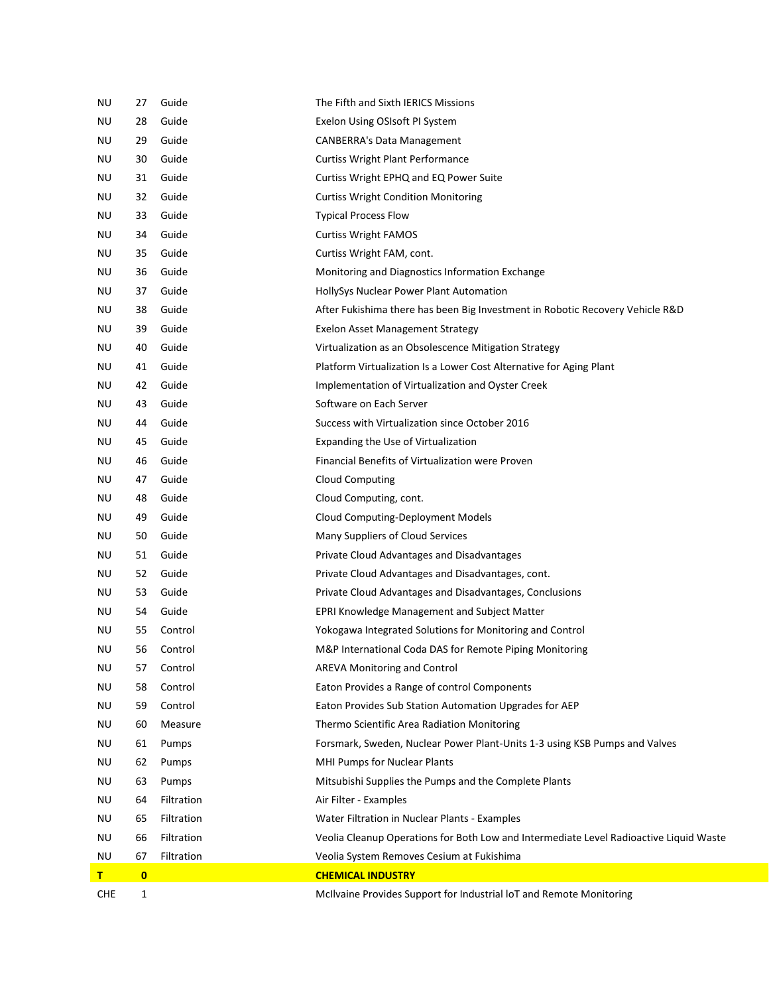| <b>CHE</b> | 1        |            | McIlvaine Provides Support for Industrial loT and Remote Monitoring                    |
|------------|----------|------------|----------------------------------------------------------------------------------------|
| T.         | $\bf{0}$ |            | <b>CHEMICAL INDUSTRY</b>                                                               |
| ΝU         | 67       | Filtration | Veolia System Removes Cesium at Fukishima                                              |
| ΝU         | 66       | Filtration | Veolia Cleanup Operations for Both Low and Intermediate Level Radioactive Liquid Waste |
| ΝU         | 65       | Filtration | Water Filtration in Nuclear Plants - Examples                                          |
| ΝU         | 64       | Filtration | Air Filter - Examples                                                                  |
| ΝU         | 63       | Pumps      | Mitsubishi Supplies the Pumps and the Complete Plants                                  |
| ΝU         | 62       | Pumps      | MHI Pumps for Nuclear Plants                                                           |
| ΝU         | 61       | Pumps      | Forsmark, Sweden, Nuclear Power Plant-Units 1-3 using KSB Pumps and Valves             |
| ΝU         | 60       | Measure    | Thermo Scientific Area Radiation Monitoring                                            |
| ΝU         | 59       | Control    | Eaton Provides Sub Station Automation Upgrades for AEP                                 |
| ΝU         | 58       | Control    | Eaton Provides a Range of control Components                                           |
| ΝU         | 57       | Control    | AREVA Monitoring and Control                                                           |
| ΝU         | 56       | Control    | M&P International Coda DAS for Remote Piping Monitoring                                |
| ΝU         | 55       | Control    | Yokogawa Integrated Solutions for Monitoring and Control                               |
| ΝU         | 54       | Guide      | <b>EPRI Knowledge Management and Subject Matter</b>                                    |
| ΝU         | 53       | Guide      | Private Cloud Advantages and Disadvantages, Conclusions                                |
| ΝU         | 52       | Guide      | Private Cloud Advantages and Disadvantages, cont.                                      |
| ΝU         | 51       | Guide      | Private Cloud Advantages and Disadvantages                                             |
| ΝU         | 50       | Guide      | Many Suppliers of Cloud Services                                                       |
| ΝU         | 49       | Guide      | Cloud Computing-Deployment Models                                                      |
| ΝU         | 48       | Guide      | Cloud Computing, cont.                                                                 |
| ΝU         | 47       | Guide      | <b>Cloud Computing</b>                                                                 |
| ΝU         | 46       | Guide      | Financial Benefits of Virtualization were Proven                                       |
| ΝU         | 45       | Guide      | Expanding the Use of Virtualization                                                    |
| ΝU         | 44       | Guide      | Success with Virtualization since October 2016                                         |
| ΝU         | 43       | Guide      | Software on Each Server                                                                |
| ΝU         | 42       | Guide      | Implementation of Virtualization and Oyster Creek                                      |
| ΝU         | 41       | Guide      | Platform Virtualization Is a Lower Cost Alternative for Aging Plant                    |
| ΝU         | 40       | Guide      | Virtualization as an Obsolescence Mitigation Strategy                                  |
| ΝU         | 39       | Guide      | Exelon Asset Management Strategy                                                       |
| ΝU         | 38       | Guide      | After Fukishima there has been Big Investment in Robotic Recovery Vehicle R&D          |
| ΝU         | 37       | Guide      | HollySys Nuclear Power Plant Automation                                                |
| ΝU         | 36       | Guide      | Monitoring and Diagnostics Information Exchange                                        |
| ΝU         | 35       | Guide      | Curtiss Wright FAM, cont.                                                              |
| ΝU         | 34       | Guide      | <b>Curtiss Wright FAMOS</b>                                                            |
| ΝU         | 33       | Guide      | <b>Typical Process Flow</b>                                                            |
| ΝU         | 32       | Guide      | <b>Curtiss Wright Condition Monitoring</b>                                             |
| ΝU         | 31       | Guide      | Curtiss Wright EPHQ and EQ Power Suite                                                 |
| ΝU         | 30       | Guide      | <b>Curtiss Wright Plant Performance</b>                                                |
| ΝU         | 29       | Guide      | <b>CANBERRA's Data Management</b>                                                      |
| ΝU         | 28       | Guide      | Exelon Using OSIsoft PI System                                                         |
| ΝU         | 27       | Guide      | The Fifth and Sixth IERICS Missions                                                    |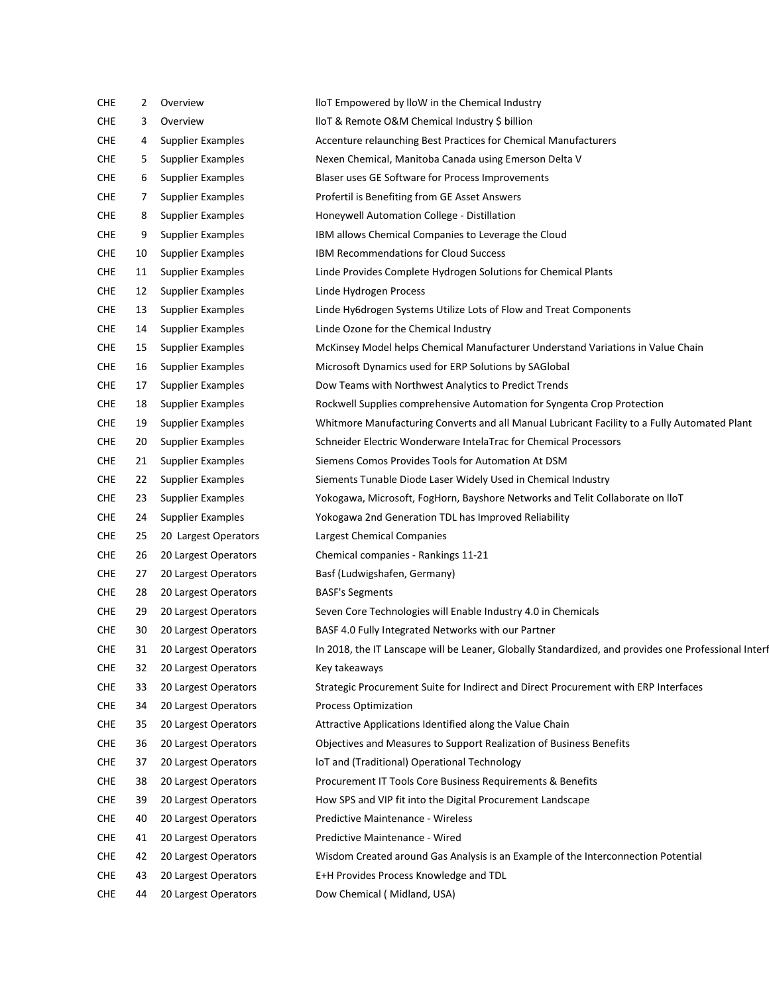| <b>CHE</b> | 2  | Overview                 | lloT Empowered by lloW in the Chemical Industry                                                      |
|------------|----|--------------------------|------------------------------------------------------------------------------------------------------|
| <b>CHE</b> | 3  | Overview                 | lloT & Remote O&M Chemical Industry \$ billion                                                       |
| <b>CHE</b> | 4  | <b>Supplier Examples</b> | Accenture relaunching Best Practices for Chemical Manufacturers                                      |
| <b>CHE</b> | 5. | Supplier Examples        | Nexen Chemical, Manitoba Canada using Emerson Delta V                                                |
| <b>CHE</b> | 6  | <b>Supplier Examples</b> | Blaser uses GE Software for Process Improvements                                                     |
| <b>CHE</b> | 7  | <b>Supplier Examples</b> | Profertil is Benefiting from GE Asset Answers                                                        |
| <b>CHE</b> | 8  | <b>Supplier Examples</b> | Honeywell Automation College - Distillation                                                          |
| <b>CHE</b> | 9  | <b>Supplier Examples</b> | IBM allows Chemical Companies to Leverage the Cloud                                                  |
| <b>CHE</b> | 10 | <b>Supplier Examples</b> | IBM Recommendations for Cloud Success                                                                |
| <b>CHE</b> | 11 | <b>Supplier Examples</b> | Linde Provides Complete Hydrogen Solutions for Chemical Plants                                       |
| <b>CHE</b> | 12 | <b>Supplier Examples</b> | Linde Hydrogen Process                                                                               |
| <b>CHE</b> | 13 | <b>Supplier Examples</b> | Linde Hy6drogen Systems Utilize Lots of Flow and Treat Components                                    |
| <b>CHE</b> | 14 | <b>Supplier Examples</b> | Linde Ozone for the Chemical Industry                                                                |
| <b>CHE</b> | 15 | <b>Supplier Examples</b> | McKinsey Model helps Chemical Manufacturer Understand Variations in Value Chain                      |
| <b>CHE</b> | 16 | <b>Supplier Examples</b> | Microsoft Dynamics used for ERP Solutions by SAGlobal                                                |
| <b>CHE</b> | 17 | <b>Supplier Examples</b> | Dow Teams with Northwest Analytics to Predict Trends                                                 |
| <b>CHE</b> | 18 | <b>Supplier Examples</b> | Rockwell Supplies comprehensive Automation for Syngenta Crop Protection                              |
| <b>CHE</b> | 19 | <b>Supplier Examples</b> | Whitmore Manufacturing Converts and all Manual Lubricant Facility to a Fully Automated Plant         |
| <b>CHE</b> | 20 | <b>Supplier Examples</b> | Schneider Electric Wonderware IntelaTrac for Chemical Processors                                     |
| <b>CHE</b> | 21 | <b>Supplier Examples</b> | Siemens Comos Provides Tools for Automation At DSM                                                   |
| <b>CHE</b> | 22 | <b>Supplier Examples</b> | Siements Tunable Diode Laser Widely Used in Chemical Industry                                        |
| <b>CHE</b> | 23 | <b>Supplier Examples</b> | Yokogawa, Microsoft, FogHorn, Bayshore Networks and Telit Collaborate on IloT                        |
| <b>CHE</b> | 24 | <b>Supplier Examples</b> | Yokogawa 2nd Generation TDL has Improved Reliability                                                 |
| <b>CHE</b> | 25 | 20 Largest Operators     | Largest Chemical Companies                                                                           |
| <b>CHE</b> | 26 | 20 Largest Operators     | Chemical companies - Rankings 11-21                                                                  |
| <b>CHE</b> | 27 | 20 Largest Operators     | Basf (Ludwigshafen, Germany)                                                                         |
| <b>CHE</b> | 28 | 20 Largest Operators     | <b>BASF's Segments</b>                                                                               |
| <b>CHE</b> | 29 | 20 Largest Operators     | Seven Core Technologies will Enable Industry 4.0 in Chemicals                                        |
| <b>CHE</b> | 30 | 20 Largest Operators     | BASF 4.0 Fully Integrated Networks with our Partner                                                  |
| <b>CHE</b> | 31 | 20 Largest Operators     | In 2018, the IT Lanscape will be Leaner, Globally Standardized, and provides one Professional Interf |
| <b>CHE</b> | 32 | 20 Largest Operators     | Key takeaways                                                                                        |
| <b>CHE</b> | 33 | 20 Largest Operators     | Strategic Procurement Suite for Indirect and Direct Procurement with ERP Interfaces                  |
| <b>CHE</b> | 34 | 20 Largest Operators     | <b>Process Optimization</b>                                                                          |
| <b>CHE</b> | 35 | 20 Largest Operators     | Attractive Applications Identified along the Value Chain                                             |
| <b>CHE</b> | 36 | 20 Largest Operators     | Objectives and Measures to Support Realization of Business Benefits                                  |
| <b>CHE</b> | 37 | 20 Largest Operators     | IoT and (Traditional) Operational Technology                                                         |
| <b>CHE</b> | 38 | 20 Largest Operators     | Procurement IT Tools Core Business Requirements & Benefits                                           |
| <b>CHE</b> | 39 | 20 Largest Operators     | How SPS and VIP fit into the Digital Procurement Landscape                                           |
| <b>CHE</b> | 40 | 20 Largest Operators     | Predictive Maintenance - Wireless                                                                    |
| <b>CHE</b> | 41 | 20 Largest Operators     | Predictive Maintenance - Wired                                                                       |
| <b>CHE</b> | 42 | 20 Largest Operators     | Wisdom Created around Gas Analysis is an Example of the Interconnection Potential                    |
| <b>CHE</b> | 43 | 20 Largest Operators     | E+H Provides Process Knowledge and TDL                                                               |
| <b>CHE</b> | 44 | 20 Largest Operators     | Dow Chemical (Midland, USA)                                                                          |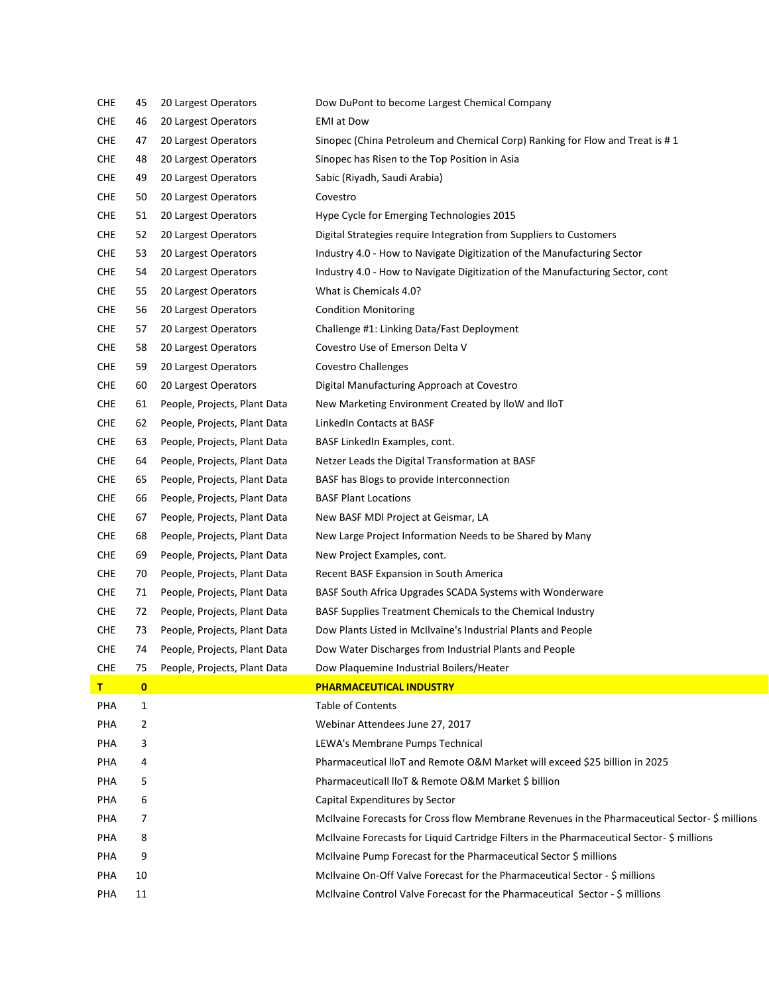| <b>CHE</b> | 45           | 20 Largest Operators         | Dow DuPont to become Largest Chemical Company                                                 |
|------------|--------------|------------------------------|-----------------------------------------------------------------------------------------------|
| <b>CHE</b> | 46           | 20 Largest Operators         | <b>EMI</b> at Dow                                                                             |
| <b>CHE</b> | 47           | 20 Largest Operators         | Sinopec (China Petroleum and Chemical Corp) Ranking for Flow and Treat is #1                  |
| <b>CHE</b> | 48           | 20 Largest Operators         | Sinopec has Risen to the Top Position in Asia                                                 |
| <b>CHE</b> | 49           | 20 Largest Operators         | Sabic (Riyadh, Saudi Arabia)                                                                  |
| <b>CHE</b> | 50           | 20 Largest Operators         | Covestro                                                                                      |
| <b>CHE</b> | 51           | 20 Largest Operators         | Hype Cycle for Emerging Technologies 2015                                                     |
| <b>CHE</b> | 52           | 20 Largest Operators         | Digital Strategies require Integration from Suppliers to Customers                            |
| <b>CHE</b> | 53           | 20 Largest Operators         | Industry 4.0 - How to Navigate Digitization of the Manufacturing Sector                       |
| <b>CHE</b> | 54           | 20 Largest Operators         | Industry 4.0 - How to Navigate Digitization of the Manufacturing Sector, cont                 |
| <b>CHE</b> | 55           | 20 Largest Operators         | What is Chemicals 4.0?                                                                        |
| <b>CHE</b> | 56           | 20 Largest Operators         | <b>Condition Monitoring</b>                                                                   |
| <b>CHE</b> | 57           | 20 Largest Operators         | Challenge #1: Linking Data/Fast Deployment                                                    |
| <b>CHE</b> | 58           | 20 Largest Operators         | Covestro Use of Emerson Delta V                                                               |
| <b>CHE</b> | 59           | 20 Largest Operators         | <b>Covestro Challenges</b>                                                                    |
| <b>CHE</b> | 60           | 20 Largest Operators         | Digital Manufacturing Approach at Covestro                                                    |
| <b>CHE</b> | 61           | People, Projects, Plant Data | New Marketing Environment Created by IloW and IloT                                            |
| <b>CHE</b> | 62           | People, Projects, Plant Data | LinkedIn Contacts at BASF                                                                     |
| <b>CHE</b> | 63           | People, Projects, Plant Data | BASF LinkedIn Examples, cont.                                                                 |
| <b>CHE</b> | 64           | People, Projects, Plant Data | Netzer Leads the Digital Transformation at BASF                                               |
| <b>CHE</b> | 65           | People, Projects, Plant Data | BASF has Blogs to provide Interconnection                                                     |
| <b>CHE</b> | 66           | People, Projects, Plant Data | <b>BASF Plant Locations</b>                                                                   |
| <b>CHE</b> | 67           | People, Projects, Plant Data | New BASF MDI Project at Geismar, LA                                                           |
| <b>CHE</b> | 68           | People, Projects, Plant Data | New Large Project Information Needs to be Shared by Many                                      |
| <b>CHE</b> | 69           | People, Projects, Plant Data | New Project Examples, cont.                                                                   |
| <b>CHE</b> | 70           | People, Projects, Plant Data | Recent BASF Expansion in South America                                                        |
| <b>CHE</b> | 71           | People, Projects, Plant Data | BASF South Africa Upgrades SCADA Systems with Wonderware                                      |
| <b>CHE</b> | 72           | People, Projects, Plant Data | BASF Supplies Treatment Chemicals to the Chemical Industry                                    |
| <b>CHE</b> | 73           | People, Projects, Plant Data | Dow Plants Listed in McIlvaine's Industrial Plants and People                                 |
| <b>CHE</b> | 74           | People, Projects, Plant Data | Dow Water Discharges from Industrial Plants and People                                        |
| <b>CHE</b> | 75           | People, Projects, Plant Data | Dow Plaquemine Industrial Boilers/Heater                                                      |
| T          | $\bullet$    |                              | <b>PHARMACEUTICAL INDUSTRY</b>                                                                |
| PHA        | $\mathbf{1}$ |                              | <b>Table of Contents</b>                                                                      |
| PHA        | 2            |                              | Webinar Attendees June 27, 2017                                                               |
| PHA        | 3            |                              | LEWA's Membrane Pumps Technical                                                               |
| PHA        | 4            |                              | Pharmaceutical IIoT and Remote O&M Market will exceed \$25 billion in 2025                    |
| PHA        | 5            |                              | Pharmaceuticall lloT & Remote O&M Market \$ billion                                           |
| PHA        | 6            |                              | Capital Expenditures by Sector                                                                |
| PHA        | 7            |                              | McIlvaine Forecasts for Cross flow Membrane Revenues in the Pharmaceutical Sector-\$ millions |
| PHA        | 8            |                              | McIlvaine Forecasts for Liquid Cartridge Filters in the Pharmaceutical Sector- \$ millions    |
| PHA        | 9            |                              | McIlvaine Pump Forecast for the Pharmaceutical Sector \$ millions                             |
| PHA        | 10           |                              | McIlvaine On-Off Valve Forecast for the Pharmaceutical Sector - \$ millions                   |
| PHA        | 11           |                              | McIlvaine Control Valve Forecast for the Pharmaceutical Sector - \$ millions                  |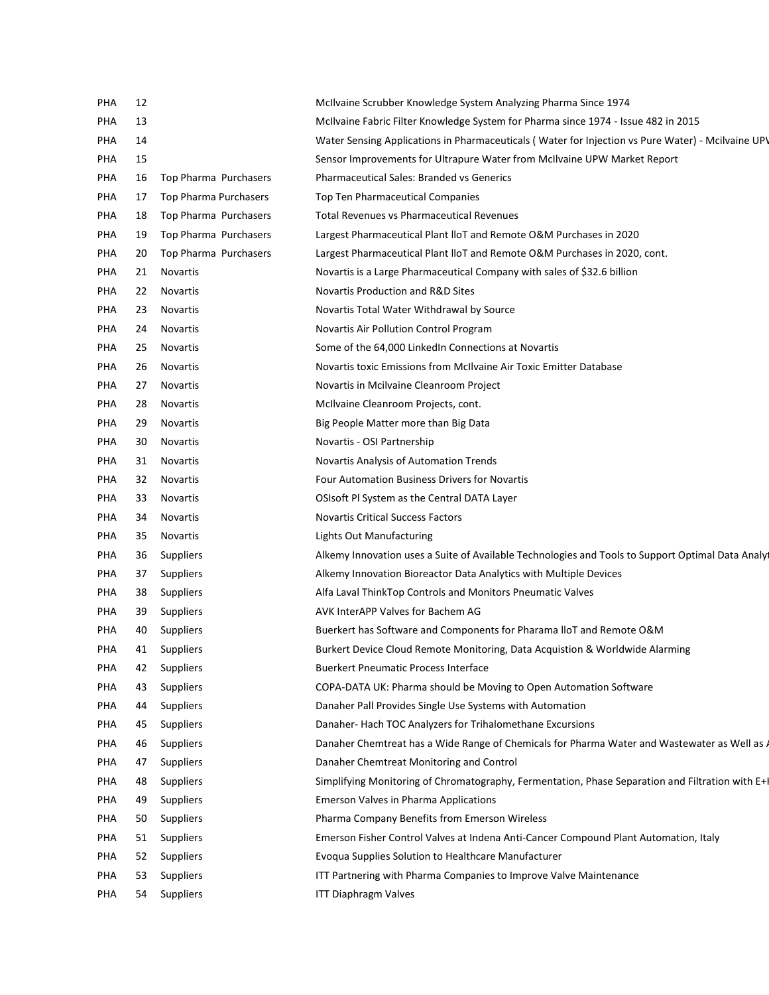| PHA | 12 |                       | McIlvaine Scrubber Knowledge System Analyzing Pharma Since 1974                                   |
|-----|----|-----------------------|---------------------------------------------------------------------------------------------------|
| PHA | 13 |                       | McIlvaine Fabric Filter Knowledge System for Pharma since 1974 - Issue 482 in 2015                |
| PHA | 14 |                       | Water Sensing Applications in Pharmaceuticals (Water for Injection vs Pure Water) - Mcilvaine UP\ |
| PHA | 15 |                       | Sensor Improvements for Ultrapure Water from McIlvaine UPW Market Report                          |
| PHA | 16 | Top Pharma Purchasers | <b>Pharmaceutical Sales: Branded vs Generics</b>                                                  |
| PHA | 17 | Top Pharma Purchasers | Top Ten Pharmaceutical Companies                                                                  |
| PHA | 18 | Top Pharma Purchasers | <b>Total Revenues vs Pharmaceutical Revenues</b>                                                  |
| PHA | 19 | Top Pharma Purchasers | Largest Pharmaceutical Plant IIoT and Remote O&M Purchases in 2020                                |
| PHA | 20 | Top Pharma Purchasers | Largest Pharmaceutical Plant IIoT and Remote O&M Purchases in 2020, cont.                         |
| PHA | 21 | <b>Novartis</b>       | Novartis is a Large Pharmaceutical Company with sales of \$32.6 billion                           |
| PHA | 22 | Novartis              | Novartis Production and R&D Sites                                                                 |
| PHA | 23 | <b>Novartis</b>       | Novartis Total Water Withdrawal by Source                                                         |
| PHA | 24 | Novartis              | Novartis Air Pollution Control Program                                                            |
| PHA | 25 | <b>Novartis</b>       | Some of the 64,000 LinkedIn Connections at Novartis                                               |
| PHA | 26 | Novartis              | Novartis toxic Emissions from McIlvaine Air Toxic Emitter Database                                |
| PHA | 27 | <b>Novartis</b>       | Novartis in Mcilvaine Cleanroom Project                                                           |
| PHA | 28 | Novartis              | McIlvaine Cleanroom Projects, cont.                                                               |
| PHA | 29 | <b>Novartis</b>       | Big People Matter more than Big Data                                                              |
| PHA | 30 | Novartis              | Novartis - OSI Partnership                                                                        |
| PHA | 31 | <b>Novartis</b>       | Novartis Analysis of Automation Trends                                                            |
| PHA | 32 | Novartis              | Four Automation Business Drivers for Novartis                                                     |
| PHA | 33 | Novartis              | OSIsoft PI System as the Central DATA Layer                                                       |
| PHA | 34 | Novartis              | <b>Novartis Critical Success Factors</b>                                                          |
| PHA | 35 | Novartis              | Lights Out Manufacturing                                                                          |
| PHA | 36 | Suppliers             | Alkemy Innovation uses a Suite of Available Technologies and Tools to Support Optimal Data Analy  |
| PHA | 37 | Suppliers             | Alkemy Innovation Bioreactor Data Analytics with Multiple Devices                                 |
| PHA | 38 | Suppliers             | Alfa Laval ThinkTop Controls and Monitors Pneumatic Valves                                        |
| PHA | 39 | Suppliers             | AVK InterAPP Valves for Bachem AG                                                                 |
| PHA | 40 | Suppliers             | Buerkert has Software and Components for Pharama IIoT and Remote O&M                              |
| PHA | 41 | Suppliers             | Burkert Device Cloud Remote Monitoring, Data Acquistion & Worldwide Alarming                      |
| PHA | 42 | Suppliers             | <b>Buerkert Pneumatic Process Interface</b>                                                       |
| PHA | 43 | Suppliers             | COPA-DATA UK: Pharma should be Moving to Open Automation Software                                 |
| PHA | 44 | <b>Suppliers</b>      | Danaher Pall Provides Single Use Systems with Automation                                          |
| PHA | 45 | Suppliers             | Danaher- Hach TOC Analyzers for Trihalomethane Excursions                                         |
| PHA | 46 | Suppliers             | Danaher Chemtreat has a Wide Range of Chemicals for Pharma Water and Wastewater as Well as $\ell$ |
| PHA | 47 | <b>Suppliers</b>      | Danaher Chemtreat Monitoring and Control                                                          |
| PHA | 48 | Suppliers             | Simplifying Monitoring of Chromatography, Fermentation, Phase Separation and Filtration with E+I  |
| PHA | 49 | Suppliers             | <b>Emerson Valves in Pharma Applications</b>                                                      |
| PHA | 50 | Suppliers             | Pharma Company Benefits from Emerson Wireless                                                     |
| PHA | 51 | Suppliers             | Emerson Fisher Control Valves at Indena Anti-Cancer Compound Plant Automation, Italy              |
| PHA | 52 | Suppliers             | Evoqua Supplies Solution to Healthcare Manufacturer                                               |
| PHA | 53 | Suppliers             | ITT Partnering with Pharma Companies to Improve Valve Maintenance                                 |
| PHA | 54 | Suppliers             | <b>ITT Diaphragm Valves</b>                                                                       |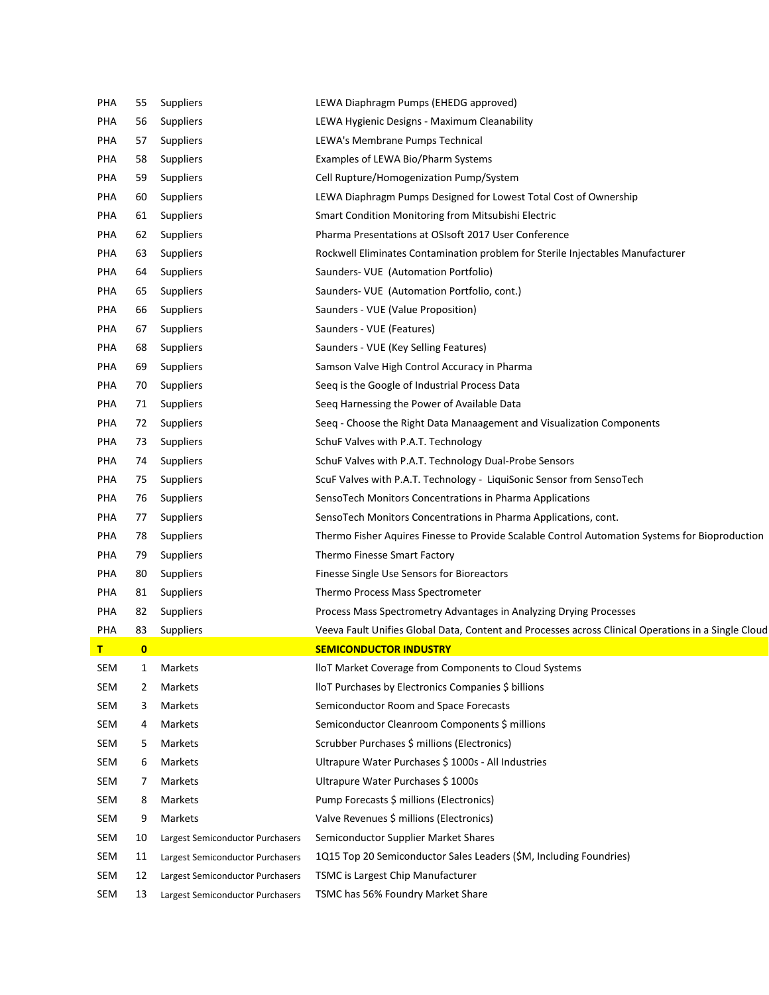| PHA | 55       | Suppliers                        | LEWA Diaphragm Pumps (EHEDG approved)                                                               |
|-----|----------|----------------------------------|-----------------------------------------------------------------------------------------------------|
| PHA | 56       | Suppliers                        | LEWA Hygienic Designs - Maximum Cleanability                                                        |
| PHA | 57       | Suppliers                        | LEWA's Membrane Pumps Technical                                                                     |
| PHA | 58       | Suppliers                        | Examples of LEWA Bio/Pharm Systems                                                                  |
| PHA | 59       | Suppliers                        | Cell Rupture/Homogenization Pump/System                                                             |
| PHA | 60       | Suppliers                        | LEWA Diaphragm Pumps Designed for Lowest Total Cost of Ownership                                    |
| PHA | 61       | Suppliers                        | Smart Condition Monitoring from Mitsubishi Electric                                                 |
| PHA | 62       | Suppliers                        | Pharma Presentations at OSIsoft 2017 User Conference                                                |
| PHA | 63       | Suppliers                        | Rockwell Eliminates Contamination problem for Sterile Injectables Manufacturer                      |
| PHA | 64       | Suppliers                        | Saunders- VUE (Automation Portfolio)                                                                |
| PHA | 65       | Suppliers                        | Saunders- VUE (Automation Portfolio, cont.)                                                         |
| PHA | 66       | Suppliers                        | Saunders - VUE (Value Proposition)                                                                  |
| PHA | 67       | Suppliers                        | Saunders - VUE (Features)                                                                           |
| PHA | 68       | Suppliers                        | Saunders - VUE (Key Selling Features)                                                               |
| PHA | 69       | Suppliers                        | Samson Valve High Control Accuracy in Pharma                                                        |
| PHA | 70       | Suppliers                        | Seeq is the Google of Industrial Process Data                                                       |
| PHA | 71       | Suppliers                        | Seeq Harnessing the Power of Available Data                                                         |
| PHA | 72       | Suppliers                        | Seeq - Choose the Right Data Manaagement and Visualization Components                               |
| PHA | 73       | Suppliers                        | SchuF Valves with P.A.T. Technology                                                                 |
| PHA | 74       | Suppliers                        | SchuF Valves with P.A.T. Technology Dual-Probe Sensors                                              |
| PHA | 75       | Suppliers                        | ScuF Valves with P.A.T. Technology - LiquiSonic Sensor from SensoTech                               |
| PHA | 76       | Suppliers                        | SensoTech Monitors Concentrations in Pharma Applications                                            |
| PHA | 77       | Suppliers                        | SensoTech Monitors Concentrations in Pharma Applications, cont.                                     |
| PHA | 78       | Suppliers                        | Thermo Fisher Aquires Finesse to Provide Scalable Control Automation Systems for Bioproduction      |
| PHA | 79       | Suppliers                        | Thermo Finesse Smart Factory                                                                        |
| PHA | 80       | Suppliers                        | Finesse Single Use Sensors for Bioreactors                                                          |
| PHA | 81       | Suppliers                        | Thermo Process Mass Spectrometer                                                                    |
| PHA | 82       | Suppliers                        | Process Mass Spectrometry Advantages in Analyzing Drying Processes                                  |
| PHA | 83       | Suppliers                        | Veeva Fault Unifies Global Data, Content and Processes across Clinical Operations in a Single Cloud |
| т   | $\bf{0}$ |                                  | <b>SEMICONDUCTOR INDUSTRY</b>                                                                       |
| SEM | 1        | Markets                          | IIoT Market Coverage from Components to Cloud Systems                                               |
| SEM | 2        | Markets                          | lloT Purchases by Electronics Companies \$ billions                                                 |
| SEM | 3        | Markets                          | Semiconductor Room and Space Forecasts                                                              |
| SEM | 4        | Markets                          | Semiconductor Cleanroom Components \$ millions                                                      |
| SEM | 5        | Markets                          | Scrubber Purchases \$ millions (Electronics)                                                        |
| SEM | 6        | Markets                          | Ultrapure Water Purchases \$ 1000s - All Industries                                                 |
| SEM | 7        | Markets                          | Ultrapure Water Purchases \$1000s                                                                   |
| SEM | 8        | Markets                          | Pump Forecasts \$ millions (Electronics)                                                            |
| SEM | 9        | Markets                          | Valve Revenues \$ millions (Electronics)                                                            |
| SEM | 10       | Largest Semiconductor Purchasers | Semiconductor Supplier Market Shares                                                                |
| SEM | 11       | Largest Semiconductor Purchasers | 1Q15 Top 20 Semiconductor Sales Leaders (\$M, Including Foundries)                                  |
| SEM | 12       | Largest Semiconductor Purchasers | TSMC is Largest Chip Manufacturer                                                                   |
| SEM | 13       | Largest Semiconductor Purchasers | TSMC has 56% Foundry Market Share                                                                   |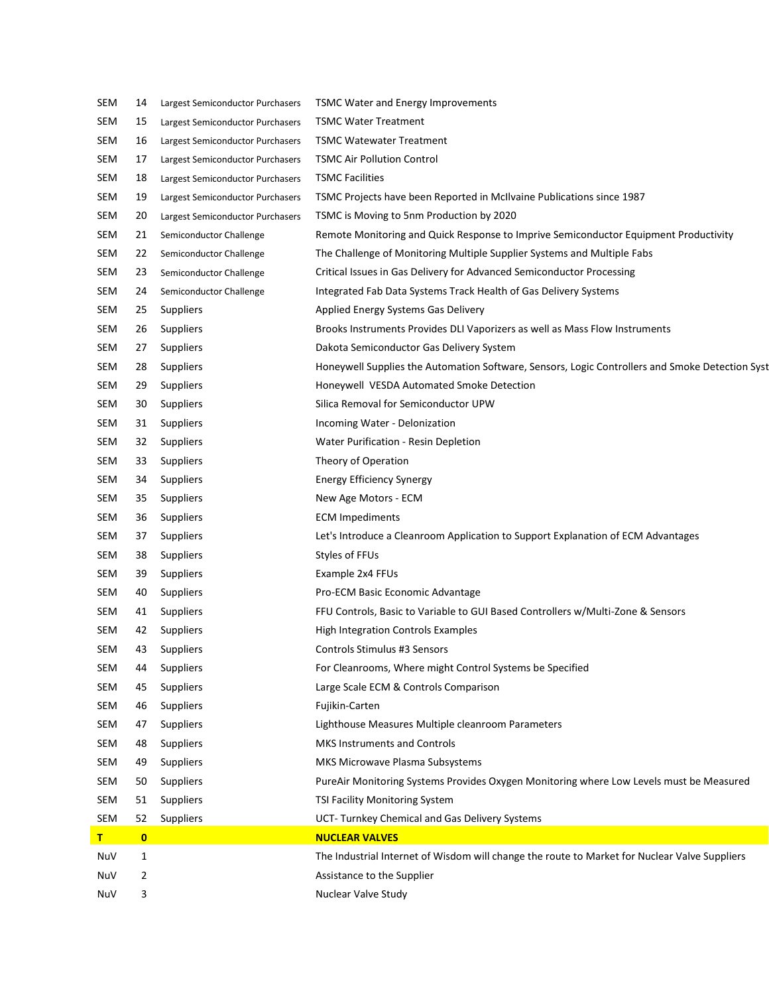| SEM | 14           | Largest Semiconductor Purchasers | <b>TSMC Water and Energy Improvements</b>                                                       |
|-----|--------------|----------------------------------|-------------------------------------------------------------------------------------------------|
| SEM | 15           | Largest Semiconductor Purchasers | <b>TSMC Water Treatment</b>                                                                     |
| SEM | 16           | Largest Semiconductor Purchasers | <b>TSMC Watewater Treatment</b>                                                                 |
| SEM | 17           | Largest Semiconductor Purchasers | <b>TSMC Air Pollution Control</b>                                                               |
| SEM | 18           | Largest Semiconductor Purchasers | <b>TSMC Facilities</b>                                                                          |
| SEM | 19           | Largest Semiconductor Purchasers | TSMC Projects have been Reported in McIlvaine Publications since 1987                           |
| SEM | 20           | Largest Semiconductor Purchasers | TSMC is Moving to 5nm Production by 2020                                                        |
| SEM | 21           | Semiconductor Challenge          | Remote Monitoring and Quick Response to Imprive Semiconductor Equipment Productivity            |
| SEM | 22           | Semiconductor Challenge          | The Challenge of Monitoring Multiple Supplier Systems and Multiple Fabs                         |
| SEM | 23           | Semiconductor Challenge          | Critical Issues in Gas Delivery for Advanced Semiconductor Processing                           |
| SEM | 24           | Semiconductor Challenge          | Integrated Fab Data Systems Track Health of Gas Delivery Systems                                |
| SEM | 25           | Suppliers                        | Applied Energy Systems Gas Delivery                                                             |
| SEM | 26           | Suppliers                        | Brooks Instruments Provides DLI Vaporizers as well as Mass Flow Instruments                     |
| SEM | 27           | Suppliers                        | Dakota Semiconductor Gas Delivery System                                                        |
| SEM | 28           | Suppliers                        | Honeywell Supplies the Automation Software, Sensors, Logic Controllers and Smoke Detection Syst |
| SEM | 29           | Suppliers                        | Honeywell VESDA Automated Smoke Detection                                                       |
| SEM | 30           | Suppliers                        | Silica Removal for Semiconductor UPW                                                            |
| SEM | 31           | Suppliers                        | Incoming Water - Delonization                                                                   |
| SEM | 32           | Suppliers                        | Water Purification - Resin Depletion                                                            |
| SEM | 33           | Suppliers                        | Theory of Operation                                                                             |
| SEM | 34           | Suppliers                        | <b>Energy Efficiency Synergy</b>                                                                |
| SEM | 35           | Suppliers                        | New Age Motors - ECM                                                                            |
| SEM | 36           | Suppliers                        | <b>ECM Impediments</b>                                                                          |
| SEM | 37           | Suppliers                        | Let's Introduce a Cleanroom Application to Support Explanation of ECM Advantages                |
| SEM | 38           | Suppliers                        | Styles of FFUs                                                                                  |
| SEM | 39           | Suppliers                        | Example 2x4 FFUs                                                                                |
| SEM | 40           | Suppliers                        | Pro-ECM Basic Economic Advantage                                                                |
| SEM | 41           | Suppliers                        | FFU Controls, Basic to Variable to GUI Based Controllers w/Multi-Zone & Sensors                 |
| SEM | 42           | Suppliers                        | High Integration Controls Examples                                                              |
| SEM | 43           | Suppliers                        | <b>Controls Stimulus #3 Sensors</b>                                                             |
| SEM | 44           | Suppliers                        | For Cleanrooms, Where might Control Systems be Specified                                        |
| SEM | 45           | Suppliers                        | Large Scale ECM & Controls Comparison                                                           |
| SEM | 46           | Suppliers                        | Fujikin-Carten                                                                                  |
| SEM | 47           | <b>Suppliers</b>                 | Lighthouse Measures Multiple cleanroom Parameters                                               |
| SEM | 48           | Suppliers                        | <b>MKS Instruments and Controls</b>                                                             |
| SEM | 49           | Suppliers                        | MKS Microwave Plasma Subsystems                                                                 |
| SEM | 50           | Suppliers                        | PureAir Monitoring Systems Provides Oxygen Monitoring where Low Levels must be Measured         |
| SEM | 51           | Suppliers                        | TSI Facility Monitoring System                                                                  |
| SEM | 52           | Suppliers                        | UCT- Turnkey Chemical and Gas Delivery Systems                                                  |
| т   | $\mathbf{0}$ |                                  | <b>NUCLEAR VALVES</b>                                                                           |
| NuV | $\mathbf{1}$ |                                  | The Industrial Internet of Wisdom will change the route to Market for Nuclear Valve Suppliers   |
| NuV | 2            |                                  | Assistance to the Supplier                                                                      |
| NuV | 3            |                                  | Nuclear Valve Study                                                                             |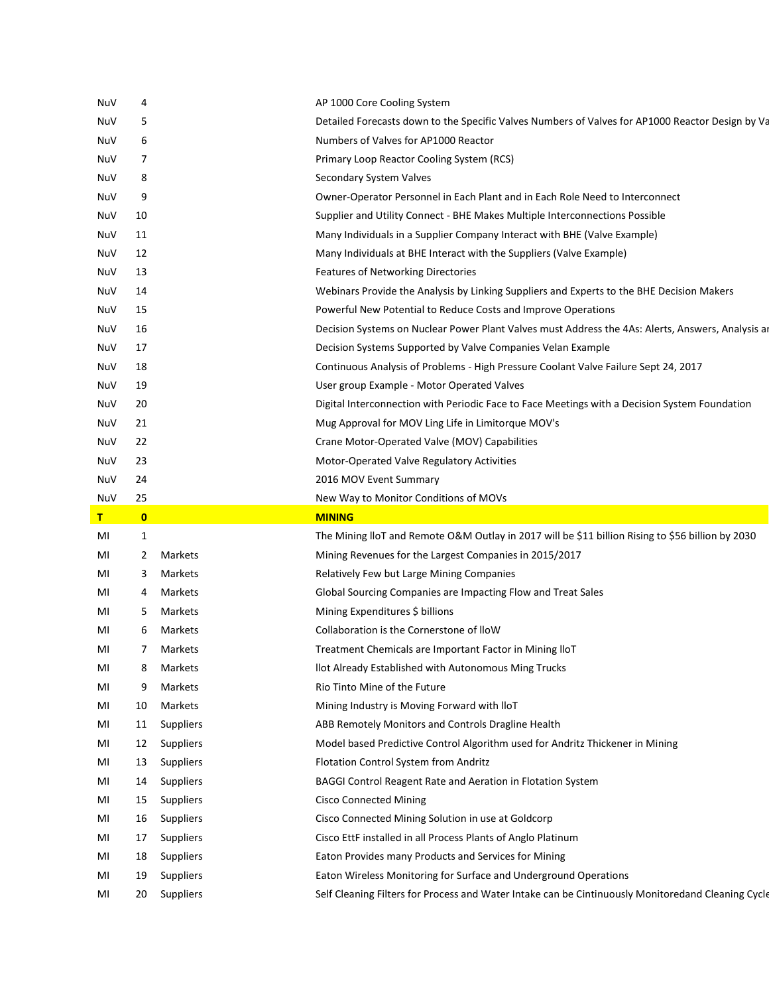| NuV | 4            |                  | AP 1000 Core Cooling System                                                                       |
|-----|--------------|------------------|---------------------------------------------------------------------------------------------------|
| NuV | 5            |                  | Detailed Forecasts down to the Specific Valves Numbers of Valves for AP1000 Reactor Design by Va  |
| NuV | 6            |                  | Numbers of Valves for AP1000 Reactor                                                              |
| NuV | 7            |                  | Primary Loop Reactor Cooling System (RCS)                                                         |
| NuV | 8            |                  | Secondary System Valves                                                                           |
| NuV | 9            |                  | Owner-Operator Personnel in Each Plant and in Each Role Need to Interconnect                      |
| NuV | 10           |                  | Supplier and Utility Connect - BHE Makes Multiple Interconnections Possible                       |
| NuV | 11           |                  | Many Individuals in a Supplier Company Interact with BHE (Valve Example)                          |
| NuV | 12           |                  | Many Individuals at BHE Interact with the Suppliers (Valve Example)                               |
| NuV | 13           |                  | Features of Networking Directories                                                                |
| NuV | 14           |                  | Webinars Provide the Analysis by Linking Suppliers and Experts to the BHE Decision Makers         |
| NuV | 15           |                  | Powerful New Potential to Reduce Costs and Improve Operations                                     |
| NuV | 16           |                  | Decision Systems on Nuclear Power Plant Valves must Address the 4As: Alerts, Answers, Analysis ar |
| NuV | 17           |                  | Decision Systems Supported by Valve Companies Velan Example                                       |
| NuV | 18           |                  | Continuous Analysis of Problems - High Pressure Coolant Valve Failure Sept 24, 2017               |
| NuV | 19           |                  | User group Example - Motor Operated Valves                                                        |
| NuV | 20           |                  | Digital Interconnection with Periodic Face to Face Meetings with a Decision System Foundation     |
| NuV | 21           |                  | Mug Approval for MOV Ling Life in Limitorque MOV's                                                |
| NuV | 22           |                  | Crane Motor-Operated Valve (MOV) Capabilities                                                     |
| NuV | 23           |                  | Motor-Operated Valve Regulatory Activities                                                        |
| NuV | 24           |                  | 2016 MOV Event Summary                                                                            |
|     |              |                  | New Way to Monitor Conditions of MOVs                                                             |
| NuV | 25           |                  |                                                                                                   |
| т   | $\mathbf{0}$ |                  | <b>MINING</b>                                                                                     |
| MI  | 1            |                  | The Mining IloT and Remote O&M Outlay in 2017 will be \$11 billion Rising to \$56 billion by 2030 |
| MI  | 2            | Markets          | Mining Revenues for the Largest Companies in 2015/2017                                            |
| MI  | 3            | Markets          | Relatively Few but Large Mining Companies                                                         |
| MI  | 4            | Markets          | Global Sourcing Companies are Impacting Flow and Treat Sales                                      |
| MI  | 5            | Markets          | Mining Expenditures \$ billions                                                                   |
| MI  | 6            | Markets          | Collaboration is the Cornerstone of IloW                                                          |
| MI  | 7            | Markets          | Treatment Chemicals are Important Factor in Mining IloT                                           |
| MI  | 8            | Markets          | llot Already Established with Autonomous Ming Trucks                                              |
| MI  | 9            | Markets          | Rio Tinto Mine of the Future                                                                      |
| MI  | 10           | Markets          | Mining Industry is Moving Forward with IloT                                                       |
| MI  | 11           | Suppliers        | ABB Remotely Monitors and Controls Dragline Health                                                |
| MI  | 12           | Suppliers        | Model based Predictive Control Algorithm used for Andritz Thickener in Mining                     |
| MI  | 13           | Suppliers        | Flotation Control System from Andritz                                                             |
| MI  | 14           | Suppliers        | BAGGI Control Reagent Rate and Aeration in Flotation System                                       |
| MI  | 15           | <b>Suppliers</b> | <b>Cisco Connected Mining</b>                                                                     |
| MI  | 16           | Suppliers        | Cisco Connected Mining Solution in use at Goldcorp                                                |
| MI  | 17           | Suppliers        | Cisco EttF installed in all Process Plants of Anglo Platinum                                      |
| MI  | 18           | Suppliers        | Eaton Provides many Products and Services for Mining                                              |
| MI  | 19           | Suppliers        | Eaton Wireless Monitoring for Surface and Underground Operations                                  |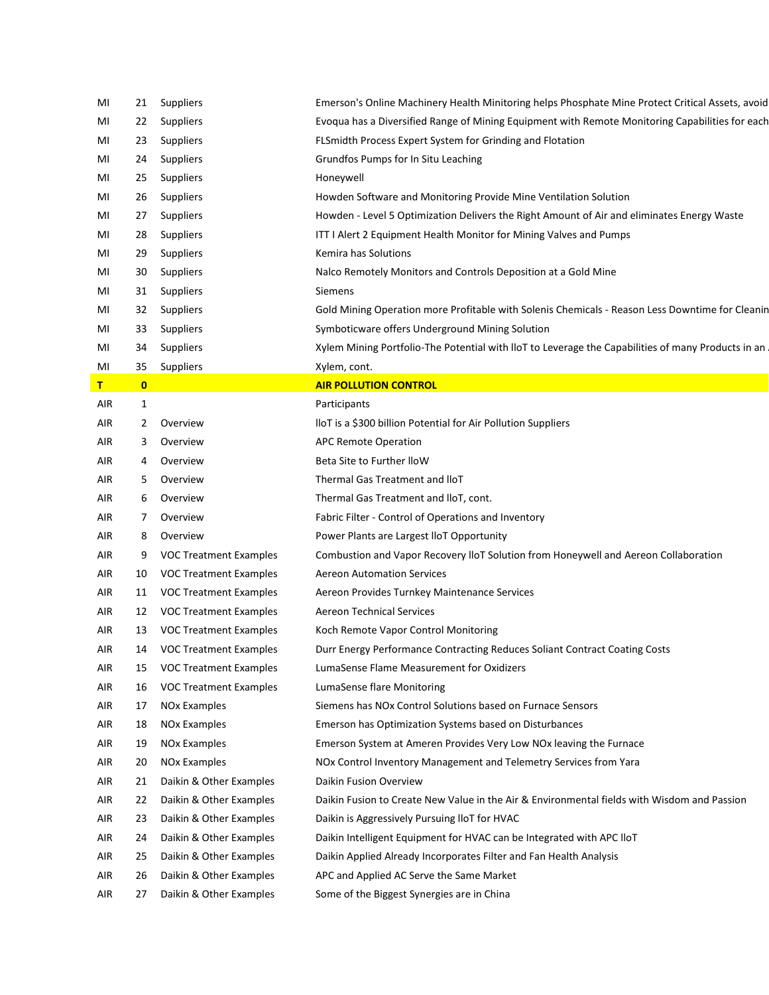| MI  | 21           | Suppliers                     | Emerson's Online Machinery Health Minitoring helps Phosphate Mine Protect Critical Assets, avoid   |
|-----|--------------|-------------------------------|----------------------------------------------------------------------------------------------------|
| MI  | 22           | Suppliers                     | Evoqua has a Diversified Range of Mining Equipment with Remote Monitoring Capabilities for each    |
| MI  | 23           | Suppliers                     | FLSmidth Process Expert System for Grinding and Flotation                                          |
| MI  | 24           | Suppliers                     | Grundfos Pumps for In Situ Leaching                                                                |
| MI  | 25           | <b>Suppliers</b>              | Honeywell                                                                                          |
| MI  | 26           | Suppliers                     | Howden Software and Monitoring Provide Mine Ventilation Solution                                   |
| MI  | 27           | Suppliers                     | Howden - Level 5 Optimization Delivers the Right Amount of Air and eliminates Energy Waste         |
| MI  | 28           | Suppliers                     | ITT I Alert 2 Equipment Health Monitor for Mining Valves and Pumps                                 |
| MI  | 29           | Suppliers                     | Kemira has Solutions                                                                               |
| MI  | 30           | Suppliers                     | Nalco Remotely Monitors and Controls Deposition at a Gold Mine                                     |
| MI  | 31           | Suppliers                     | Siemens                                                                                            |
| MI  | 32           | Suppliers                     | Gold Mining Operation more Profitable with Solenis Chemicals - Reason Less Downtime for Cleanin    |
| MI  | 33           | Suppliers                     | Symboticware offers Underground Mining Solution                                                    |
| MI  | 34           | Suppliers                     | Xylem Mining Portfolio-The Potential with IloT to Leverage the Capabilities of many Products in an |
| MI  | 35           | Suppliers                     | Xylem, cont.                                                                                       |
| т   | $\mathbf{0}$ |                               | <b>AIR POLLUTION CONTROL</b>                                                                       |
| AIR | 1            |                               | Participants                                                                                       |
| AIR | 2            | Overview                      | IloT is a \$300 billion Potential for Air Pollution Suppliers                                      |
| AIR | 3            | Overview                      | <b>APC Remote Operation</b>                                                                        |
| AIR | 4            | Overview                      | Beta Site to Further IloW                                                                          |
| AIR | 5            | Overview                      | Thermal Gas Treatment and IloT                                                                     |
| AIR | 6            | Overview                      | Thermal Gas Treatment and IIoT, cont.                                                              |
| AIR | 7            | Overview                      | Fabric Filter - Control of Operations and Inventory                                                |
| AIR | 8            | Overview                      | Power Plants are Largest IloT Opportunity                                                          |
| AIR | 9            | <b>VOC Treatment Examples</b> | Combustion and Vapor Recovery IloT Solution from Honeywell and Aereon Collaboration                |
| AIR | 10           | <b>VOC Treatment Examples</b> | <b>Aereon Automation Services</b>                                                                  |
| AIR | 11           | <b>VOC Treatment Examples</b> | Aereon Provides Turnkey Maintenance Services                                                       |
| AIR | 12           | <b>VOC Treatment Examples</b> | <b>Aereon Technical Services</b>                                                                   |
| AIR | 13           | <b>VOC Treatment Examples</b> | Koch Remote Vapor Control Monitoring                                                               |
| AIR | 14           | <b>VOC Treatment Examples</b> | Durr Energy Performance Contracting Reduces Soliant Contract Coating Costs                         |
| AIR | 15           | <b>VOC Treatment Examples</b> | LumaSense Flame Measurement for Oxidizers                                                          |
| AIR | 16           | <b>VOC Treatment Examples</b> | LumaSense flare Monitoring                                                                         |
| AIR | 17           | NO <sub>x</sub> Examples      | Siemens has NOx Control Solutions based on Furnace Sensors                                         |
| AIR | 18           | <b>NOx Examples</b>           | Emerson has Optimization Systems based on Disturbances                                             |
| AIR | 19           | <b>NOx Examples</b>           | Emerson System at Ameren Provides Very Low NOx leaving the Furnace                                 |
| AIR | 20           | <b>NOx Examples</b>           | NOx Control Inventory Management and Telemetry Services from Yara                                  |
| AIR | 21           | Daikin & Other Examples       | Daikin Fusion Overview                                                                             |
| AIR | 22           | Daikin & Other Examples       | Daikin Fusion to Create New Value in the Air & Environmental fields with Wisdom and Passion        |
| AIR | 23           | Daikin & Other Examples       | Daikin is Aggressively Pursuing IloT for HVAC                                                      |
| AIR | 24           | Daikin & Other Examples       | Daikin Intelligent Equipment for HVAC can be Integrated with APC IloT                              |
| AIR | 25           | Daikin & Other Examples       | Daikin Applied Already Incorporates Filter and Fan Health Analysis                                 |
| AIR | 26           | Daikin & Other Examples       | APC and Applied AC Serve the Same Market                                                           |
| AIR | 27           | Daikin & Other Examples       | Some of the Biggest Synergies are in China                                                         |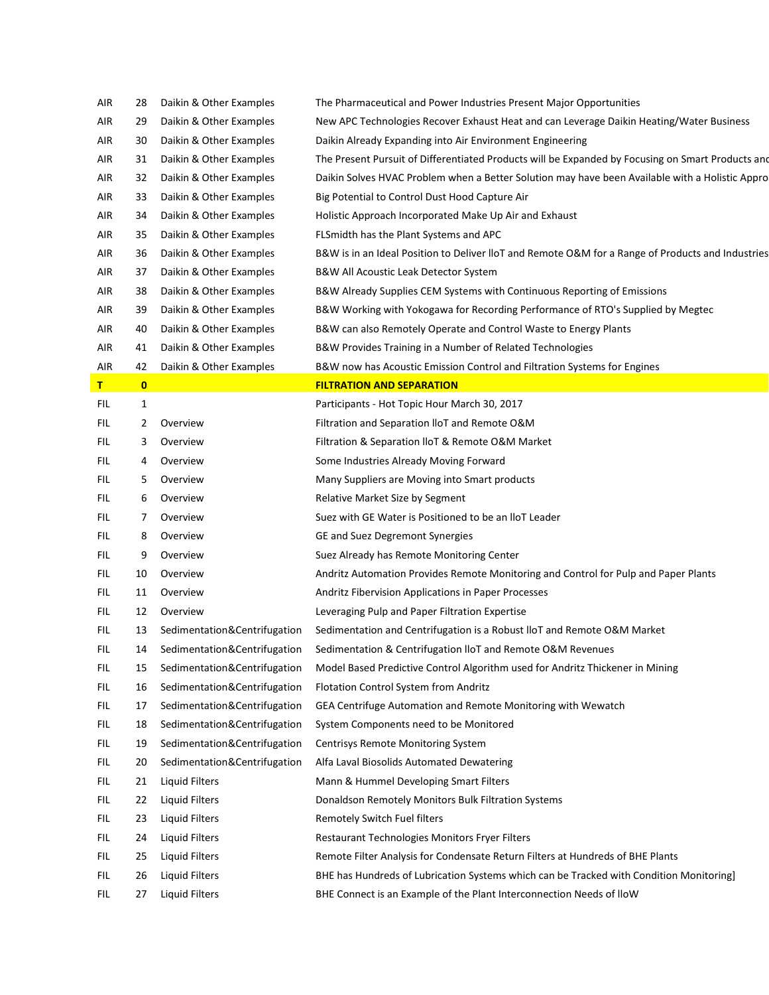| AIR  | 28           | Daikin & Other Examples      | The Pharmaceutical and Power Industries Present Major Opportunities                               |
|------|--------------|------------------------------|---------------------------------------------------------------------------------------------------|
| AIR  | 29           | Daikin & Other Examples      | New APC Technologies Recover Exhaust Heat and can Leverage Daikin Heating/Water Business          |
| AIR  | 30           | Daikin & Other Examples      | Daikin Already Expanding into Air Environment Engineering                                         |
| AIR  | 31           | Daikin & Other Examples      | The Present Pursuit of Differentiated Products will be Expanded by Focusing on Smart Products and |
| AIR  | 32           | Daikin & Other Examples      | Daikin Solves HVAC Problem when a Better Solution may have been Available with a Holistic Appro   |
| AIR  | 33           | Daikin & Other Examples      | Big Potential to Control Dust Hood Capture Air                                                    |
| AIR  | 34           | Daikin & Other Examples      | Holistic Approach Incorporated Make Up Air and Exhaust                                            |
| AIR  | 35           | Daikin & Other Examples      | FLSmidth has the Plant Systems and APC                                                            |
| AIR  | 36           | Daikin & Other Examples      | B&W is in an Ideal Position to Deliver IloT and Remote O&M for a Range of Products and Industries |
| AIR  | 37           | Daikin & Other Examples      | B&W All Acoustic Leak Detector System                                                             |
| AIR  | 38           | Daikin & Other Examples      | B&W Already Supplies CEM Systems with Continuous Reporting of Emissions                           |
| AIR  | 39           | Daikin & Other Examples      | B&W Working with Yokogawa for Recording Performance of RTO's Supplied by Megtec                   |
| AIR  | 40           | Daikin & Other Examples      | B&W can also Remotely Operate and Control Waste to Energy Plants                                  |
| AIR  | 41           | Daikin & Other Examples      | B&W Provides Training in a Number of Related Technologies                                         |
| AIR  | 42           | Daikin & Other Examples      | B&W now has Acoustic Emission Control and Filtration Systems for Engines                          |
| Τ.   | $\mathbf{0}$ |                              | <b>FILTRATION AND SEPARATION</b>                                                                  |
| FIL. | 1            |                              | Participants - Hot Topic Hour March 30, 2017                                                      |
| FIL  | 2            | Overview                     | Filtration and Separation IIoT and Remote O&M                                                     |
| FIL  | 3.           | Overview                     | Filtration & Separation IIoT & Remote O&M Market                                                  |
| FIL  | 4            | Overview                     | Some Industries Already Moving Forward                                                            |
| FIL  | 5.           | Overview                     | Many Suppliers are Moving into Smart products                                                     |
| FIL  | 6            | Overview                     | Relative Market Size by Segment                                                                   |
| FIL  | 7            | Overview                     | Suez with GE Water is Positioned to be an IloT Leader                                             |
| FIL  | 8            | Overview                     | GE and Suez Degremont Synergies                                                                   |
| FIL  | 9            | Overview                     | Suez Already has Remote Monitoring Center                                                         |
| FIL. | 10           | Overview                     | Andritz Automation Provides Remote Monitoring and Control for Pulp and Paper Plants               |
| FIL  | 11           | Overview                     | Andritz Fibervision Applications in Paper Processes                                               |
| FIL  | 12           | Overview                     | Leveraging Pulp and Paper Filtration Expertise                                                    |
| FIL  | 13           | Sedimentation&Centrifugation | Sedimentation and Centrifugation is a Robust IloT and Remote O&M Market                           |
| FIL. | 14           | Sedimentation&Centrifugation | Sedimentation & Centrifugation IIoT and Remote O&M Revenues                                       |
| FIL  | 15           | Sedimentation&Centrifugation | Model Based Predictive Control Algorithm used for Andritz Thickener in Mining                     |
| FIL. | 16           | Sedimentation&Centrifugation | Flotation Control System from Andritz                                                             |
| FIL. | 17           | Sedimentation&Centrifugation | GEA Centrifuge Automation and Remote Monitoring with Wewatch                                      |
| FIL. | 18           | Sedimentation&Centrifugation | System Components need to be Monitored                                                            |
| FIL. | 19           | Sedimentation&Centrifugation | <b>Centrisys Remote Monitoring System</b>                                                         |
| FIL. | 20           | Sedimentation&Centrifugation | Alfa Laval Biosolids Automated Dewatering                                                         |
| FIL. | 21           | Liquid Filters               | Mann & Hummel Developing Smart Filters                                                            |
| FIL  | 22           | <b>Liquid Filters</b>        | Donaldson Remotely Monitors Bulk Filtration Systems                                               |
| FIL. | 23           | Liquid Filters               | Remotely Switch Fuel filters                                                                      |
| FIL. | 24           | Liquid Filters               | Restaurant Technologies Monitors Fryer Filters                                                    |
| FIL. | 25           | Liquid Filters               | Remote Filter Analysis for Condensate Return Filters at Hundreds of BHE Plants                    |
| FIL  | 26           | <b>Liquid Filters</b>        | BHE has Hundreds of Lubrication Systems which can be Tracked with Condition Monitoring]           |
| FIL  | 27           | <b>Liquid Filters</b>        | BHE Connect is an Example of the Plant Interconnection Needs of IloW                              |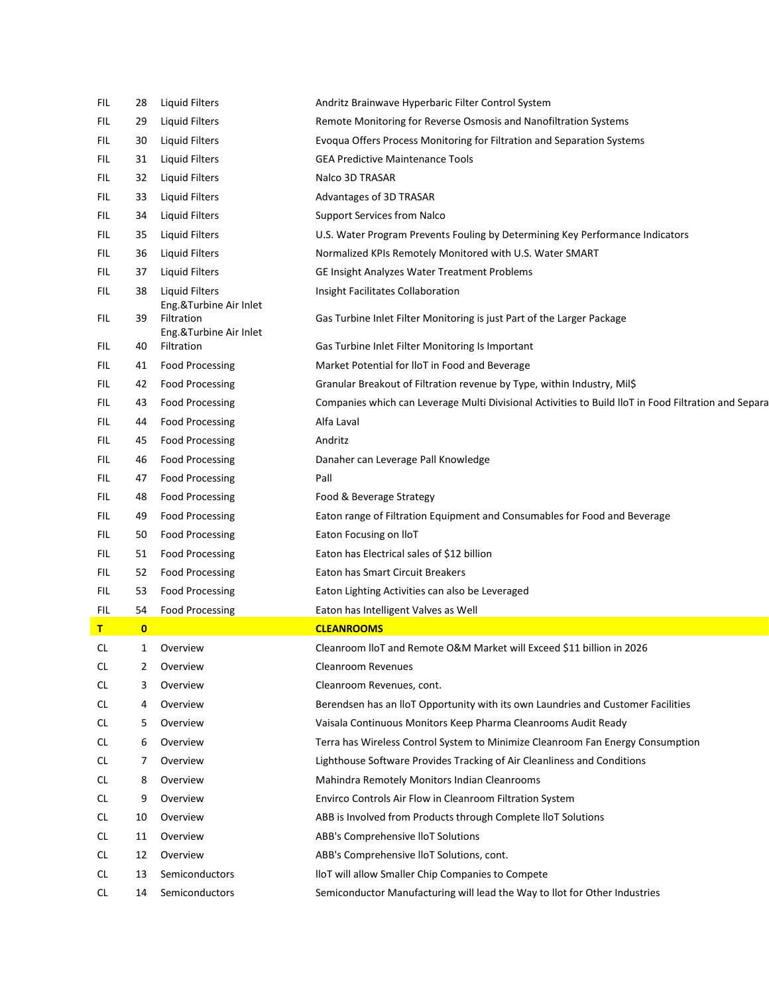| FIL        | 28           | Liquid Filters                                                 | Andritz Brainwave Hyperbaric Filter Control System                                                   |
|------------|--------------|----------------------------------------------------------------|------------------------------------------------------------------------------------------------------|
| FIL        | 29           | Liquid Filters                                                 | Remote Monitoring for Reverse Osmosis and Nanofiltration Systems                                     |
| FIL        | 30           | Liquid Filters                                                 | Evoqua Offers Process Monitoring for Filtration and Separation Systems                               |
| FIL        | 31           | Liquid Filters                                                 | <b>GEA Predictive Maintenance Tools</b>                                                              |
| FIL        | 32           | <b>Liquid Filters</b>                                          | Nalco 3D TRASAR                                                                                      |
| FIL        | 33           | Liquid Filters                                                 | Advantages of 3D TRASAR                                                                              |
| FIL        | 34           | Liquid Filters                                                 | <b>Support Services from Nalco</b>                                                                   |
| FIL        | 35           | Liquid Filters                                                 | U.S. Water Program Prevents Fouling by Determining Key Performance Indicators                        |
| FIL        | 36           | Liquid Filters                                                 | Normalized KPIs Remotely Monitored with U.S. Water SMART                                             |
| FIL        | 37           | Liquid Filters                                                 | GE Insight Analyzes Water Treatment Problems                                                         |
| FIL        | 38           | Liquid Filters                                                 | Insight Facilitates Collaboration                                                                    |
| FIL.       | 39           | Eng.&Turbine Air Inlet<br>Filtration<br>Eng.&Turbine Air Inlet | Gas Turbine Inlet Filter Monitoring is just Part of the Larger Package                               |
| FIL.       | 40           | Filtration                                                     | Gas Turbine Inlet Filter Monitoring Is Important                                                     |
| FIL.       | 41           | <b>Food Processing</b>                                         | Market Potential for IIoT in Food and Beverage                                                       |
| FIL.       | 42           | <b>Food Processing</b>                                         | Granular Breakout of Filtration revenue by Type, within Industry, Mil\$                              |
| FIL        | 43           | <b>Food Processing</b>                                         | Companies which can Leverage Multi Divisional Activities to Build IloT in Food Filtration and Separa |
| <b>FIL</b> | 44           | <b>Food Processing</b>                                         | Alfa Laval                                                                                           |
| FIL.       | 45           | <b>Food Processing</b>                                         | Andritz                                                                                              |
| <b>FIL</b> | 46           | <b>Food Processing</b>                                         | Danaher can Leverage Pall Knowledge                                                                  |
| FIL.       | 47           | <b>Food Processing</b>                                         | Pall                                                                                                 |
| FIL.       | 48           | <b>Food Processing</b>                                         | Food & Beverage Strategy                                                                             |
| FIL.       | 49           | <b>Food Processing</b>                                         | Eaton range of Filtration Equipment and Consumables for Food and Beverage                            |
| FIL.       | 50           | <b>Food Processing</b>                                         | Eaton Focusing on IloT                                                                               |
| FIL.       | 51           | <b>Food Processing</b>                                         | Eaton has Electrical sales of \$12 billion                                                           |
| FIL.       | 52           | <b>Food Processing</b>                                         | Eaton has Smart Circuit Breakers                                                                     |
| <b>FIL</b> | 53           | <b>Food Processing</b>                                         | Eaton Lighting Activities can also be Leveraged                                                      |
| <b>FIL</b> | 54           | <b>Food Processing</b>                                         | Eaton has Intelligent Valves as Well                                                                 |
| т          | $\mathbf{0}$ |                                                                | <b>CLEANROOMS</b>                                                                                    |
| CL.        | 1            | Overview                                                       | Cleanroom IloT and Remote O&M Market will Exceed \$11 billion in 2026                                |
| <b>CL</b>  | 2            | Overview                                                       | Cleanroom Revenues                                                                                   |
| <b>CL</b>  | 3            | Overview                                                       | Cleanroom Revenues, cont.                                                                            |
| CL.        | 4            | Overview                                                       | Berendsen has an IIoT Opportunity with its own Laundries and Customer Facilities                     |
| CL         | 5            | Overview                                                       | Vaisala Continuous Monitors Keep Pharma Cleanrooms Audit Ready                                       |
| CL         | 6            | Overview                                                       | Terra has Wireless Control System to Minimize Cleanroom Fan Energy Consumption                       |
| <b>CL</b>  | 7            | Overview                                                       | Lighthouse Software Provides Tracking of Air Cleanliness and Conditions                              |
| CL         | 8            | Overview                                                       | Mahindra Remotely Monitors Indian Cleanrooms                                                         |
| CL.        | 9            | Overview                                                       | Envirco Controls Air Flow in Cleanroom Filtration System                                             |
| CL         | 10           | Overview                                                       | ABB is Involved from Products through Complete IloT Solutions                                        |
| CL.        | 11           | Overview                                                       | ABB's Comprehensive IloT Solutions                                                                   |
| CL         | 12           | Overview                                                       | ABB's Comprehensive IIoT Solutions, cont.                                                            |
| CL.        | 13           | Semiconductors                                                 | lloT will allow Smaller Chip Companies to Compete                                                    |
| CL.        | 14           | Semiconductors                                                 | Semiconductor Manufacturing will lead the Way to llot for Other Industries                           |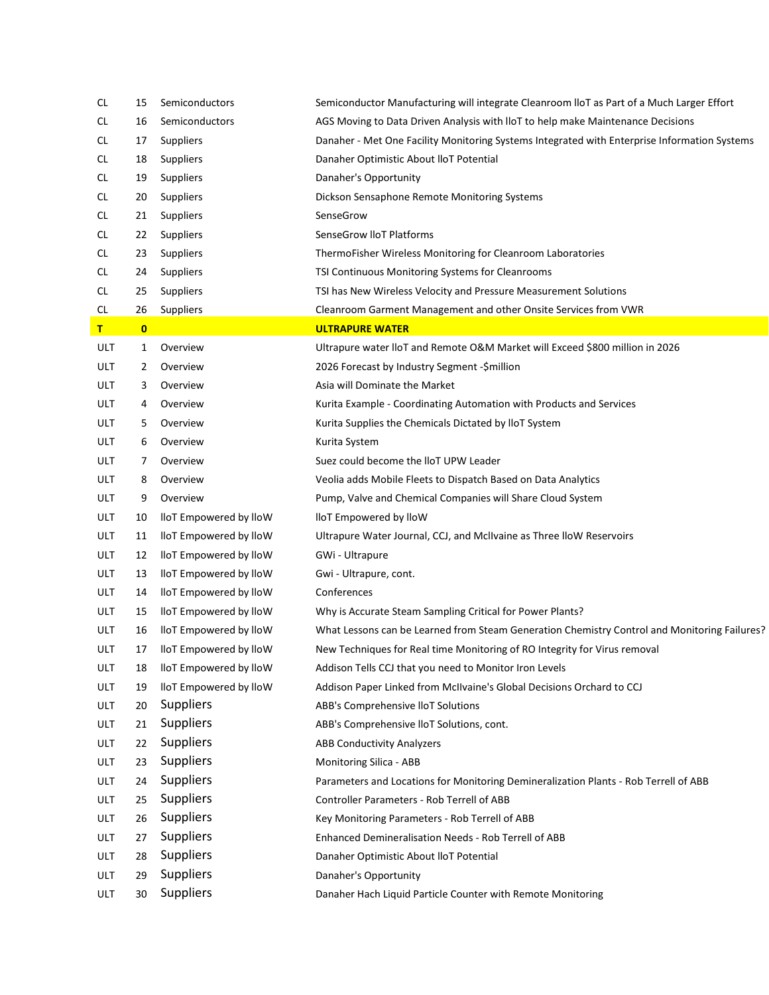| CL  | 15       | Semiconductors         | Semiconductor Manufacturing will integrate Cleanroom IIoT as Part of a Much Larger Effort    |
|-----|----------|------------------------|----------------------------------------------------------------------------------------------|
| CL. | 16       | Semiconductors         | AGS Moving to Data Driven Analysis with IloT to help make Maintenance Decisions              |
| CL. | 17       | <b>Suppliers</b>       | Danaher - Met One Facility Monitoring Systems Integrated with Enterprise Information Systems |
| CL  | 18       | <b>Suppliers</b>       | Danaher Optimistic About IloT Potential                                                      |
| CL. | 19       | <b>Suppliers</b>       | Danaher's Opportunity                                                                        |
| CL  | 20       | <b>Suppliers</b>       | Dickson Sensaphone Remote Monitoring Systems                                                 |
| CL. | 21       | <b>Suppliers</b>       | SenseGrow                                                                                    |
| CL  | 22       | <b>Suppliers</b>       | SenseGrow IIoT Platforms                                                                     |
| CL  | 23       | Suppliers              | ThermoFisher Wireless Monitoring for Cleanroom Laboratories                                  |
| CL. | 24       | Suppliers              | TSI Continuous Monitoring Systems for Cleanrooms                                             |
| CL. | 25       | <b>Suppliers</b>       | TSI has New Wireless Velocity and Pressure Measurement Solutions                             |
| CL. | 26       | Suppliers              | Cleanroom Garment Management and other Onsite Services from VWR                              |
| т   | $\bf{0}$ |                        | <b>ULTRAPURE WATER</b>                                                                       |
| ULT | 1        | Overview               | Ultrapure water IloT and Remote O&M Market will Exceed \$800 million in 2026                 |
| ULT | 2        | Overview               | 2026 Forecast by Industry Segment - \$million                                                |
| ULT | 3        | Overview               | Asia will Dominate the Market                                                                |
| ULT | 4        | Overview               | Kurita Example - Coordinating Automation with Products and Services                          |
| ULT | 5        | Overview               | Kurita Supplies the Chemicals Dictated by IloT System                                        |
| ULT | 6        | Overview               | Kurita System                                                                                |
| ULT | 7        | Overview               | Suez could become the lloT UPW Leader                                                        |
| ULT | 8        | Overview               | Veolia adds Mobile Fleets to Dispatch Based on Data Analytics                                |
| ULT | 9        | Overview               | Pump, Valve and Chemical Companies will Share Cloud System                                   |
| ULT | 10       | lloT Empowered by lloW | lloT Empowered by lloW                                                                       |
| ULT | 11       | lloT Empowered by lloW | Ultrapure Water Journal, CCJ, and McIIvaine as Three IloW Reservoirs                         |
| ULT | 12       | lloT Empowered by lloW | GWi - Ultrapure                                                                              |
| ULT | 13       | lloT Empowered by lloW | Gwi - Ultrapure, cont.                                                                       |
| ULT | 14       | lloT Empowered by lloW | Conferences                                                                                  |
| ULT | 15       | lloT Empowered by lloW | Why is Accurate Steam Sampling Critical for Power Plants?                                    |
| ULT | 16       | lloT Empowered by lloW | What Lessons can be Learned from Steam Generation Chemistry Control and Monitoring Failures? |
| ULT | 17       | lloT Empowered by lloW | New Techniques for Real time Monitoring of RO Integrity for Virus removal                    |
| ULT | 18       | lloT Empowered by lloW | Addison Tells CCJ that you need to Monitor Iron Levels                                       |
| ULT | 19       | lloT Empowered by lloW | Addison Paper Linked from McIIvaine's Global Decisions Orchard to CCJ                        |
| ULT | 20       | <b>Suppliers</b>       | ABB's Comprehensive IIoT Solutions                                                           |
| ULT | 21       | Suppliers              | ABB's Comprehensive IloT Solutions, cont.                                                    |
| ULT | 22       | Suppliers              | <b>ABB Conductivity Analyzers</b>                                                            |
| ULT | 23       | Suppliers              | Monitoring Silica - ABB                                                                      |
| ULT | 24       | Suppliers              | Parameters and Locations for Monitoring Demineralization Plants - Rob Terrell of ABB         |
| ULT | 25       | Suppliers              | Controller Parameters - Rob Terrell of ABB                                                   |
| ULT | 26       | <b>Suppliers</b>       | Key Monitoring Parameters - Rob Terrell of ABB                                               |
| ULT | 27       | Suppliers              | Enhanced Demineralisation Needs - Rob Terrell of ABB                                         |
| ULT | 28       | Suppliers              | Danaher Optimistic About IloT Potential                                                      |
| ULT | 29       | Suppliers              | Danaher's Opportunity                                                                        |
| ULT | 30       | Suppliers              | Danaher Hach Liquid Particle Counter with Remote Monitoring                                  |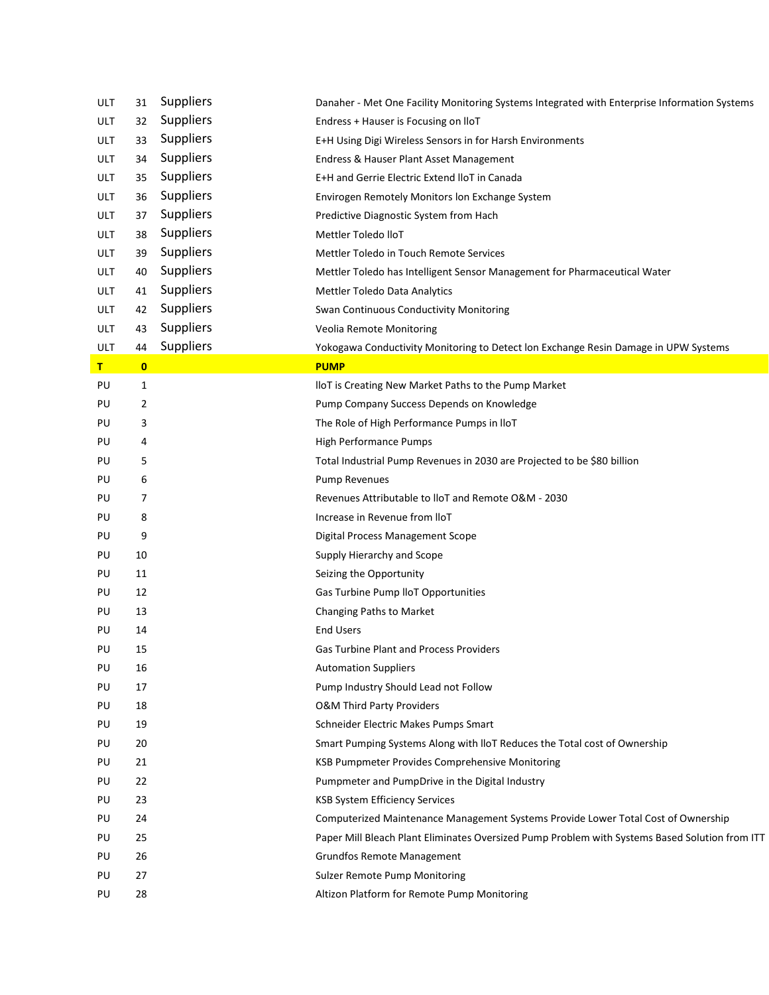| <b>ULT</b> | 31       | <b>Suppliers</b> | Danaher - Met One Facility Monitoring Systems Integrated with Enterprise Information Systems   |
|------------|----------|------------------|------------------------------------------------------------------------------------------------|
| <b>ULT</b> | 32       | Suppliers        | Endress + Hauser is Focusing on IIoT                                                           |
| <b>ULT</b> | 33       | <b>Suppliers</b> | E+H Using Digi Wireless Sensors in for Harsh Environments                                      |
| <b>ULT</b> | 34       | Suppliers        | Endress & Hauser Plant Asset Management                                                        |
| <b>ULT</b> | 35       | Suppliers        | E+H and Gerrie Electric Extend IloT in Canada                                                  |
| <b>ULT</b> | 36       | Suppliers        | Envirogen Remotely Monitors Ion Exchange System                                                |
| <b>ULT</b> | 37       | <b>Suppliers</b> | Predictive Diagnostic System from Hach                                                         |
| <b>ULT</b> | 38       | Suppliers        | Mettler Toledo lloT                                                                            |
| <b>ULT</b> | 39       | Suppliers        | Mettler Toledo in Touch Remote Services                                                        |
| <b>ULT</b> | 40       | Suppliers        | Mettler Toledo has Intelligent Sensor Management for Pharmaceutical Water                      |
| <b>ULT</b> | 41       | <b>Suppliers</b> | Mettler Toledo Data Analytics                                                                  |
| <b>ULT</b> | 42       | <b>Suppliers</b> | Swan Continuous Conductivity Monitoring                                                        |
| <b>ULT</b> | 43       | Suppliers        | Veolia Remote Monitoring                                                                       |
| ULT        | 44       | Suppliers        | Yokogawa Conductivity Monitoring to Detect lon Exchange Resin Damage in UPW Systems            |
| T          | $\bf{0}$ |                  | <b>PUMP</b>                                                                                    |
| PU         | 1        |                  | IloT is Creating New Market Paths to the Pump Market                                           |
| PU         | 2        |                  | Pump Company Success Depends on Knowledge                                                      |
| PU         | 3        |                  | The Role of High Performance Pumps in IloT                                                     |
| PU         | 4        |                  | High Performance Pumps                                                                         |
| PU         | 5        |                  | Total Industrial Pump Revenues in 2030 are Projected to be \$80 billion                        |
| PU         | 6        |                  | <b>Pump Revenues</b>                                                                           |
| PU         | 7        |                  | Revenues Attributable to IloT and Remote O&M - 2030                                            |
| PU         | 8        |                  | Increase in Revenue from IloT                                                                  |
| PU         | 9        |                  | Digital Process Management Scope                                                               |
| PU         | 10       |                  | Supply Hierarchy and Scope                                                                     |
| PU         | 11       |                  | Seizing the Opportunity                                                                        |
| PU         | 12       |                  | Gas Turbine Pump IloT Opportunities                                                            |
| PU         | 13       |                  | Changing Paths to Market                                                                       |
| PU         | 14       |                  | <b>End Users</b>                                                                               |
| PU         | 15       |                  | <b>Gas Turbine Plant and Process Providers</b>                                                 |
| PU         | 16       |                  | <b>Automation Suppliers</b>                                                                    |
| PU         | 17       |                  | Pump Industry Should Lead not Follow                                                           |
| PU         | 18       |                  | <b>O&amp;M Third Party Providers</b>                                                           |
| PU         | 19       |                  | Schneider Electric Makes Pumps Smart                                                           |
| PU         | 20       |                  | Smart Pumping Systems Along with IloT Reduces the Total cost of Ownership                      |
| PU         | 21       |                  | KSB Pumpmeter Provides Comprehensive Monitoring                                                |
| PU         | 22       |                  | Pumpmeter and PumpDrive in the Digital Industry                                                |
| PU         | 23       |                  | <b>KSB System Efficiency Services</b>                                                          |
| PU         | 24       |                  | Computerized Maintenance Management Systems Provide Lower Total Cost of Ownership              |
| PU         | 25       |                  | Paper Mill Bleach Plant Eliminates Oversized Pump Problem with Systems Based Solution from ITT |
| PU         | 26       |                  | <b>Grundfos Remote Management</b>                                                              |
| PU         | 27       |                  | Sulzer Remote Pump Monitoring                                                                  |
| PU         | 28       |                  | Altizon Platform for Remote Pump Monitoring                                                    |
|            |          |                  |                                                                                                |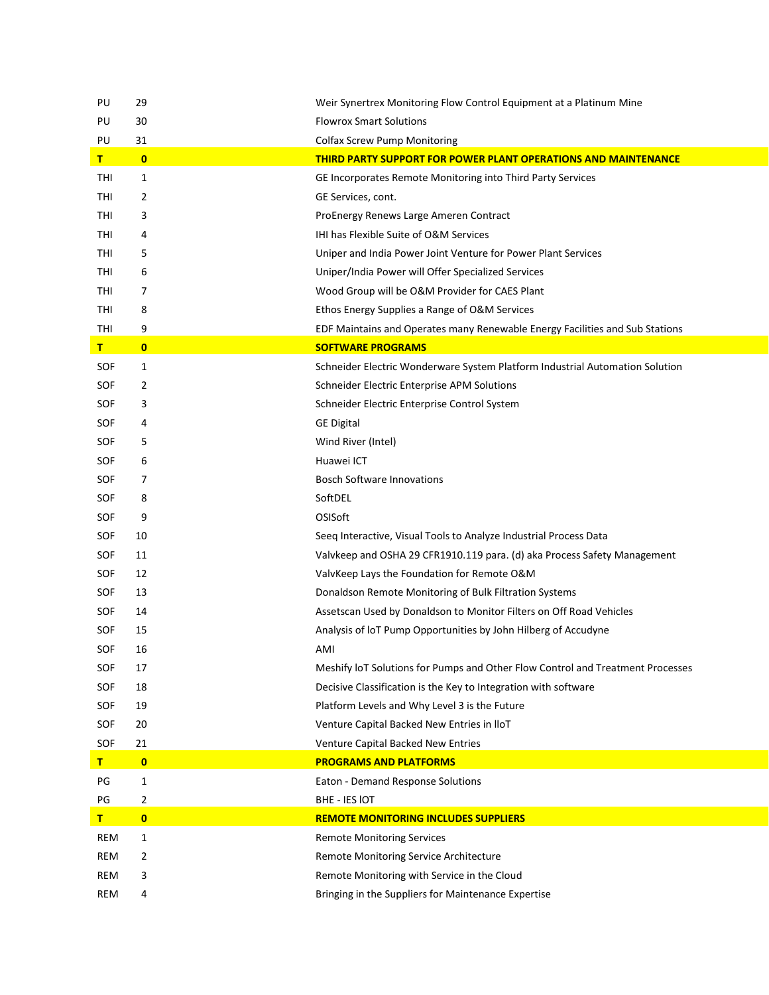| PU         | 29           | Weir Synertrex Monitoring Flow Control Equipment at a Platinum Mine            |
|------------|--------------|--------------------------------------------------------------------------------|
| PU         | 30           | <b>Flowrox Smart Solutions</b>                                                 |
| PU         | 31           | <b>Colfax Screw Pump Monitoring</b>                                            |
| T          | $\bf{0}$     | <b>THIRD PARTY SUPPORT FOR POWER PLANT OPERATIONS AND MAINTENANCE</b>          |
| THI        | 1            | GE Incorporates Remote Monitoring into Third Party Services                    |
| THI        | 2            | GE Services, cont.                                                             |
| THI        | 3            | ProEnergy Renews Large Ameren Contract                                         |
| THI        | 4            | <b>IHI has Flexible Suite of O&amp;M Services</b>                              |
| THI        | 5            | Uniper and India Power Joint Venture for Power Plant Services                  |
| THI        | 6            | Uniper/India Power will Offer Specialized Services                             |
| THI        | 7            | Wood Group will be O&M Provider for CAES Plant                                 |
| THI        | 8            | Ethos Energy Supplies a Range of O&M Services                                  |
| THI        | 9            | EDF Maintains and Operates many Renewable Energy Facilities and Sub Stations   |
| T          | $\mathbf{0}$ | <b>SOFTWARE PROGRAMS</b>                                                       |
| SOF        | 1            | Schneider Electric Wonderware System Platform Industrial Automation Solution   |
| SOF        | 2            | Schneider Electric Enterprise APM Solutions                                    |
| SOF        | 3            | Schneider Electric Enterprise Control System                                   |
| SOF        | 4            | <b>GE Digital</b>                                                              |
| SOF        | 5            | Wind River (Intel)                                                             |
| SOF        | 6            | Huawei ICT                                                                     |
| SOF        | 7            | <b>Bosch Software Innovations</b>                                              |
| SOF        | 8            | SoftDEL                                                                        |
| SOF        | 9            | OSISoft                                                                        |
| SOF        | 10           | Seeq Interactive, Visual Tools to Analyze Industrial Process Data              |
| SOF        | 11           | Valvkeep and OSHA 29 CFR1910.119 para. (d) aka Process Safety Management       |
| SOF        | 12           | ValvKeep Lays the Foundation for Remote O&M                                    |
| SOF        | 13           | Donaldson Remote Monitoring of Bulk Filtration Systems                         |
| SOF        | 14           | Assetscan Used by Donaldson to Monitor Filters on Off Road Vehicles            |
| SOF        | 15           | Analysis of IoT Pump Opportunities by John Hilberg of Accudyne                 |
| SOF        | 16           | AMI                                                                            |
| SOF        | 17           | Meshify IoT Solutions for Pumps and Other Flow Control and Treatment Processes |
| SOF        | 18           | Decisive Classification is the Key to Integration with software                |
| SOF        | 19           | Platform Levels and Why Level 3 is the Future                                  |
| SOF        | 20           | Venture Capital Backed New Entries in IloT                                     |
| SOF        | 21           | Venture Capital Backed New Entries                                             |
| T.         | $\mathbf{0}$ | <b>PROGRAMS AND PLATFORMS</b>                                                  |
| PG         | 1            | Eaton - Demand Response Solutions                                              |
| PG         | 2            | BHE - IES IOT                                                                  |
| T          | $\mathbf{0}$ | <b>REMOTE MONITORING INCLUDES SUPPLIERS</b>                                    |
| REM        | 1            | <b>Remote Monitoring Services</b>                                              |
| REM        | 2            | Remote Monitoring Service Architecture                                         |
| REM        | 3            | Remote Monitoring with Service in the Cloud                                    |
| <b>REM</b> | 4            | Bringing in the Suppliers for Maintenance Expertise                            |
|            |              |                                                                                |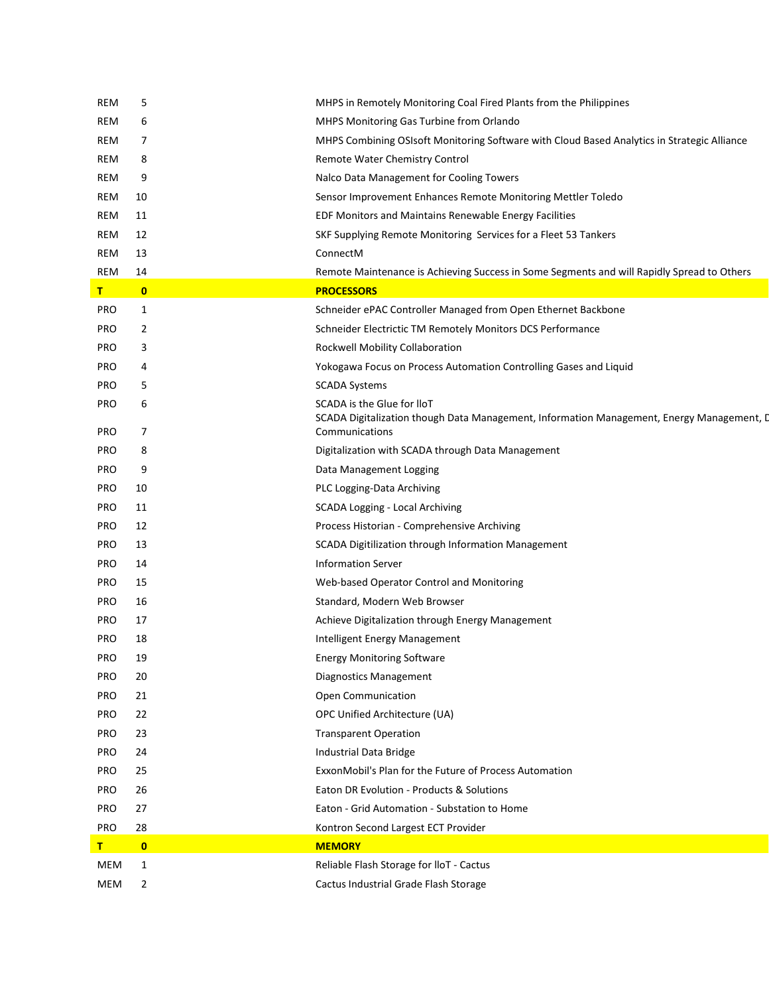| REM        | 5            | MHPS in Remotely Monitoring Coal Fired Plants from the Philippines                                                      |
|------------|--------------|-------------------------------------------------------------------------------------------------------------------------|
| REM        | 6            | MHPS Monitoring Gas Turbine from Orlando                                                                                |
| REM        | 7            | MHPS Combining OSIsoft Monitoring Software with Cloud Based Analytics in Strategic Alliance                             |
| REM        | 8            | Remote Water Chemistry Control                                                                                          |
| REM        | 9            | Nalco Data Management for Cooling Towers                                                                                |
| REM        | 10           | Sensor Improvement Enhances Remote Monitoring Mettler Toledo                                                            |
| REM        | 11           | EDF Monitors and Maintains Renewable Energy Facilities                                                                  |
| REM        | 12           | SKF Supplying Remote Monitoring Services for a Fleet 53 Tankers                                                         |
| REM        | 13           | ConnectM                                                                                                                |
| REM        | 14           | Remote Maintenance is Achieving Success in Some Segments and will Rapidly Spread to Others                              |
| т          | $\mathbf{0}$ | <b>PROCESSORS</b>                                                                                                       |
| <b>PRO</b> | 1            | Schneider ePAC Controller Managed from Open Ethernet Backbone                                                           |
| <b>PRO</b> | 2            | Schneider Electrictic TM Remotely Monitors DCS Performance                                                              |
| <b>PRO</b> | 3            | Rockwell Mobility Collaboration                                                                                         |
| <b>PRO</b> | 4            | Yokogawa Focus on Process Automation Controlling Gases and Liquid                                                       |
| <b>PRO</b> | 5            | <b>SCADA Systems</b>                                                                                                    |
| <b>PRO</b> | 6            | SCADA is the Glue for IloT<br>SCADA Digitalization though Data Management, Information Management, Energy Management, D |
| <b>PRO</b> | 7            | Communications                                                                                                          |
| <b>PRO</b> | 8            | Digitalization with SCADA through Data Management                                                                       |
| <b>PRO</b> | 9            | Data Management Logging                                                                                                 |
| <b>PRO</b> | 10           | PLC Logging-Data Archiving                                                                                              |
| <b>PRO</b> | 11           | SCADA Logging - Local Archiving                                                                                         |
| <b>PRO</b> | 12           | Process Historian - Comprehensive Archiving                                                                             |
| <b>PRO</b> | 13           | SCADA Digitilization through Information Management                                                                     |
| <b>PRO</b> | 14           | <b>Information Server</b>                                                                                               |
| <b>PRO</b> | 15           | Web-based Operator Control and Monitoring                                                                               |
| <b>PRO</b> | 16           | Standard, Modern Web Browser                                                                                            |
| <b>PRO</b> | 17           | Achieve Digitalization through Energy Management                                                                        |
| <b>PRO</b> | 18           | Intelligent Energy Management                                                                                           |
| PRO        | 19           | <b>Energy Monitoring Software</b>                                                                                       |
| <b>PRO</b> | 20           | <b>Diagnostics Management</b>                                                                                           |
| <b>PRO</b> | 21           | Open Communication                                                                                                      |
| <b>PRO</b> | 22           | OPC Unified Architecture (UA)                                                                                           |
| <b>PRO</b> | 23           | <b>Transparent Operation</b>                                                                                            |
| <b>PRO</b> | 24           | Industrial Data Bridge                                                                                                  |
| <b>PRO</b> | 25           | ExxonMobil's Plan for the Future of Process Automation                                                                  |
| <b>PRO</b> | 26           | Eaton DR Evolution - Products & Solutions                                                                               |
| <b>PRO</b> | 27           | Eaton - Grid Automation - Substation to Home                                                                            |
| <b>PRO</b> | 28           | Kontron Second Largest ECT Provider                                                                                     |
| т          | $\mathbf{0}$ | <b>MEMORY</b>                                                                                                           |
| MEM        | 1            | Reliable Flash Storage for IloT - Cactus                                                                                |
| MEM        | 2            | Cactus Industrial Grade Flash Storage                                                                                   |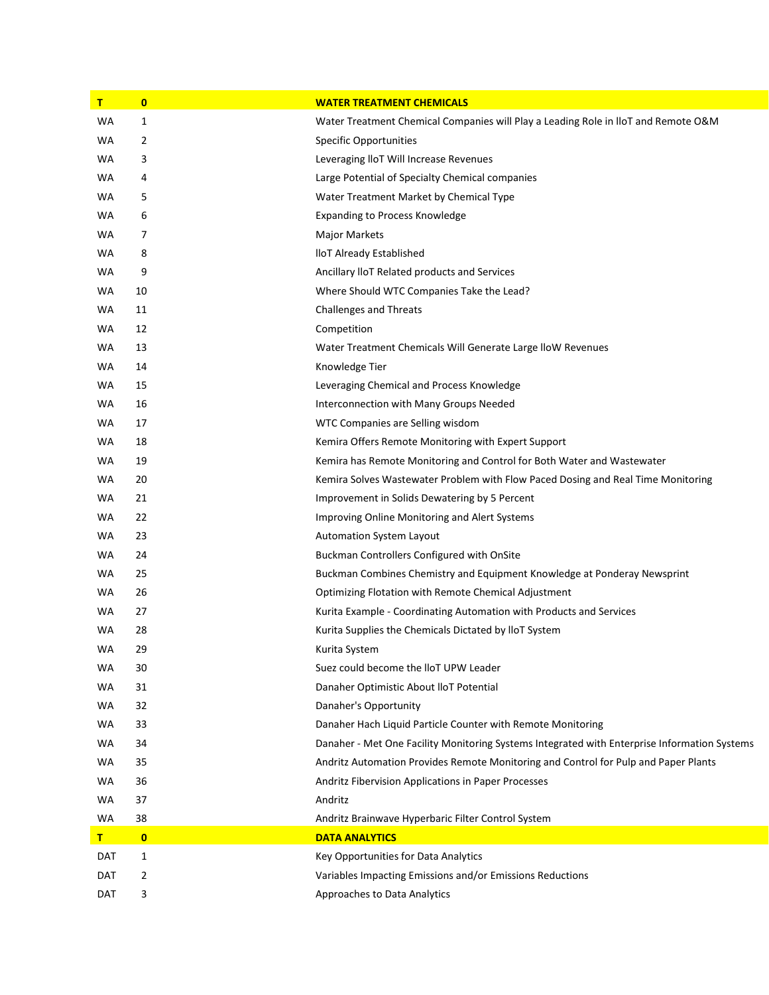| T   | $\mathbf{0}$ | <b>WATER TREATMENT CHEMICALS</b>                                                             |
|-----|--------------|----------------------------------------------------------------------------------------------|
| WA  | $\mathbf{1}$ | Water Treatment Chemical Companies will Play a Leading Role in IloT and Remote O&M           |
| WA  | 2            | <b>Specific Opportunities</b>                                                                |
| WA  | 3            | Leveraging IloT Will Increase Revenues                                                       |
| WA  | 4            | Large Potential of Specialty Chemical companies                                              |
| WA  | 5            | Water Treatment Market by Chemical Type                                                      |
| WA  | 6            | <b>Expanding to Process Knowledge</b>                                                        |
| WA  | 7            | <b>Major Markets</b>                                                                         |
| WA  | 8            | lloT Already Established                                                                     |
| WA  | 9            | Ancillary IIoT Related products and Services                                                 |
| WA  | 10           | Where Should WTC Companies Take the Lead?                                                    |
| WA  | 11           | <b>Challenges and Threats</b>                                                                |
| WA  | 12           | Competition                                                                                  |
| WA  | 13           | Water Treatment Chemicals Will Generate Large IloW Revenues                                  |
| WA  | 14           | Knowledge Tier                                                                               |
| WA  | 15           | Leveraging Chemical and Process Knowledge                                                    |
| WA  | 16           | Interconnection with Many Groups Needed                                                      |
| WA  | 17           | WTC Companies are Selling wisdom                                                             |
| WA  | 18           | Kemira Offers Remote Monitoring with Expert Support                                          |
| WA  | 19           | Kemira has Remote Monitoring and Control for Both Water and Wastewater                       |
| WA  | 20           | Kemira Solves Wastewater Problem with Flow Paced Dosing and Real Time Monitoring             |
| WA  | 21           | Improvement in Solids Dewatering by 5 Percent                                                |
| WA  | 22           | Improving Online Monitoring and Alert Systems                                                |
| WA  | 23           | Automation System Layout                                                                     |
| WA  | 24           | Buckman Controllers Configured with OnSite                                                   |
| WA  | 25           | Buckman Combines Chemistry and Equipment Knowledge at Ponderay Newsprint                     |
| WA  | 26           | Optimizing Flotation with Remote Chemical Adjustment                                         |
| WA  | 27           | Kurita Example - Coordinating Automation with Products and Services                          |
| WA  | 28           | Kurita Supplies the Chemicals Dictated by IloT System                                        |
| WA  | 29           | Kurita System                                                                                |
| WA  | 30           | Suez could become the lloT UPW Leader                                                        |
| WA  | 31           | Danaher Optimistic About IloT Potential                                                      |
| WA  | 32           | Danaher's Opportunity                                                                        |
| WA  | 33           | Danaher Hach Liquid Particle Counter with Remote Monitoring                                  |
| WA  | 34           | Danaher - Met One Facility Monitoring Systems Integrated with Enterprise Information Systems |
| WA  | 35           | Andritz Automation Provides Remote Monitoring and Control for Pulp and Paper Plants          |
| WA  | 36           | Andritz Fibervision Applications in Paper Processes                                          |
| WA  | 37           | Andritz                                                                                      |
| WA  | 38           | Andritz Brainwave Hyperbaric Filter Control System                                           |
| T   | $\mathbf{0}$ | <b>DATA ANALYTICS</b>                                                                        |
| DAT | 1            | Key Opportunities for Data Analytics                                                         |
| DAT | 2            | Variables Impacting Emissions and/or Emissions Reductions                                    |
| DAT | 3            | Approaches to Data Analytics                                                                 |
|     |              |                                                                                              |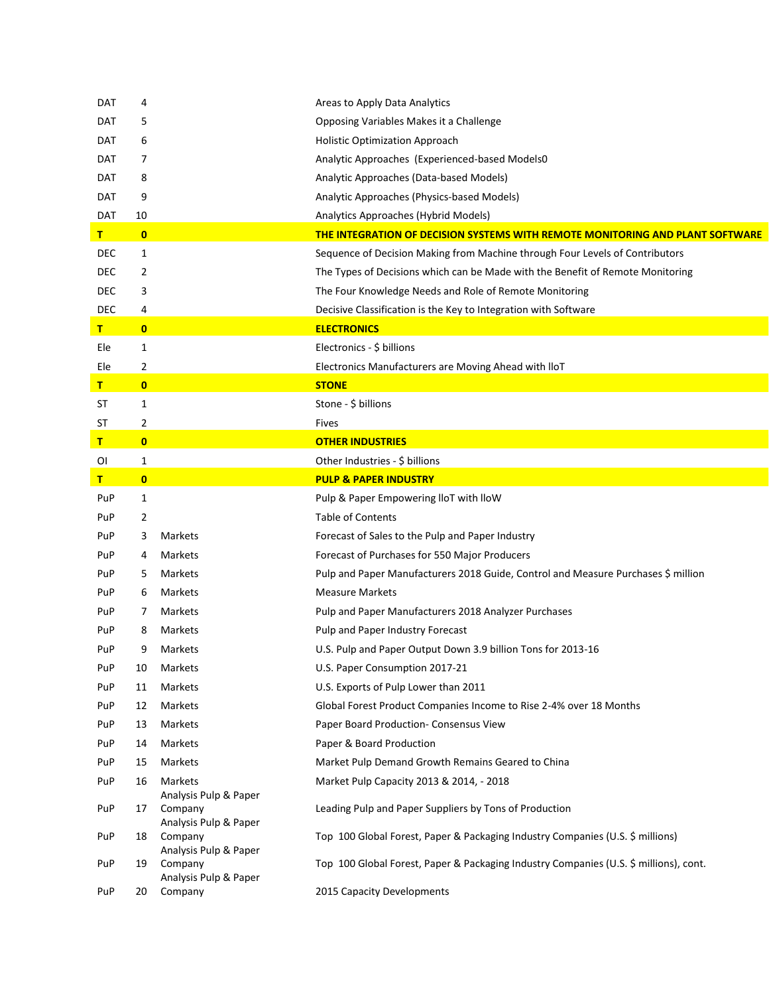| DAT | 4            |                                                           | Areas to Apply Data Analytics                                                         |
|-----|--------------|-----------------------------------------------------------|---------------------------------------------------------------------------------------|
| DAT | 5            |                                                           | Opposing Variables Makes it a Challenge                                               |
| DAT | 6            |                                                           | <b>Holistic Optimization Approach</b>                                                 |
| DAT | 7            |                                                           | Analytic Approaches (Experienced-based Models0                                        |
| DAT | 8            |                                                           | Analytic Approaches (Data-based Models)                                               |
| DAT | 9            |                                                           | Analytic Approaches (Physics-based Models)                                            |
| DAT | 10           |                                                           | Analytics Approaches (Hybrid Models)                                                  |
| T   | $\bf{0}$     |                                                           | <b>THE INTEGRATION OF DECISION SYSTEMS WITH REMOTE MONITORING AND PLANT SOFTWARE</b>  |
| DEC | 1            |                                                           | Sequence of Decision Making from Machine through Four Levels of Contributors          |
| DEC | 2            |                                                           | The Types of Decisions which can be Made with the Benefit of Remote Monitoring        |
| DEC | 3            |                                                           | The Four Knowledge Needs and Role of Remote Monitoring                                |
| DEC | 4            |                                                           | Decisive Classification is the Key to Integration with Software                       |
| T.  | $\bf{0}$     |                                                           | <b>ELECTRONICS</b>                                                                    |
| Ele | $\mathbf{1}$ |                                                           | Electronics - \$ billions                                                             |
| Ele | 2            |                                                           | Electronics Manufacturers are Moving Ahead with IloT                                  |
| Τ.  | $\mathbf{0}$ |                                                           | <b>STONE</b>                                                                          |
| ST  | 1            |                                                           | Stone - \$ billions                                                                   |
| ST  | 2            |                                                           | Fives                                                                                 |
| Τ.  | $\bf{0}$     |                                                           | <b>OTHER INDUSTRIES</b>                                                               |
| ΟI  | 1            |                                                           | Other Industries - \$ billions                                                        |
| т.  | $\bf{0}$     |                                                           | <b>PULP &amp; PAPER INDUSTRY</b>                                                      |
| PuP | $\mathbf{1}$ |                                                           | Pulp & Paper Empowering IloT with IloW                                                |
| PuP | 2            |                                                           | <b>Table of Contents</b>                                                              |
| PuP | 3            | Markets                                                   | Forecast of Sales to the Pulp and Paper Industry                                      |
| PuP | 4            | Markets                                                   | Forecast of Purchases for 550 Major Producers                                         |
| PuP | 5            | Markets                                                   | Pulp and Paper Manufacturers 2018 Guide, Control and Measure Purchases \$ million     |
| PuP | 6            | Markets                                                   | <b>Measure Markets</b>                                                                |
| PuP | 7            | Markets                                                   | Pulp and Paper Manufacturers 2018 Analyzer Purchases                                  |
| PuP | 8            | Markets                                                   | Pulp and Paper Industry Forecast                                                      |
| PuP | 9            | Markets                                                   | U.S. Pulp and Paper Output Down 3.9 billion Tons for 2013-16                          |
| PuP | 10           | Markets                                                   | U.S. Paper Consumption 2017-21                                                        |
| PuP | 11           | Markets                                                   | U.S. Exports of Pulp Lower than 2011                                                  |
| PuP | 12           | Markets                                                   | Global Forest Product Companies Income to Rise 2-4% over 18 Months                    |
| PuP | 13           | Markets                                                   | Paper Board Production- Consensus View                                                |
| PuP | 14           | Markets                                                   | Paper & Board Production                                                              |
| PuP | 15           | Markets                                                   | Market Pulp Demand Growth Remains Geared to China                                     |
| PuP | 16           | Markets                                                   | Market Pulp Capacity 2013 & 2014, - 2018                                              |
| PuP | 17           | Analysis Pulp & Paper<br>Company                          | Leading Pulp and Paper Suppliers by Tons of Production                                |
| PuP | 18           | Analysis Pulp & Paper<br>Company<br>Analysis Pulp & Paper | Top 100 Global Forest, Paper & Packaging Industry Companies (U.S. \$ millions)        |
| PuP | 19           | Company<br>Analysis Pulp & Paper                          | Top 100 Global Forest, Paper & Packaging Industry Companies (U.S. \$ millions), cont. |
| PuP | 20           | Company                                                   | 2015 Capacity Developments                                                            |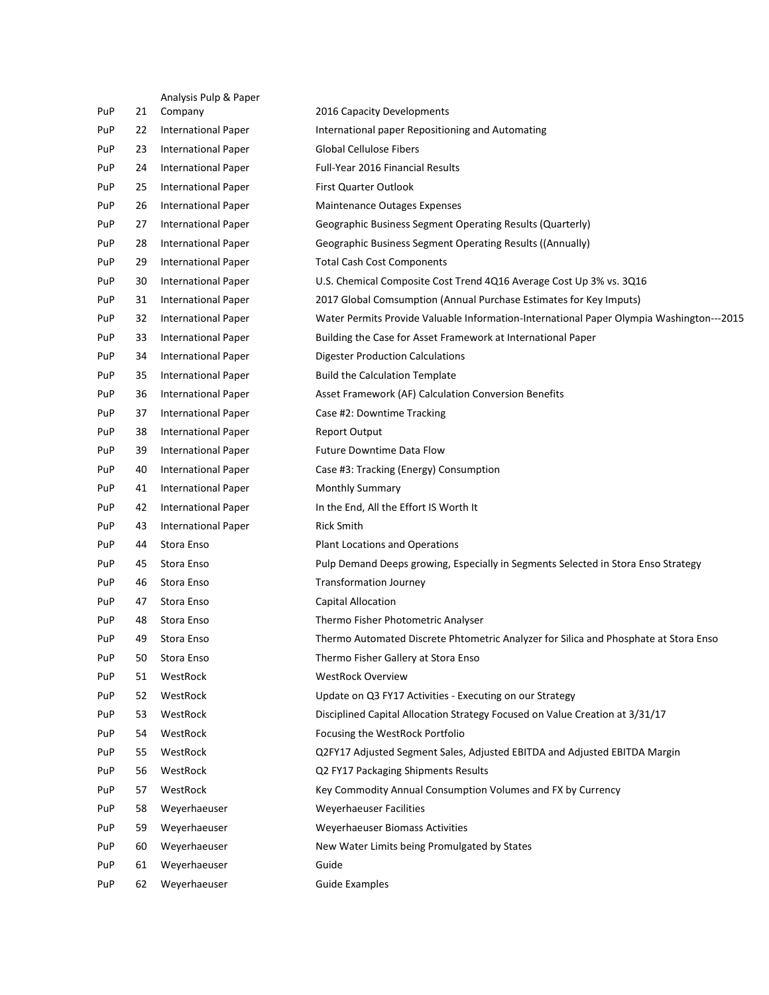|     |    | Analysis Pulp & Paper      |                                                                                          |
|-----|----|----------------------------|------------------------------------------------------------------------------------------|
| PuP | 21 | Company                    | 2016 Capacity Developments                                                               |
| PuP | 22 | <b>International Paper</b> | International paper Repositioning and Automating                                         |
| PuP | 23 | <b>International Paper</b> | <b>Global Cellulose Fibers</b>                                                           |
| PuP | 24 | <b>International Paper</b> | Full-Year 2016 Financial Results                                                         |
| PuP | 25 | <b>International Paper</b> | <b>First Quarter Outlook</b>                                                             |
| PuP | 26 | <b>International Paper</b> | <b>Maintenance Outages Expenses</b>                                                      |
| PuP | 27 | <b>International Paper</b> | Geographic Business Segment Operating Results (Quarterly)                                |
| PuP | 28 | <b>International Paper</b> | Geographic Business Segment Operating Results ((Annually)                                |
| PuP | 29 | <b>International Paper</b> | <b>Total Cash Cost Components</b>                                                        |
| PuP | 30 | <b>International Paper</b> | U.S. Chemical Composite Cost Trend 4Q16 Average Cost Up 3% vs. 3Q16                      |
| PuP | 31 | <b>International Paper</b> | 2017 Global Comsumption (Annual Purchase Estimates for Key Imputs)                       |
| PuP | 32 | <b>International Paper</b> | Water Permits Provide Valuable Information-International Paper Olympia Washington---2015 |
| PuP | 33 | <b>International Paper</b> | Building the Case for Asset Framework at International Paper                             |
| PuP | 34 | <b>International Paper</b> | <b>Digester Production Calculations</b>                                                  |
| PuP | 35 | <b>International Paper</b> | <b>Build the Calculation Template</b>                                                    |
| PuP | 36 | <b>International Paper</b> | Asset Framework (AF) Calculation Conversion Benefits                                     |
| PuP | 37 | <b>International Paper</b> | Case #2: Downtime Tracking                                                               |
| PuP | 38 | <b>International Paper</b> | <b>Report Output</b>                                                                     |
| PuP | 39 | <b>International Paper</b> | Future Downtime Data Flow                                                                |
| PuP | 40 | <b>International Paper</b> | Case #3: Tracking (Energy) Consumption                                                   |
| PuP | 41 | <b>International Paper</b> | <b>Monthly Summary</b>                                                                   |
| PuP | 42 | <b>International Paper</b> | In the End, All the Effort IS Worth It                                                   |
| PuP | 43 | <b>International Paper</b> | <b>Rick Smith</b>                                                                        |
| PuP | 44 | Stora Enso                 | <b>Plant Locations and Operations</b>                                                    |
| PuP | 45 | Stora Enso                 | Pulp Demand Deeps growing, Especially in Segments Selected in Stora Enso Strategy        |
| PuP | 46 | Stora Enso                 | <b>Transformation Journey</b>                                                            |
| PuP | 47 | Stora Enso                 | Capital Allocation                                                                       |
| PuP | 48 | Stora Enso                 | Thermo Fisher Photometric Analyser                                                       |
| PuP | 49 | Stora Enso                 | Thermo Automated Discrete Phtometric Analyzer for Silica and Phosphate at Stora Enso     |
| PuP | 50 | Stora Enso                 | Thermo Fisher Gallery at Stora Enso                                                      |
| PuP | 51 | WestRock                   | <b>WestRock Overview</b>                                                                 |
| PuP | 52 | WestRock                   | Update on Q3 FY17 Activities - Executing on our Strategy                                 |
| PuP | 53 | WestRock                   | Disciplined Capital Allocation Strategy Focused on Value Creation at 3/31/17             |
| PuP | 54 | WestRock                   | Focusing the WestRock Portfolio                                                          |
| PuP | 55 | WestRock                   | Q2FY17 Adjusted Segment Sales, Adjusted EBITDA and Adjusted EBITDA Margin                |
| PuP | 56 | WestRock                   | Q2 FY17 Packaging Shipments Results                                                      |
| PuP | 57 | WestRock                   | Key Commodity Annual Consumption Volumes and FX by Currency                              |
| PuP | 58 | Weyerhaeuser               | Weyerhaeuser Facilities                                                                  |
| PuP | 59 | Weyerhaeuser               | Weyerhaeuser Biomass Activities                                                          |
| PuP | 60 | Weyerhaeuser               | New Water Limits being Promulgated by States                                             |
| PuP |    | Weyerhaeuser               |                                                                                          |
|     | 61 |                            | Guide                                                                                    |
| PuP | 62 | Weyerhaeuser               | <b>Guide Examples</b>                                                                    |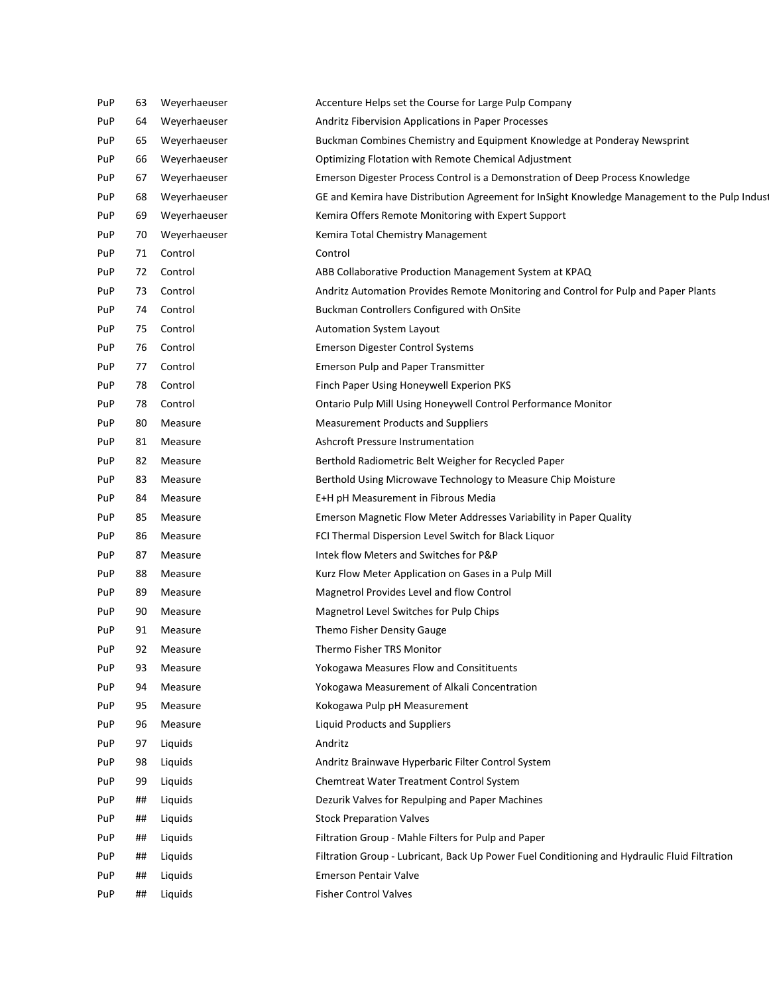| PuP | 63 | Weyerhaeuser | Accenture Helps set the Course for Large Pulp Company                                         |
|-----|----|--------------|-----------------------------------------------------------------------------------------------|
| PuP | 64 | Weyerhaeuser | Andritz Fibervision Applications in Paper Processes                                           |
| PuP | 65 | Weyerhaeuser | Buckman Combines Chemistry and Equipment Knowledge at Ponderay Newsprint                      |
| PuP | 66 | Weyerhaeuser | Optimizing Flotation with Remote Chemical Adjustment                                          |
| PuP | 67 | Weyerhaeuser | Emerson Digester Process Control is a Demonstration of Deep Process Knowledge                 |
| PuP | 68 | Weyerhaeuser | GE and Kemira have Distribution Agreement for InSight Knowledge Management to the Pulp Indust |
| PuP | 69 | Weyerhaeuser | Kemira Offers Remote Monitoring with Expert Support                                           |
| PuP | 70 | Weyerhaeuser | Kemira Total Chemistry Management                                                             |
| PuP | 71 | Control      | Control                                                                                       |
| PuP | 72 | Control      | ABB Collaborative Production Management System at KPAQ                                        |
| PuP | 73 | Control      | Andritz Automation Provides Remote Monitoring and Control for Pulp and Paper Plants           |
| PuP | 74 | Control      | Buckman Controllers Configured with OnSite                                                    |
| PuP | 75 | Control      | <b>Automation System Layout</b>                                                               |
| PuP | 76 | Control      | <b>Emerson Digester Control Systems</b>                                                       |
| PuP | 77 | Control      | <b>Emerson Pulp and Paper Transmitter</b>                                                     |
| PuP | 78 | Control      | Finch Paper Using Honeywell Experion PKS                                                      |
| PuP | 78 | Control      | Ontario Pulp Mill Using Honeywell Control Performance Monitor                                 |
| PuP | 80 | Measure      | <b>Measurement Products and Suppliers</b>                                                     |
| PuP | 81 | Measure      | Ashcroft Pressure Instrumentation                                                             |
| PuP | 82 | Measure      | Berthold Radiometric Belt Weigher for Recycled Paper                                          |
| PuP | 83 | Measure      | Berthold Using Microwave Technology to Measure Chip Moisture                                  |
| PuP | 84 | Measure      | E+H pH Measurement in Fibrous Media                                                           |
| PuP | 85 | Measure      | Emerson Magnetic Flow Meter Addresses Variability in Paper Quality                            |
| PuP | 86 | Measure      | FCI Thermal Dispersion Level Switch for Black Liquor                                          |
| PuP | 87 | Measure      | Intek flow Meters and Switches for P&P                                                        |
| PuP | 88 | Measure      | Kurz Flow Meter Application on Gases in a Pulp Mill                                           |
| PuP | 89 | Measure      | Magnetrol Provides Level and flow Control                                                     |
| PuP | 90 | Measure      | Magnetrol Level Switches for Pulp Chips                                                       |
| PuP | 91 | Measure      | Themo Fisher Density Gauge                                                                    |
| PuP | 92 | Measure      | Thermo Fisher TRS Monitor                                                                     |
| PuP | 93 | Measure      | Yokogawa Measures Flow and Consitituents                                                      |
| PuP | 94 | Measure      | Yokogawa Measurement of Alkali Concentration                                                  |
| PuP | 95 | Measure      | Kokogawa Pulp pH Measurement                                                                  |
| PuP | 96 | Measure      | Liquid Products and Suppliers                                                                 |
| PuP | 97 | Liquids      | Andritz                                                                                       |
| PuP | 98 | Liquids      | Andritz Brainwave Hyperbaric Filter Control System                                            |
| PuP | 99 | Liquids      | Chemtreat Water Treatment Control System                                                      |
| PuP | ## | Liquids      | Dezurik Valves for Repulping and Paper Machines                                               |
| PuP | ## | Liquids      | <b>Stock Preparation Valves</b>                                                               |
| PuP | ## | Liquids      | Filtration Group - Mahle Filters for Pulp and Paper                                           |
| PuP | ## | Liquids      | Filtration Group - Lubricant, Back Up Power Fuel Conditioning and Hydraulic Fluid Filtration  |
| PuP | ## | Liquids      | <b>Emerson Pentair Valve</b>                                                                  |
| PuP | ## | Liquids      | <b>Fisher Control Valves</b>                                                                  |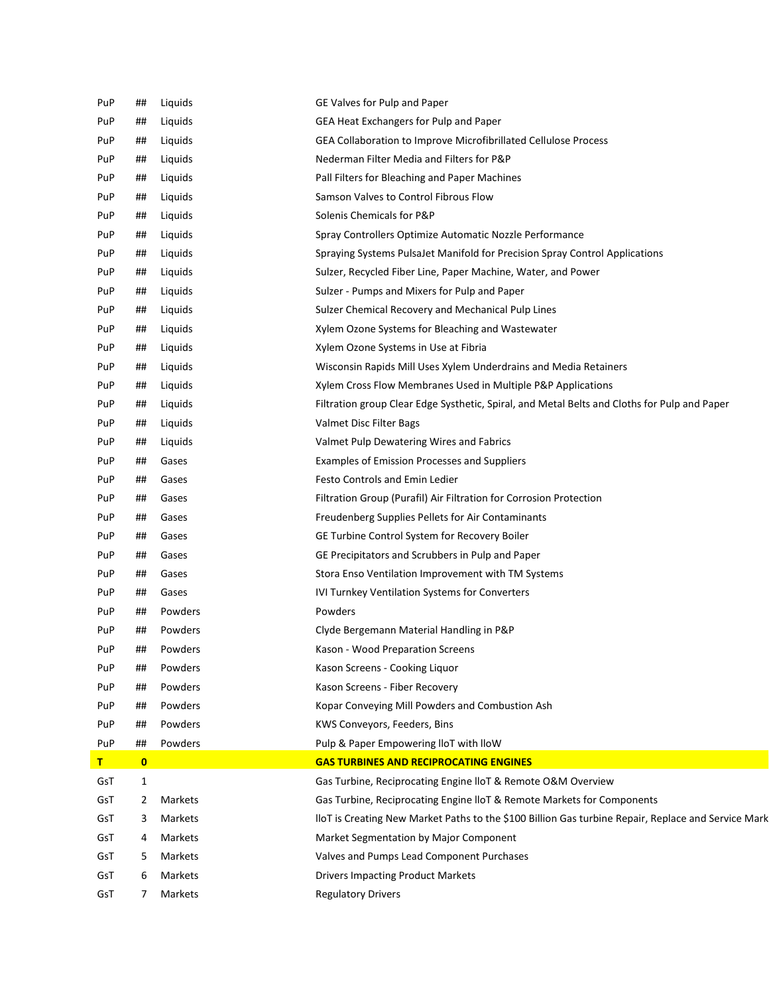| PuP | ##           | Liquids | GE Valves for Pulp and Paper                                                                        |
|-----|--------------|---------|-----------------------------------------------------------------------------------------------------|
| PuP | ##           | Liquids | GEA Heat Exchangers for Pulp and Paper                                                              |
| PuP | ##           | Liquids | GEA Collaboration to Improve Microfibrillated Cellulose Process                                     |
| PuP | ##           | Liquids | Nederman Filter Media and Filters for P&P                                                           |
| PuP | ##           | Liquids | Pall Filters for Bleaching and Paper Machines                                                       |
| PuP | ##           | Liquids | Samson Valves to Control Fibrous Flow                                                               |
| PuP | ##           | Liquids | Solenis Chemicals for P&P                                                                           |
| PuP | ##           | Liquids | Spray Controllers Optimize Automatic Nozzle Performance                                             |
| PuP | ##           | Liquids | Spraying Systems PulsaJet Manifold for Precision Spray Control Applications                         |
| PuP | ##           | Liquids | Sulzer, Recycled Fiber Line, Paper Machine, Water, and Power                                        |
| PuP | ##           | Liquids | Sulzer - Pumps and Mixers for Pulp and Paper                                                        |
| PuP | ##           | Liquids | Sulzer Chemical Recovery and Mechanical Pulp Lines                                                  |
| PuP | ##           | Liquids | Xylem Ozone Systems for Bleaching and Wastewater                                                    |
| PuP | ##           | Liquids | Xylem Ozone Systems in Use at Fibria                                                                |
| PuP | ##           | Liquids | Wisconsin Rapids Mill Uses Xylem Underdrains and Media Retainers                                    |
| PuP | ##           | Liquids | Xylem Cross Flow Membranes Used in Multiple P&P Applications                                        |
| PuP | ##           | Liquids | Filtration group Clear Edge Systhetic, Spiral, and Metal Belts and Cloths for Pulp and Paper        |
| PuP | ##           | Liquids | Valmet Disc Filter Bags                                                                             |
| PuP | ##           | Liquids | Valmet Pulp Dewatering Wires and Fabrics                                                            |
| PuP | ##           | Gases   | Examples of Emission Processes and Suppliers                                                        |
| PuP | ##           | Gases   | <b>Festo Controls and Emin Ledier</b>                                                               |
| PuP | ##           | Gases   | Filtration Group (Purafil) Air Filtration for Corrosion Protection                                  |
| PuP | ##           | Gases   | Freudenberg Supplies Pellets for Air Contaminants                                                   |
| PuP | ##           | Gases   | GE Turbine Control System for Recovery Boiler                                                       |
| PuP | ##           | Gases   | GE Precipitators and Scrubbers in Pulp and Paper                                                    |
| PuP | ##           | Gases   | Stora Enso Ventilation Improvement with TM Systems                                                  |
| PuP | ##           | Gases   | IVI Turnkey Ventilation Systems for Converters                                                      |
| PuP | ##           | Powders | Powders                                                                                             |
| PuP | ##           | Powders | Clyde Bergemann Material Handling in P&P                                                            |
| PuP | ##           | Powders | Kason - Wood Preparation Screens                                                                    |
| PuP | ##           | Powders | Kason Screens - Cooking Liquor                                                                      |
| PuP | ##           | Powders | Kason Screens - Fiber Recovery                                                                      |
| PuP | ##           | Powders | Kopar Conveying Mill Powders and Combustion Ash                                                     |
| PuP | ##           | Powders | KWS Conveyors, Feeders, Bins                                                                        |
| PuP | ##           | Powders | Pulp & Paper Empowering IloT with IloW                                                              |
| T   | $\mathbf{0}$ |         | <b>GAS TURBINES AND RECIPROCATING ENGINES</b>                                                       |
| GsT | $\mathbf{1}$ |         | Gas Turbine, Reciprocating Engine IloT & Remote O&M Overview                                        |
| GsT | 2            | Markets | Gas Turbine, Reciprocating Engine IIoT & Remote Markets for Components                              |
| GsT | 3            | Markets | lloT is Creating New Market Paths to the \$100 Billion Gas turbine Repair, Replace and Service Mark |
| GsT | 4            | Markets | Market Segmentation by Major Component                                                              |
| GsT | 5            | Markets | Valves and Pumps Lead Component Purchases                                                           |
| GsT | 6            | Markets | <b>Drivers Impacting Product Markets</b>                                                            |
| GsT | 7            | Markets | <b>Regulatory Drivers</b>                                                                           |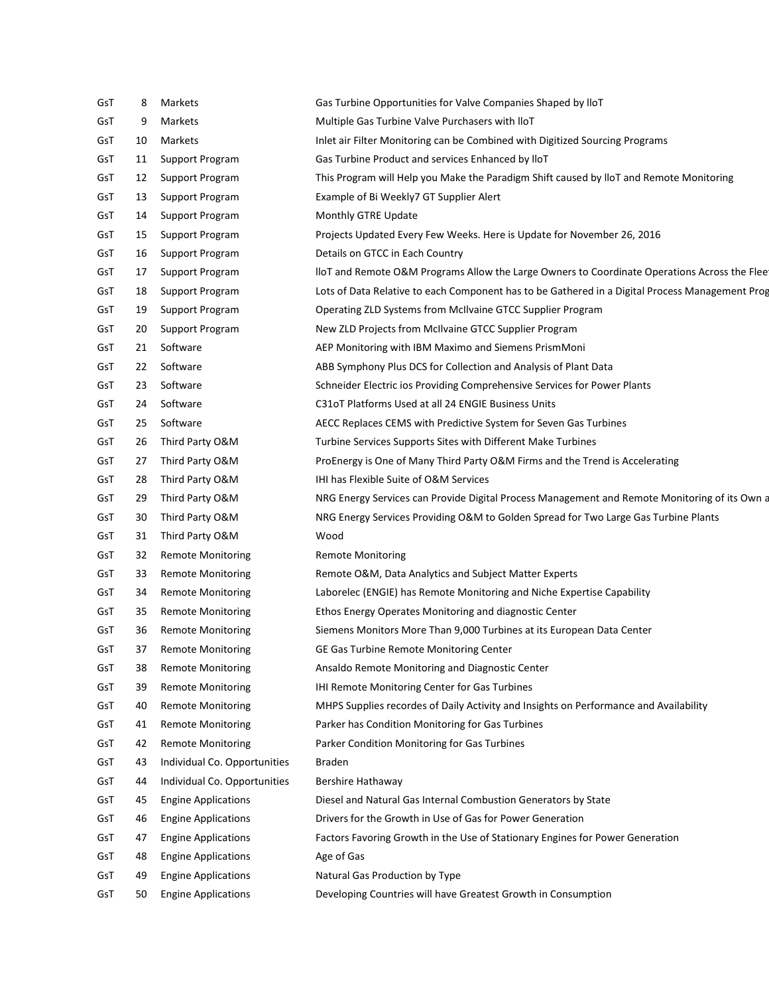| GsT | 8  | Markets                      | Gas Turbine Opportunities for Valve Companies Shaped by IloT                                    |
|-----|----|------------------------------|-------------------------------------------------------------------------------------------------|
| GsT | 9  | Markets                      | Multiple Gas Turbine Valve Purchasers with IloT                                                 |
| GsT | 10 | Markets                      | Inlet air Filter Monitoring can be Combined with Digitized Sourcing Programs                    |
| GsT | 11 | Support Program              | Gas Turbine Product and services Enhanced by IloT                                               |
| GsT | 12 | Support Program              | This Program will Help you Make the Paradigm Shift caused by IloT and Remote Monitoring         |
| GsT | 13 | Support Program              | Example of Bi Weekly7 GT Supplier Alert                                                         |
| GsT | 14 | Support Program              | Monthly GTRE Update                                                                             |
| GsT | 15 | Support Program              | Projects Updated Every Few Weeks. Here is Update for November 26, 2016                          |
| GsT | 16 | Support Program              | Details on GTCC in Each Country                                                                 |
| GsT | 17 | Support Program              | lloT and Remote O&M Programs Allow the Large Owners to Coordinate Operations Across the Flee    |
| GsT | 18 | Support Program              | Lots of Data Relative to each Component has to be Gathered in a Digital Process Management Prog |
| GsT | 19 | Support Program              | Operating ZLD Systems from McIlvaine GTCC Supplier Program                                      |
| GsT | 20 | Support Program              | New ZLD Projects from McIlvaine GTCC Supplier Program                                           |
| GsT | 21 | Software                     | AEP Monitoring with IBM Maximo and Siemens PrismMoni                                            |
| GsT | 22 | Software                     | ABB Symphony Plus DCS for Collection and Analysis of Plant Data                                 |
| GsT | 23 | Software                     | Schneider Electric ios Providing Comprehensive Services for Power Plants                        |
| GsT | 24 | Software                     | C31oT Platforms Used at all 24 ENGIE Business Units                                             |
| GsT | 25 | Software                     | AECC Replaces CEMS with Predictive System for Seven Gas Turbines                                |
| GsT | 26 | Third Party O&M              | Turbine Services Supports Sites with Different Make Turbines                                    |
| GsT | 27 | Third Party O&M              | ProEnergy is One of Many Third Party O&M Firms and the Trend is Accelerating                    |
| GsT | 28 | Third Party O&M              | <b>IHI has Flexible Suite of O&amp;M Services</b>                                               |
| GsT | 29 | Third Party O&M              | NRG Energy Services can Provide Digital Process Management and Remote Monitoring of its Own a   |
| GsT | 30 | Third Party O&M              | NRG Energy Services Providing O&M to Golden Spread for Two Large Gas Turbine Plants             |
| GsT | 31 | Third Party O&M              | Wood                                                                                            |
| GsT | 32 | <b>Remote Monitoring</b>     | <b>Remote Monitoring</b>                                                                        |
| GsT | 33 | <b>Remote Monitoring</b>     | Remote O&M, Data Analytics and Subject Matter Experts                                           |
| GsT | 34 | <b>Remote Monitoring</b>     | Laborelec (ENGIE) has Remote Monitoring and Niche Expertise Capability                          |
| GsT | 35 | <b>Remote Monitoring</b>     | Ethos Energy Operates Monitoring and diagnostic Center                                          |
| GsT | 36 | Remote Monitoring            | Siemens Monitors More Than 9,000 Turbines at its European Data Center                           |
| GsT | 37 | <b>Remote Monitoring</b>     | GE Gas Turbine Remote Monitoring Center                                                         |
| GsT | 38 | <b>Remote Monitoring</b>     | Ansaldo Remote Monitoring and Diagnostic Center                                                 |
| GsT | 39 | <b>Remote Monitoring</b>     | IHI Remote Monitoring Center for Gas Turbines                                                   |
| GsT | 40 | <b>Remote Monitoring</b>     | MHPS Supplies recordes of Daily Activity and Insights on Performance and Availability           |
| GsT | 41 | <b>Remote Monitoring</b>     | Parker has Condition Monitoring for Gas Turbines                                                |
| GsT | 42 | <b>Remote Monitoring</b>     | Parker Condition Monitoring for Gas Turbines                                                    |
| GsT | 43 | Individual Co. Opportunities | <b>Braden</b>                                                                                   |
| GsT | 44 | Individual Co. Opportunities | Bershire Hathaway                                                                               |
| GsT | 45 | <b>Engine Applications</b>   | Diesel and Natural Gas Internal Combustion Generators by State                                  |
| GsT | 46 | <b>Engine Applications</b>   | Drivers for the Growth in Use of Gas for Power Generation                                       |
| GsT | 47 | <b>Engine Applications</b>   | Factors Favoring Growth in the Use of Stationary Engines for Power Generation                   |
| GsT | 48 | <b>Engine Applications</b>   | Age of Gas                                                                                      |
| GsT | 49 | <b>Engine Applications</b>   | Natural Gas Production by Type                                                                  |
| GsT | 50 | <b>Engine Applications</b>   | Developing Countries will have Greatest Growth in Consumption                                   |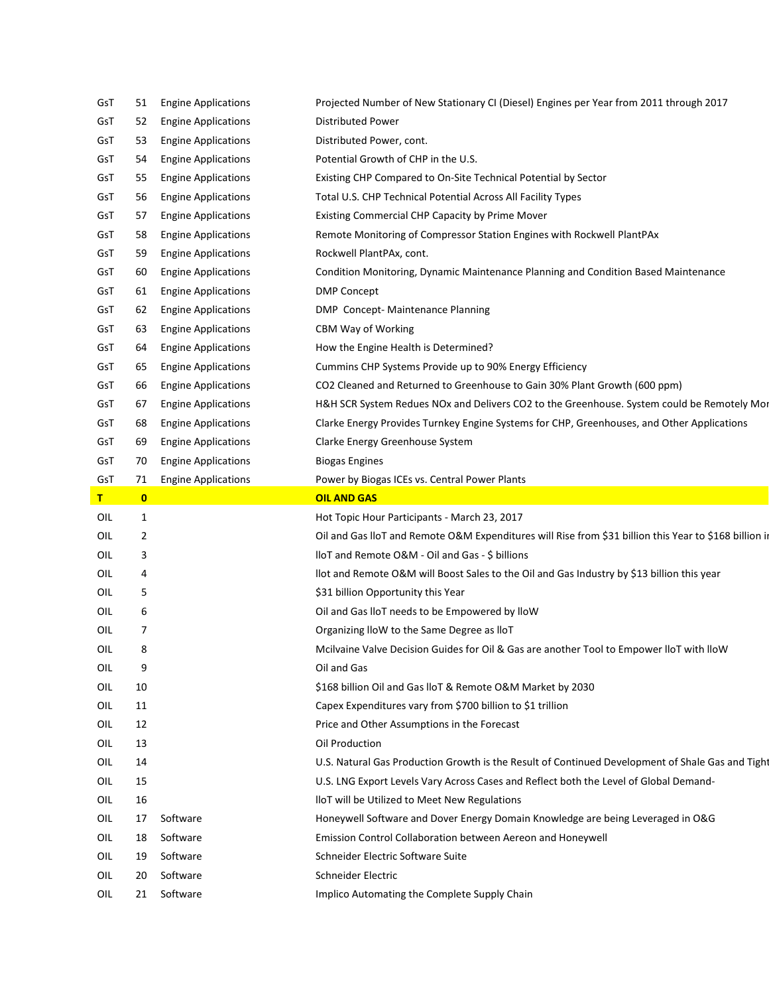| GsT | 51       | <b>Engine Applications</b> | Projected Number of New Stationary CI (Diesel) Engines per Year from 2011 through 2017                 |
|-----|----------|----------------------------|--------------------------------------------------------------------------------------------------------|
| GsT | 52       | <b>Engine Applications</b> | <b>Distributed Power</b>                                                                               |
| GsT | 53       | <b>Engine Applications</b> | Distributed Power, cont.                                                                               |
| GsT | 54       | <b>Engine Applications</b> | Potential Growth of CHP in the U.S.                                                                    |
| GsT | 55       | <b>Engine Applications</b> | Existing CHP Compared to On-Site Technical Potential by Sector                                         |
| GsT | 56       | <b>Engine Applications</b> | Total U.S. CHP Technical Potential Across All Facility Types                                           |
| GsT | 57       | <b>Engine Applications</b> | Existing Commercial CHP Capacity by Prime Mover                                                        |
| GsT | 58       | <b>Engine Applications</b> | Remote Monitoring of Compressor Station Engines with Rockwell PlantPAx                                 |
| GsT | 59       | <b>Engine Applications</b> | Rockwell PlantPAx, cont.                                                                               |
| GsT | 60       | <b>Engine Applications</b> | Condition Monitoring, Dynamic Maintenance Planning and Condition Based Maintenance                     |
| GsT | 61       | <b>Engine Applications</b> | <b>DMP Concept</b>                                                                                     |
| GsT | 62       | <b>Engine Applications</b> | DMP Concept- Maintenance Planning                                                                      |
| GsT | 63       | <b>Engine Applications</b> | CBM Way of Working                                                                                     |
| GsT | 64       | <b>Engine Applications</b> | How the Engine Health is Determined?                                                                   |
| GsT | 65       | <b>Engine Applications</b> | Cummins CHP Systems Provide up to 90% Energy Efficiency                                                |
| GsT | 66       | <b>Engine Applications</b> | CO2 Cleaned and Returned to Greenhouse to Gain 30% Plant Growth (600 ppm)                              |
| GsT | 67       | <b>Engine Applications</b> | H&H SCR System Redues NOx and Delivers CO2 to the Greenhouse. System could be Remotely Mor             |
| GsT | 68       | <b>Engine Applications</b> | Clarke Energy Provides Turnkey Engine Systems for CHP, Greenhouses, and Other Applications             |
| GsT | 69       | <b>Engine Applications</b> | Clarke Energy Greenhouse System                                                                        |
| GsT | 70       | <b>Engine Applications</b> | <b>Biogas Engines</b>                                                                                  |
| GsT | 71       | <b>Engine Applications</b> | Power by Biogas ICEs vs. Central Power Plants                                                          |
| T   | $\bf{0}$ |                            | <b>OIL AND GAS</b>                                                                                     |
| OIL | 1        |                            | Hot Topic Hour Participants - March 23, 2017                                                           |
| OIL | 2        |                            | Oil and Gas IloT and Remote O&M Expenditures will Rise from \$31 billion this Year to \$168 billion in |
| OIL | 3        |                            | lloT and Remote O&M - Oil and Gas - \$ billions                                                        |
| OIL | 4        |                            | llot and Remote O&M will Boost Sales to the Oil and Gas Industry by \$13 billion this year             |
| OIL | 5        |                            | \$31 billion Opportunity this Year                                                                     |
| OIL | 6        |                            | Oil and Gas IIoT needs to be Empowered by IIoW                                                         |
| OIL | 7        |                            | Organizing IloW to the Same Degree as IloT                                                             |
| OIL | 8        |                            | Mcilvaine Valve Decision Guides for Oil & Gas are another Tool to Empower lloT with lloW               |
| OIL | 9        |                            | Oil and Gas                                                                                            |
| OIL | 10       |                            | \$168 billion Oil and Gas IloT & Remote O&M Market by 2030                                             |
| OIL | 11       |                            | Capex Expenditures vary from \$700 billion to \$1 trillion                                             |
| OIL | 12       |                            | Price and Other Assumptions in the Forecast                                                            |
| OIL | 13       |                            | Oil Production                                                                                         |
| OIL | 14       |                            | U.S. Natural Gas Production Growth is the Result of Continued Development of Shale Gas and Tight       |
| OIL | 15       |                            | U.S. LNG Export Levels Vary Across Cases and Reflect both the Level of Global Demand-                  |
| OIL | 16       |                            | IloT will be Utilized to Meet New Regulations                                                          |
| OIL | 17       | Software                   | Honeywell Software and Dover Energy Domain Knowledge are being Leveraged in O&G                        |
| OIL | 18       | Software                   | Emission Control Collaboration between Aereon and Honeywell                                            |
| OIL | 19       | Software                   | Schneider Electric Software Suite                                                                      |
| OIL | 20       | Software                   | Schneider Electric                                                                                     |
|     |          |                            |                                                                                                        |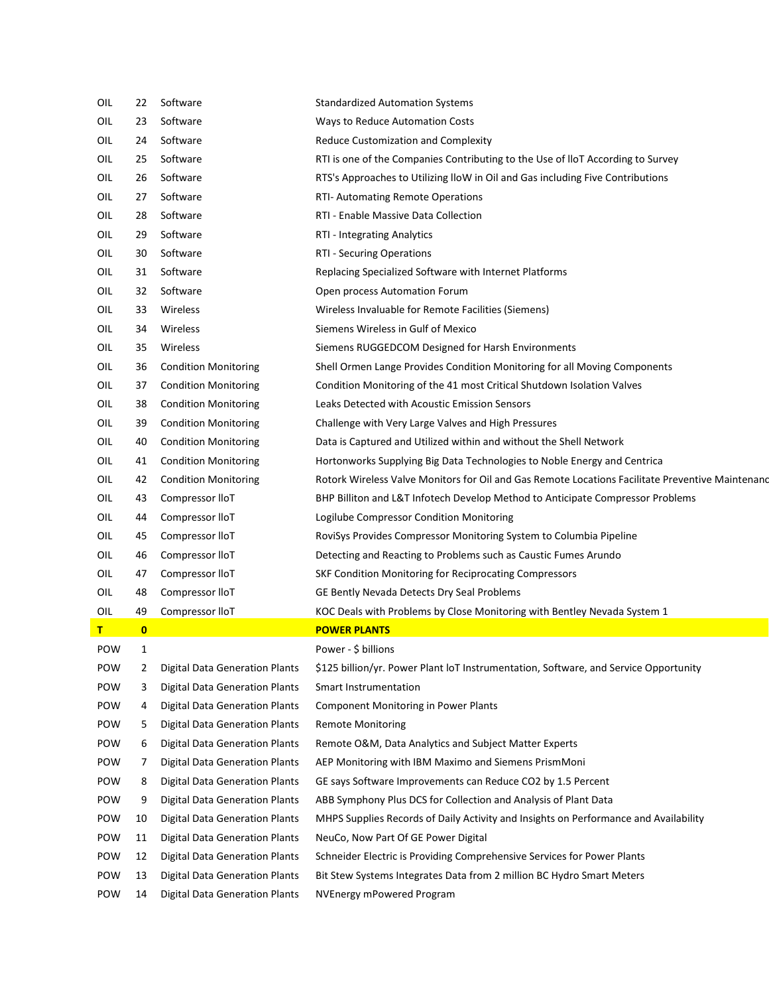| OIL | 22       | Software                              | <b>Standardized Automation Systems</b>                                                           |
|-----|----------|---------------------------------------|--------------------------------------------------------------------------------------------------|
| OIL | 23       | Software                              | Ways to Reduce Automation Costs                                                                  |
| OIL | 24       | Software                              | Reduce Customization and Complexity                                                              |
| OIL | 25       | Software                              | RTI is one of the Companies Contributing to the Use of IloT According to Survey                  |
| OIL | 26       | Software                              | RTS's Approaches to Utilizing lloW in Oil and Gas including Five Contributions                   |
| OIL | 27       | Software                              | RTI- Automating Remote Operations                                                                |
| OIL | 28       | Software                              | RTI - Enable Massive Data Collection                                                             |
| OIL | 29       | Software                              | RTI - Integrating Analytics                                                                      |
| OIL | 30       | Software                              | RTI - Securing Operations                                                                        |
| OIL | 31       | Software                              | Replacing Specialized Software with Internet Platforms                                           |
| OIL | 32       | Software                              | Open process Automation Forum                                                                    |
| OIL | 33       | Wireless                              | Wireless Invaluable for Remote Facilities (Siemens)                                              |
| OIL | 34       | Wireless                              | Siemens Wireless in Gulf of Mexico                                                               |
| OIL | 35       | Wireless                              | Siemens RUGGEDCOM Designed for Harsh Environments                                                |
| OIL | 36       | <b>Condition Monitoring</b>           | Shell Ormen Lange Provides Condition Monitoring for all Moving Components                        |
| OIL | 37       | <b>Condition Monitoring</b>           | Condition Monitoring of the 41 most Critical Shutdown Isolation Valves                           |
| OIL | 38       | <b>Condition Monitoring</b>           | Leaks Detected with Acoustic Emission Sensors                                                    |
| OIL | 39       | <b>Condition Monitoring</b>           | Challenge with Very Large Valves and High Pressures                                              |
| OIL | 40       | <b>Condition Monitoring</b>           | Data is Captured and Utilized within and without the Shell Network                               |
| OIL | 41       | <b>Condition Monitoring</b>           | Hortonworks Supplying Big Data Technologies to Noble Energy and Centrica                         |
| OIL | 42       | <b>Condition Monitoring</b>           | Rotork Wireless Valve Monitors for Oil and Gas Remote Locations Facilitate Preventive Maintenand |
| OIL | 43       | Compressor lloT                       | BHP Billiton and L&T Infotech Develop Method to Anticipate Compressor Problems                   |
| OIL | 44       | Compressor lloT                       | Logilube Compressor Condition Monitoring                                                         |
| OIL | 45       | Compressor lloT                       | RoviSys Provides Compressor Monitoring System to Columbia Pipeline                               |
| OIL | 46       | Compressor lloT                       | Detecting and Reacting to Problems such as Caustic Fumes Arundo                                  |
| OIL | 47       | Compressor lloT                       | SKF Condition Monitoring for Reciprocating Compressors                                           |
| OIL | 48       | Compressor lloT                       | GE Bently Nevada Detects Dry Seal Problems                                                       |
| OIL | 49       | Compressor lloT                       | KOC Deals with Problems by Close Monitoring with Bentley Nevada System 1                         |
| т   | $\bf{0}$ |                                       | <b>POWER PLANTS</b>                                                                              |
| POW | 1        |                                       | Power - \$ billions                                                                              |
| POW | 2        | <b>Digital Data Generation Plants</b> | \$125 billion/yr. Power Plant loT Instrumentation, Software, and Service Opportunity             |
| POW | 3        | <b>Digital Data Generation Plants</b> | <b>Smart Instrumentation</b>                                                                     |
| POW | 4        | <b>Digital Data Generation Plants</b> | <b>Component Monitoring in Power Plants</b>                                                      |
| POW | 5        | <b>Digital Data Generation Plants</b> | <b>Remote Monitoring</b>                                                                         |
| POW | 6        | <b>Digital Data Generation Plants</b> | Remote O&M, Data Analytics and Subject Matter Experts                                            |
| POW | 7        | <b>Digital Data Generation Plants</b> | AEP Monitoring with IBM Maximo and Siemens PrismMoni                                             |
| POW | 8        | <b>Digital Data Generation Plants</b> | GE says Software Improvements can Reduce CO2 by 1.5 Percent                                      |
| POW | 9        | <b>Digital Data Generation Plants</b> | ABB Symphony Plus DCS for Collection and Analysis of Plant Data                                  |
| POW | 10       | <b>Digital Data Generation Plants</b> | MHPS Supplies Records of Daily Activity and Insights on Performance and Availability             |
| POW | 11       | <b>Digital Data Generation Plants</b> | NeuCo, Now Part Of GE Power Digital                                                              |
| POW | 12       | <b>Digital Data Generation Plants</b> | Schneider Electric is Providing Comprehensive Services for Power Plants                          |
| POW | 13       | <b>Digital Data Generation Plants</b> | Bit Stew Systems Integrates Data from 2 million BC Hydro Smart Meters                            |
| POW | 14       | <b>Digital Data Generation Plants</b> | NVEnergy mPowered Program                                                                        |